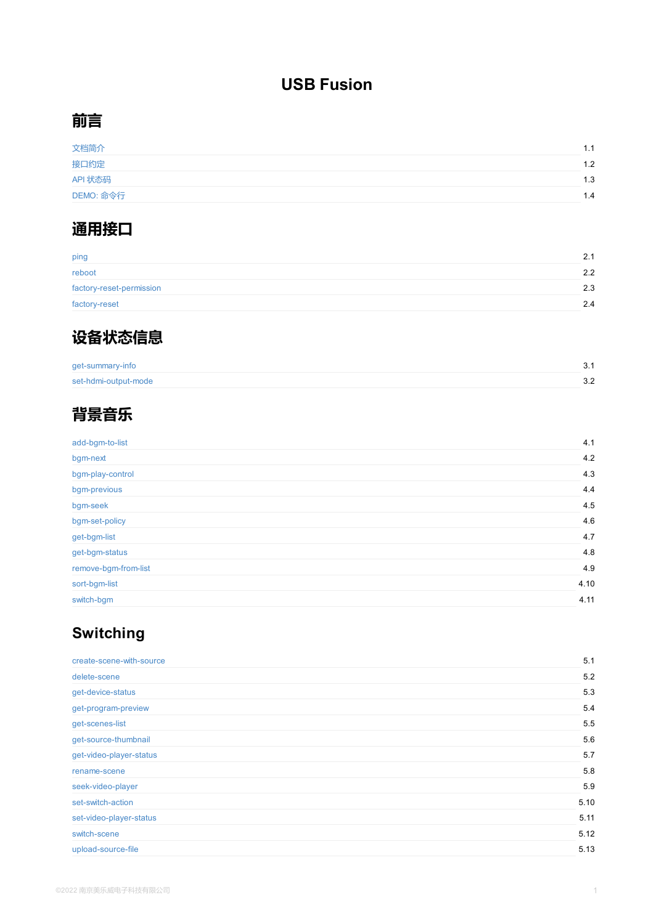

get-summary-info

set-hdmi-output-mode



| add-bgm-to-list      |  |
|----------------------|--|
| bgm-next             |  |
| bgm-play-control     |  |
| bgm-previous         |  |
| bgm-seek             |  |
| bgm-set-policy       |  |
| get-bgm-list         |  |
| get-bgm-status       |  |
| remove-bgm-from-list |  |
| sort-bgm-list        |  |
|                      |  |

[switch-bgm](#page-10-0)

# **Switching**

| create-scene-with-source |
|--------------------------|
| delete-scene             |
| get-device-status        |
| get-program-preview      |
| get-scenes-list          |
| get-source-thumbnail     |
| get-video-player-status  |
| rename-scene             |
| seek-video-player        |
| set-switch-action        |
| set-video-player-status  |
| switch-scene             |
| upload-source-file       |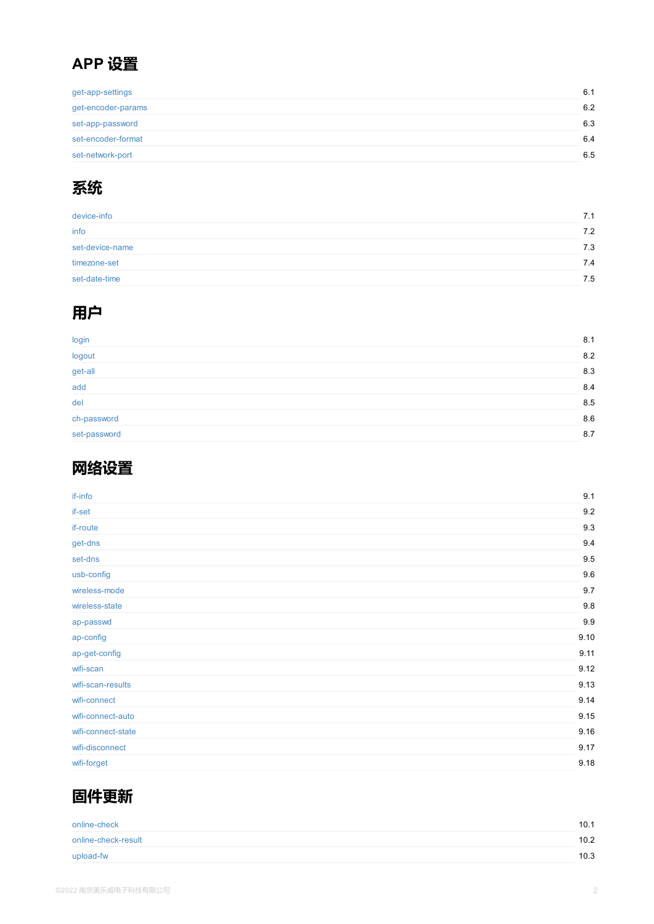

| login        |  |  |
|--------------|--|--|
| logout       |  |  |
| get-all      |  |  |
| add          |  |  |
| del          |  |  |
| ch-password  |  |  |
| set-password |  |  |
|              |  |  |



| if-info            |
|--------------------|
| if-set             |
| if-route           |
| get-dns            |
| set-dns            |
| usb-config         |
| wireless-mode      |
| wireless-state     |
| ap-passwd          |
| ap-config          |
| ap-get-config      |
| wifi-scan          |
| wifi-scan-results  |
| wifi-connect       |
| wifi-connect-auto  |
| wifi-connect-state |
| wifi-disconnect    |
| wifi-forget        |



[online](#page-71-0)-check [online-c](#page-72-0)heck-result [upload-fw](#page-73-0)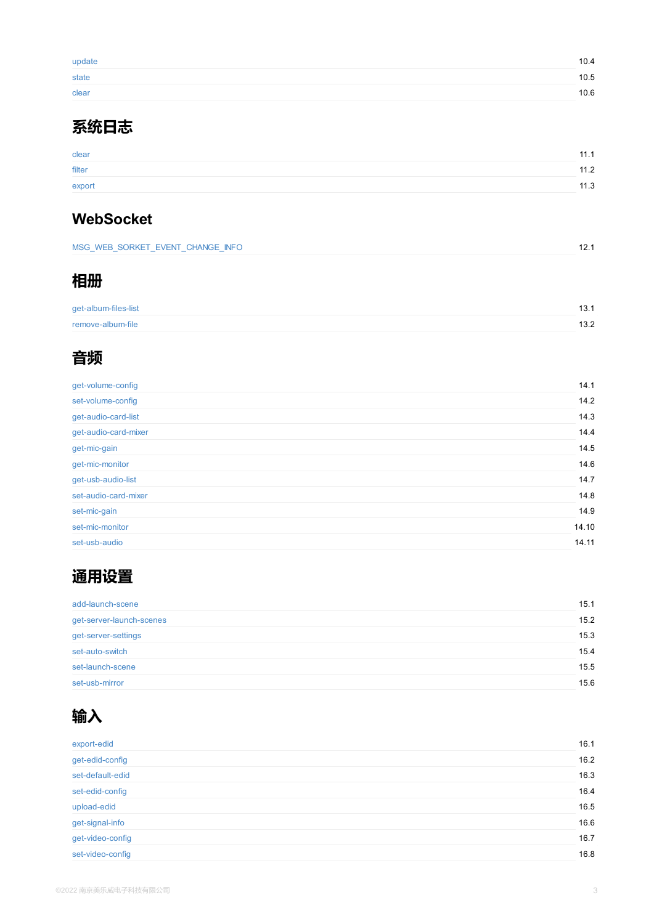get-album-files-list remove-album-file



| get-volume-config    |  |  |
|----------------------|--|--|
| set-volume-config    |  |  |
| get-audio-card-list  |  |  |
| get-audio-card-mixer |  |  |
| get-mic-gain         |  |  |
| get-mic-monitor      |  |  |
| get-usb-audio-list   |  |  |
| set-audio-card-mixer |  |  |
| set-mic-gain         |  |  |
| set-mic-monitor      |  |  |
| set-usb-audio        |  |  |

# **通用设置**

| add-launch-scene         |  |
|--------------------------|--|
| get-server-launch-scenes |  |
| get-server-settings      |  |
| set-auto-switch          |  |
| set-launch-scene         |  |
| set-usb-mirror           |  |



| export-edid      |  |  |  |
|------------------|--|--|--|
| get-edid-config  |  |  |  |
| set-default-edid |  |  |  |
| set-edid-config  |  |  |  |
| upload-edid      |  |  |  |
| get-signal-info  |  |  |  |
| get-video-config |  |  |  |
| set-video-config |  |  |  |
|                  |  |  |  |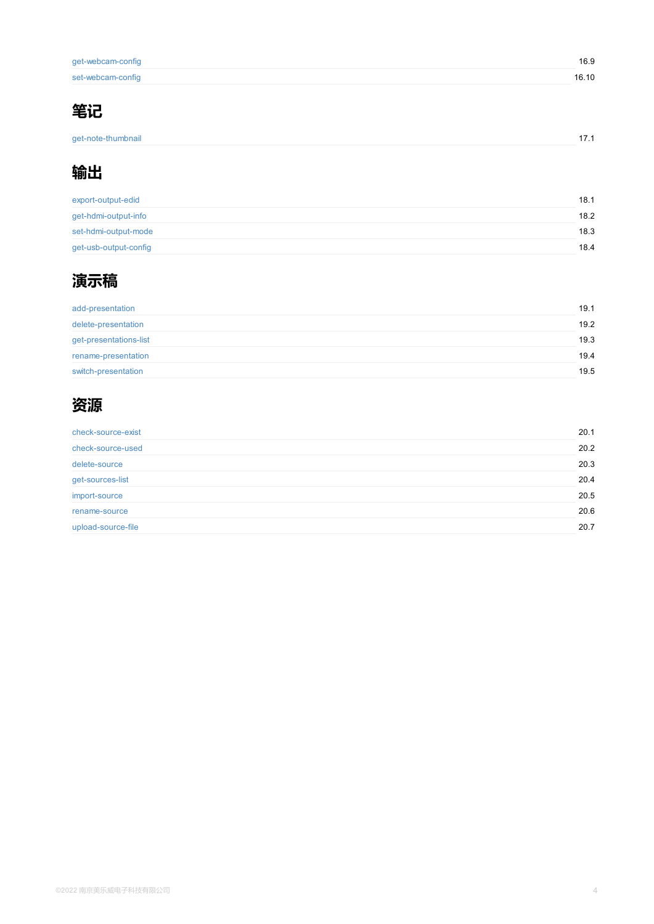| auu-prosontation       |  |  |
|------------------------|--|--|
| delete-presentation    |  |  |
| get-presentations-list |  |  |
| rename-presentation    |  |  |
| switch-presentation    |  |  |
|                        |  |  |

# **资源**

| check-source-exist |  |
|--------------------|--|
| check-source-used  |  |
| delete-source      |  |
| get-sources-list   |  |
| import-source      |  |
| rename-source      |  |
| upload-source-file |  |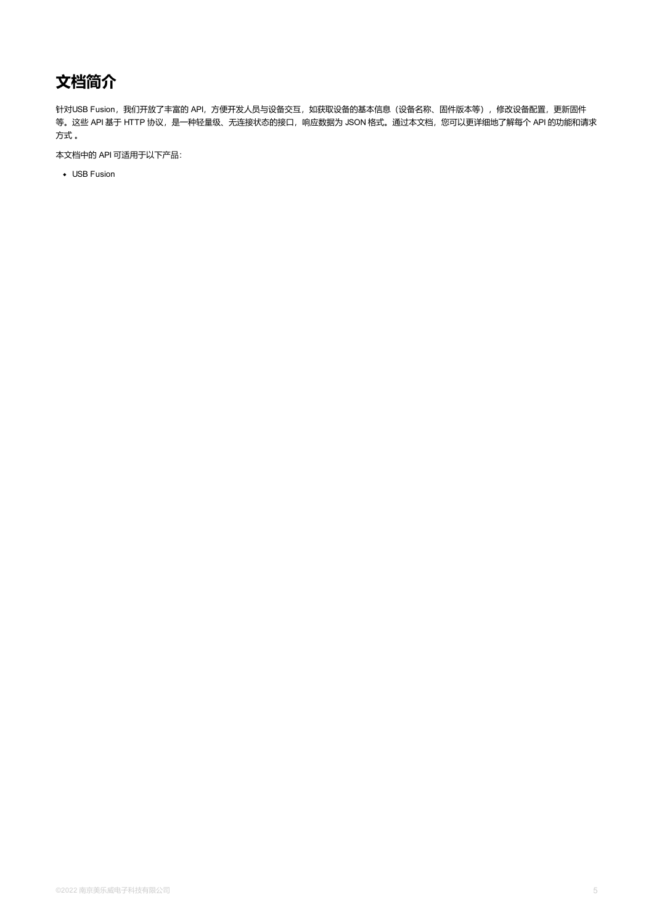<span id="page-4-0"></span>**文档简介**

针对USB Fusion,我们开放了丰富的 API,方便开发人员与设备交互,如获取设备的基本信息(设备名称、固件版本等), 修改设备配置,更新固件 等。这些 API 基于 HTTP 协议, 是一种轻量级、无连接状态的接口, 响应数据为 JSON 格式。通过本文档, 您可以更详细地了解每个 API 的功能和请求 方式 。

本文档中的 API 可适用于以下产品:

USB Fusion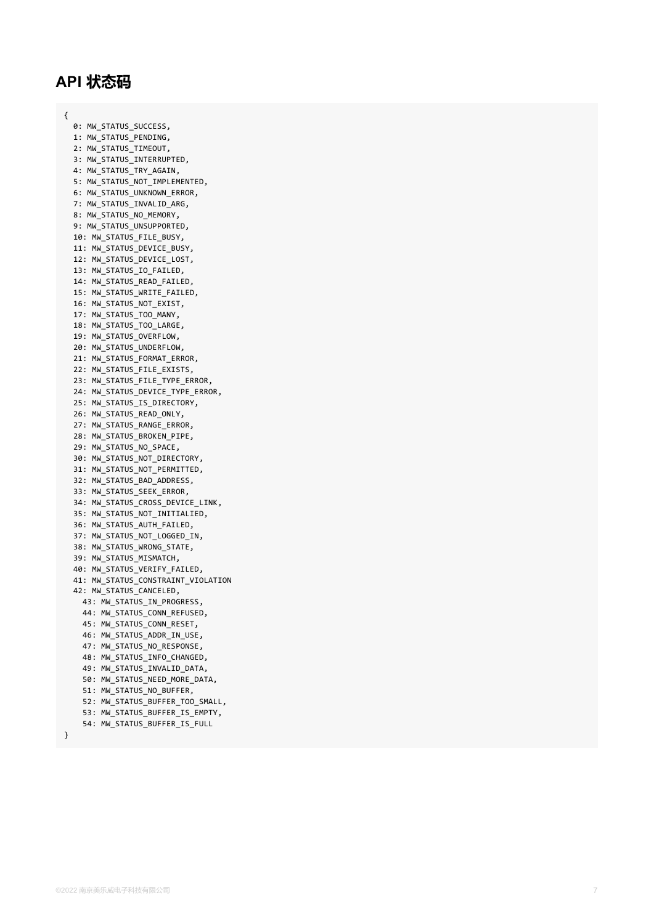# <span id="page-6-0"></span>**A P I 状 态 码**

{

0: MW\_STATUS\_SUCCESS**,** 1: MW\_STATUS\_PENDING, 2: MW\_STATUS\_TIMEOUT**,** 3: MW\_STATUS\_INTERRUPTED**,** 4: MW\_STATUS\_TRY\_AGAIN**,** 5: MW\_STATUS\_NOT\_IMPLEMENTED, 6: MW\_STATUS\_UNKNOWN\_ERROR**,** 7: MW\_STATUS\_INVALID\_ARG**,** 8: MW\_STATUS\_NO\_MEMORY**,** 9: MW\_STATUS\_UNSUPPORTED**,** 10: MW\_STATUS\_FILE\_BUSY, 11: MW\_STATUS\_DEVICE\_BUSY, 12: MW\_STATUS\_DEVICE\_LOST, 13: MW\_STATUS\_IO\_FAILED**,** 14: MW\_STATUS\_READ\_FAILED**,** 15: MW\_STATUS\_WRITE\_FAILED, 16: MW\_STATUS\_NOT\_EXIST, 17: MW\_STATUS\_TOO\_MANY**,** 18: MW\_STATUS\_TOO\_LARGE, 19: MW\_STATUS\_OVERFLOW**,** 20: MW\_STATUS\_UNDERFLOW, 21: MW\_STATUS\_FORMAT\_ERROR**,** 22: MW\_STATUS\_FILE\_EXISTS**,** 23: MW\_STATUS\_FILE\_TYPE\_ERROR**,** 24: MW\_STATUS\_DEVICE\_TYPE\_ERROR, 25: MW\_STATUS\_IS\_DIRECTORY, 26: MW\_STATUS\_READ\_ONLY**,** 27: MW\_STATUS\_RANGE\_ERROR**,** 28: MW\_STATUS\_BROKEN\_PIPE, 29: MW\_STATUS\_NO\_SPACE**,** 30: MW\_STATUS\_NOT\_DIRECTORY, 31: MW\_STATUS\_NOT\_PERMITTED, 32: MW\_STATUS\_BAD\_ADDRESS, 33: MW\_STATUS\_SEEK\_ERROR**,** 34: MW\_STATUS\_CROSS\_DEVICE\_LINK, 35: MW\_STATUS\_NOT\_INITIALIED, 36: MW\_STATUS\_AUTH\_FAILED, 37: MW\_STATUS\_NOT\_LOGGED\_IN**,** 38: MW\_STATUS\_WRONG\_STATE, 39: MW\_STATUS\_MISMATCH, 40: MW\_STATUS\_VERIFY\_FAILED, 41: MW\_STATUS\_CONSTRAINT\_VIOLATION 42: MW\_STATUS\_CANCELED**,** 43: MW\_STATUS\_IN\_PROGRESS, 44: MW\_STATUS\_CONN\_REFUSED, 45: MW\_STATUS\_CONN\_RESET, 46: MW\_STATUS\_ADDR\_IN\_USE**,** 47: MW\_STATUS\_NO\_RESPONSE**,** 48: MW\_STATUS\_INFO\_CHANGED, 49: MW\_STATUS\_INVALID\_DATA, 50: MW\_STATUS\_NEED\_MORE\_DATA,

52: MW\_STATUS\_BUFFER\_TOO\_SMALL, 53: MW\_STATUS\_BUFFER\_IS\_EMPTY, 54: MW\_STATUS\_BUFFER\_IS\_FULL

}

7

51: MW\_STATUS\_NO\_BUFFER,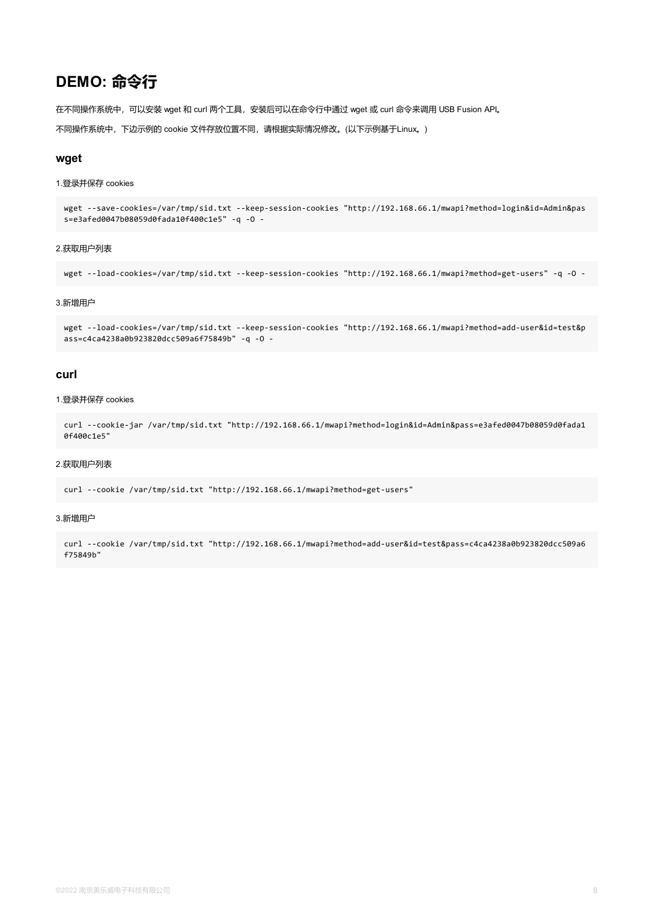# <span id="page-7-0"></span>**DEMO: 命令行**

在不同操作系统中,可以安装 wget 和 curl 两个工具,安装后可以在命令行中通过 wget 或 curl 命令来调用 USB Fusion API。

不同操作系统中,下边示例的 cookie 文件存放位置不同,请根据实际情况修改。(以下示例基于Linux。)

### **wget**

1.登录并保存 cookies

wget --save-cookies=/var/tmp/sid.txt --keep-session-cookies "http://192.168.66.1/mwapi?method=login&id=Admin&pas s=e3afed0047b08059d0fada10f400c1e5" -q -O -

#### 2.获取用户列表

wget --load-cookies=/var/tmp/sid.txt --keep-session-cookies "http://192.168.66.1/mwapi?method=get-users" -q -O -

#### 3.新增用户

wget --load-cookies=/var/tmp/sid.txt --keep-session-cookies "http://192.168.66.1/mwapi?method=add-user&id=test&p ass=c4ca4238a0b923820dcc509a6f75849b" -q -O -

### **curl**

#### 1.登录并保存 cookies

curl --cookie-jar /var/tmp/sid.txt "http://192.168.66.1/mwapi?method=login&id=Admin&pass=e3afed0047b08059d0fada1 0f400c1e5"

### 2.获取用户列表

curl --cookie /var/tmp/sid.txt "http://192.168.66.1/mwapi?method=get-users"

#### 3.新增用户

curl --cookie /var/tmp/sid.txt "http://192.168.66.1/mwapi?method=add-user&id=test&pass=c4ca4238a0b923820dcc509a6 f75849b"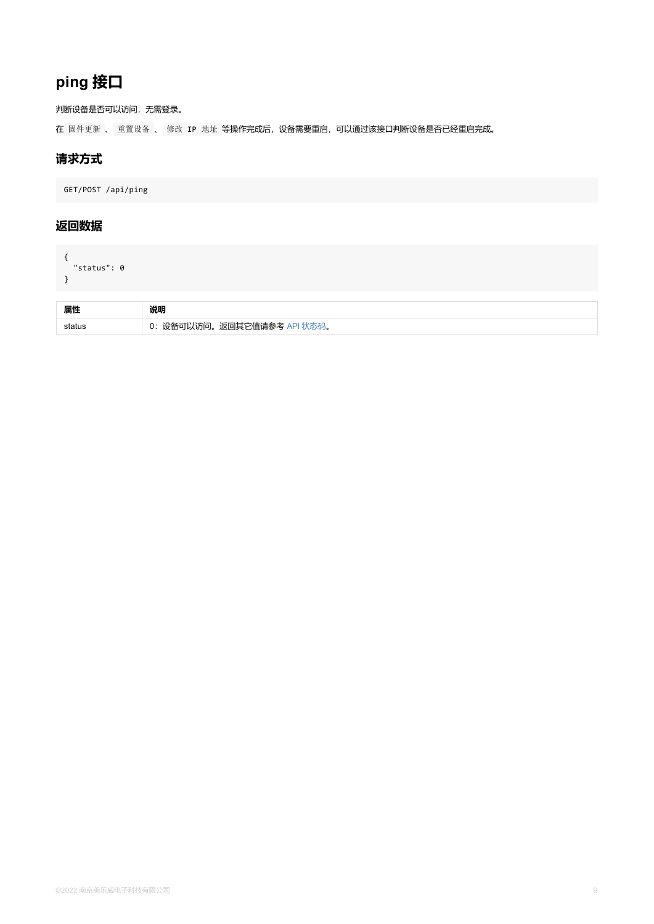<span id="page-8-0"></span>

| 偶性 | 忧呀                     |
|----|------------------------|
|    | 设备可以访问。返回其它值请参考<br>0 : |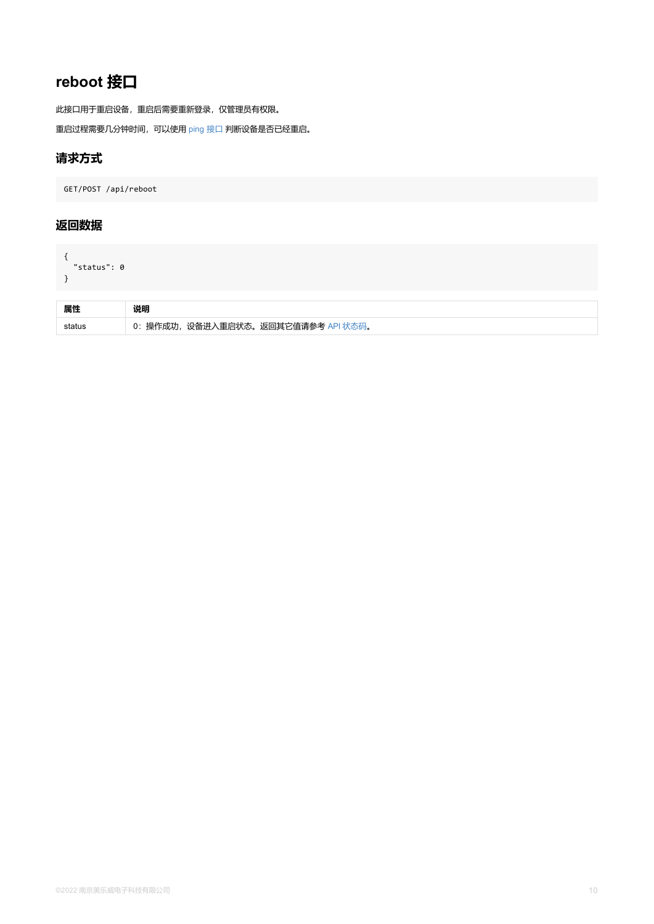<span id="page-9-0"></span>

| 満に     | 忧ツ                              |
|--------|---------------------------------|
| status | 操作成功,设备进入重启状态。返回其它值请参考 API 状态码。 |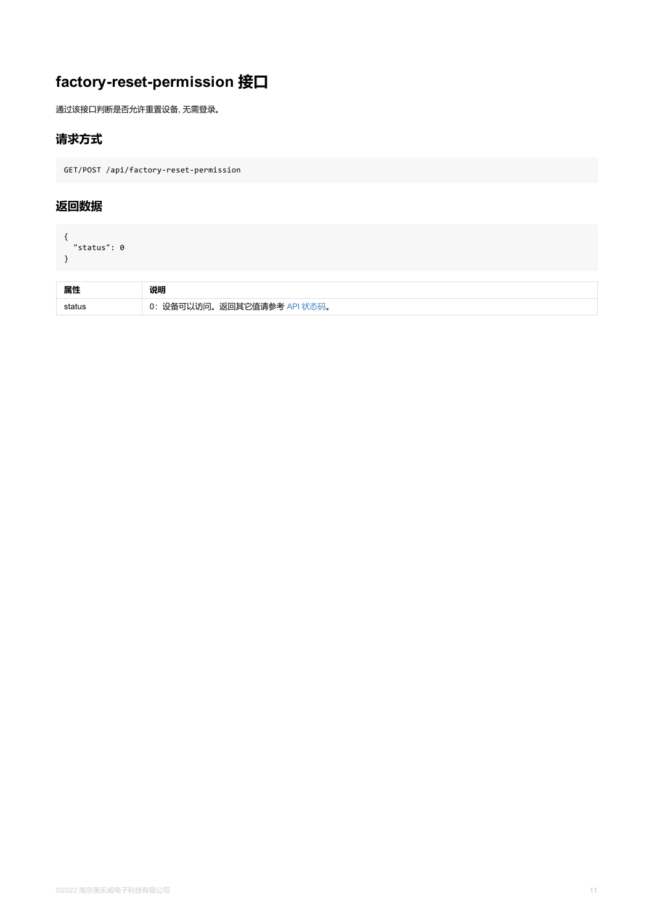<span id="page-10-0"></span>

|  | ------ |  |  |
|--|--------|--|--|
|  |        |  |  |
|  |        |  |  |
|  |        |  |  |
|  |        |  |  |
|  |        |  |  |
|  |        |  |  |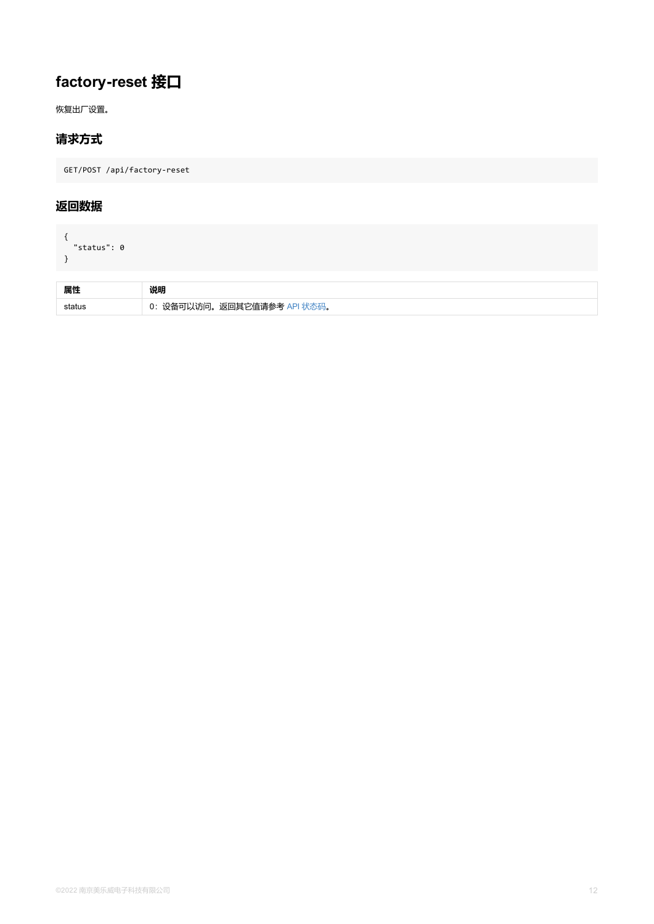|  | ------ |  |  |
|--|--------|--|--|
|  |        |  |  |
|  |        |  |  |
|  |        |  |  |
|  |        |  |  |
|  |        |  |  |
|  |        |  |  |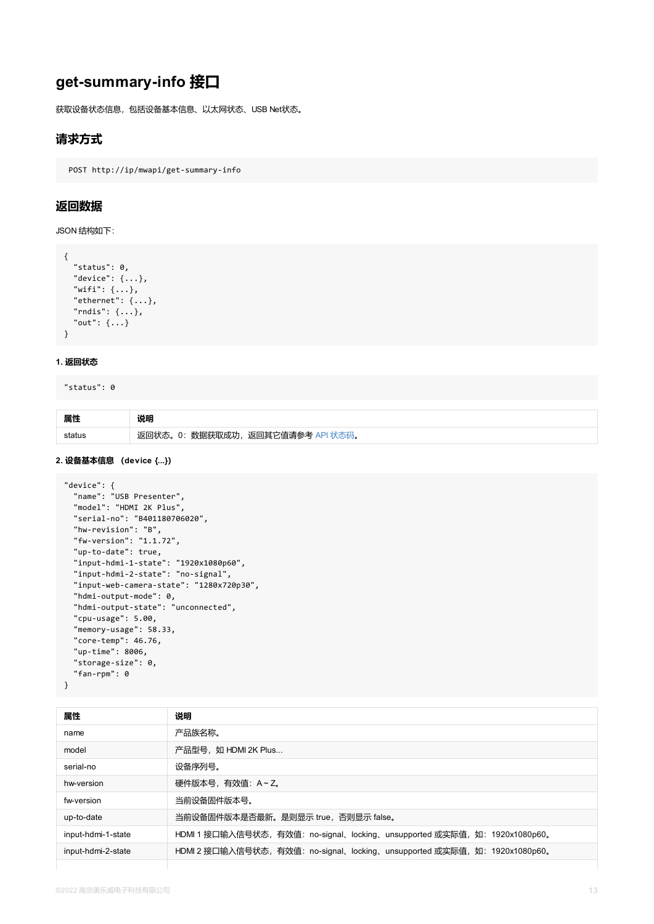```
"rndis": {...},
 "out": {...}
}
```
#### **1. 返回状态**

```
"status": 0
```

| 属性     | 说明                                   |
|--------|--------------------------------------|
| status | 数据获取成功, 返回其它值请参考 API 状态码。<br>返回状态。0: |

### **2. 设备基本信息 (device {...})**

```
"device": {
  "name": "USB Presenter",
  "model": "HDMI 2K Plus",
  "serial-no": "B401180706020",
  "hw-revision": "B",
  "fw-version": "1.1.72",
  "up-to-date": true,
  "input-hdmi-1-state": "1920x1080p60",
  "input-hdmi-2-state": "no-signal",
  "input-web-camera-state": "1280x720p30",
  "hdmi-output-mode": 0,
  "hdmi-output-state": "unconnected",
  "cpu-usage": 5.00,
  "memory-usage": 58.33,
  "core-temp": 46.76,
  "up-time": 8006,
  "storage-size": 0,
  "fan-rpm": 0
}
```

| 说明<br>属性<br>产品族名称。<br>name<br>产品型号, 如 HDMI 2K Plus<br>model<br>设备序列号。<br>serial-no<br>硬件版本号,有效值: A~Z。<br>hw-version<br>当前设备固件版本号。<br>fw-version<br>当前设备固件版本是否最新。是则显示 true, 否则显示 false。<br>up-to-date<br>input-hdmi-1-state<br>input-hdmi-2-state |  |                                                           |
|--------------------------------------------------------------------------------------------------------------------------------------------------------------------------------------------------------------------------------------------------|--|-----------------------------------------------------------|
|                                                                                                                                                                                                                                                  |  |                                                           |
|                                                                                                                                                                                                                                                  |  |                                                           |
|                                                                                                                                                                                                                                                  |  |                                                           |
|                                                                                                                                                                                                                                                  |  |                                                           |
|                                                                                                                                                                                                                                                  |  |                                                           |
|                                                                                                                                                                                                                                                  |  |                                                           |
|                                                                                                                                                                                                                                                  |  |                                                           |
|                                                                                                                                                                                                                                                  |  | HDMI 1 接口输入信号状态, 有效值: no-signal、locking、unsupported 或实际值, |
|                                                                                                                                                                                                                                                  |  | HDMI 2 接口输入信号状态, 有效值: no-signal、locking、unsupported 或实际值, |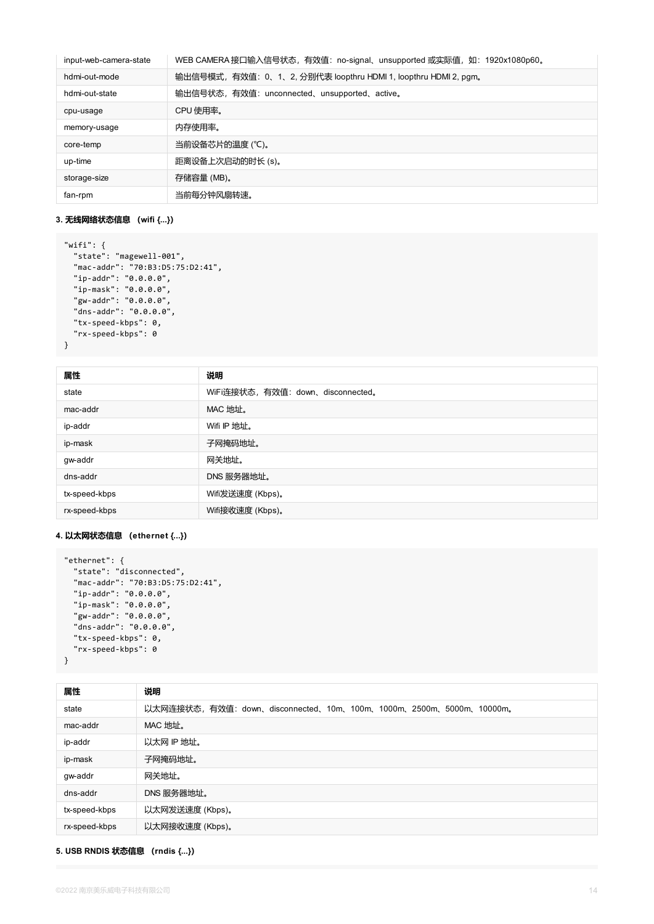| input-web-camera-state | WEB CAMERA 接口输入信号状态,有效值: no-signal、unsupported 或实际值,如: 1920x1080p60。 |
|------------------------|----------------------------------------------------------------------|
| hdmi-out-mode          | 输出信号模式,有效值: 0、1、2, 分别代表 loopthru HDMI 1, loopthru HDMI 2, pgm。       |
| hdmi-out-state         | 输出信号状态,有效值:unconnected、unsupported、active。                           |
| cpu-usage              | CPU 使用率。                                                             |
| memory-usage           | 内存使用率。                                                               |
| core-temp              | 当前设备芯片的温度 (℃)。                                                       |
| up-time                | 距离设备上次启动的时长 (s)。                                                     |
| storage-size           | 存储容量 (MB)。                                                           |
| fan-rpm                | 当前每分钟风扇转速。                                                           |
|                        |                                                                      |

### **3. 无线网络状态信息 (wifi {...})**

```
"wifi": {
 "state": "magewell-001",
 "mac-addr": "70:B3:D5:75:D2:41",
  "ip-addr": "0.0.0.0",
  "ip-mask": "0.0.0.0",
  "gw-addr": "0.0.0.0",
  "dns-addr": "0.0.0.0",
 "tx-speed-kbps": 0,
  "rx-speed-kbps": 0
}
```

| 属性            | 说明                                |
|---------------|-----------------------------------|
| state         | WiFi连接状态, 有效值: down、disconnected。 |
| mac-addr      | MAC 地址。                           |
| ip-addr       | Wifi IP 地址。                       |
| ip-mask       | 子网掩码地址。                           |
| gw-addr       | 网关地址。                             |
| dns-addr      | DNS 服务器地址。                        |
| tx-speed-kbps | Wifi发送速度 (Kbps)。                  |
| rx-speed-kbps | Wifi接收速度 (Kbps)。                  |

### **4. 以太网状态信息 (ethernet {...})**

```
"ethernet": {
 "state": "disconnected",
  "mac-addr": "70:B3:D5:75:D2:41",
  "ip-addr": "0.0.0.0",
  "ip-mask": "0.0.0.0",
  "gw-addr": "0.0.0.0",
  "dns-addr": "0.0.0.0",
  "tx-speed-kbps": 0,
  "rx-speed-kbps": 0
}
```

| state         | 以太网连接状态,有效值:down、disconnected、10m、100m、1000m、2500m、5000m、10000m。 |
|---------------|------------------------------------------------------------------|
| mac-addr      | MAC 地址。                                                          |
| ip-addr       | 以太网 IP 地址。                                                       |
| ip-mask       | 子网掩码地址。                                                          |
| gw-addr       | 网关地址。                                                            |
| dns-addr      | DNS 服务器地址。                                                       |
| tx-speed-kbps | 以太网发送速度(Kbps)。                                                   |
| rx-speed-kbps | 以太网接收速度 (Kbps)。                                                  |

### **5. USB RNDIS 状态信息 (rndis {...})**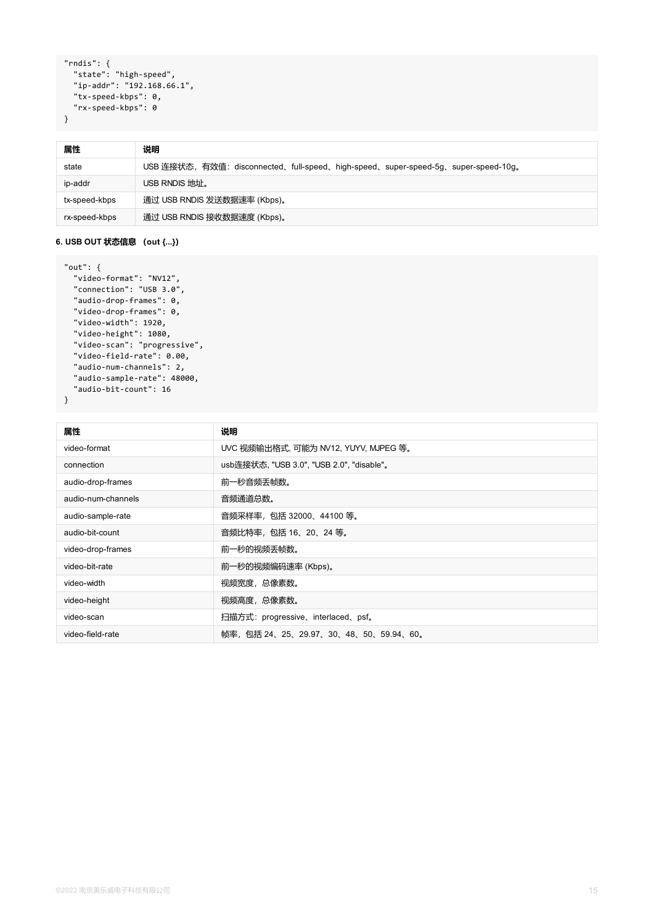```
"rndis": {
 "state": "high-speed",
 "ip-addr": "192.168.66.1",
  "tx-speed-kbps": 0,
 "rx-speed-kbps": 0
}
```

| 属性            | 说明                                                                                |
|---------------|-----------------------------------------------------------------------------------|
| state         | USB 连接状态, 有效值: disconnected、full-speed、high-speed、super-speed-5g、super-speed-10g。 |
| ip-addr       | USB RNDIS 地址。                                                                     |
| tx-speed-kbps | 通过 USB RNDIS 发送数据速率 (Kbps)。                                                       |
| rx-speed-kbps | 通过 USB RNDIS 接收数据速度 (Kbps)。                                                       |

## **6. USB OUT 状态信息 (out {...})**

```
"out": {
  "video-format": "NV12",
  "connection": "USB 3.0",
  "audio-drop-frames": 0,
  "video-drop-frames": 0,
  "video-width": 1920,
  "video-height": 1080,
  "video-scan": "progressive",
  "video-field-rate": 0.00,
  "audio-num-channels": 2,
  "audio-sample-rate": 48000,
  "audio-bit-count": 16
}
```

| 属性                 | 说明                                        |
|--------------------|-------------------------------------------|
| video-format       | UVC 视频输出格式, 可能为 NV12, YUYV, MJPEG 等。      |
| connection         | usb连接状态, "USB 3.0", "USB 2.0", "disable"。 |
| audio-drop-frames  | 前一秒音频丢帧数。                                 |
| audio-num-channels | 音频通道总数。                                   |
| audio-sample-rate  | 音频采样率, 包括 32000、44100 等。                  |
| audio-bit-count    | 音频比特率, 包括 16、20、24 等。                     |
| video-drop-frames  | 前一秒的视频丢帧数。                                |
| video-bit-rate     | 前一秒的视频编码速率 (Kbps)。                        |
| video-width        | 视频宽度,总像素数。                                |
| video-height       | 视频高度, 总像素数。                               |
| video-scan         | 扫描方式: progressive、interlaced、psf。         |
| video-field-rate   | 帧率,包括 24、25、29.97、30、48、50、59.94、60。      |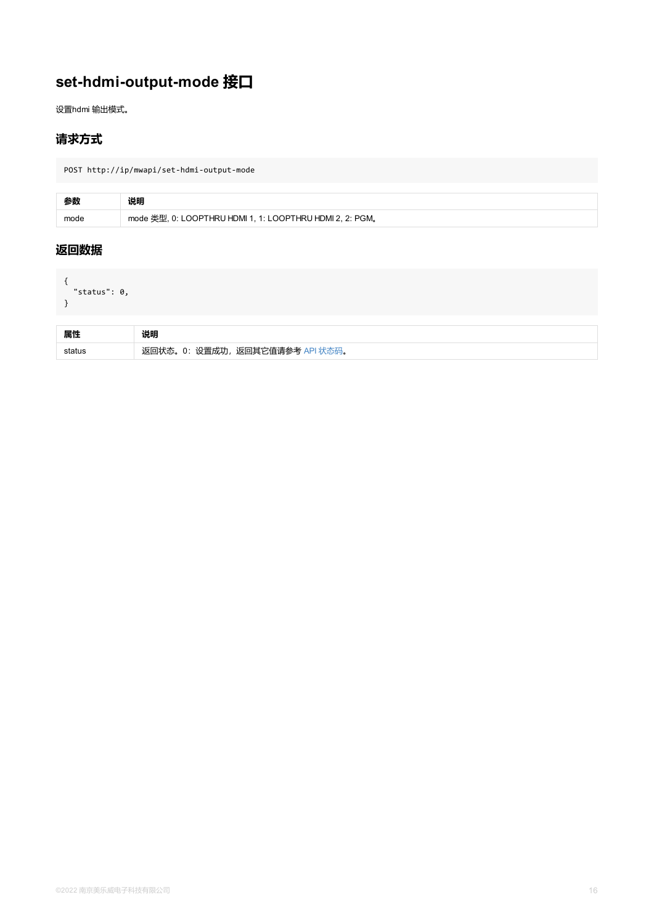<span id="page-15-0"></span>

| 属性     | 说明                              |
|--------|---------------------------------|
| status | 返回状态。0: 设置成功, 返回其它值请参考 API 状态码。 |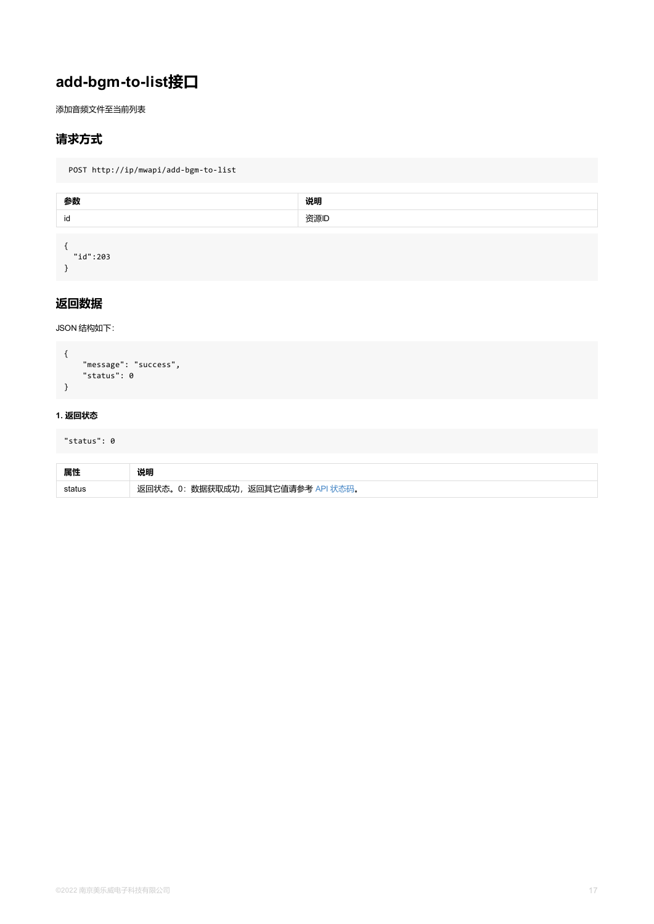```
{
   "message": "success",
  "status": 0
}
```
### **1. 返回状态**

| 属性     | 说明                                |
|--------|-----------------------------------|
| status | 返回状态。0: 数据获取成功, 返回其它值请参考 API 状态码。 |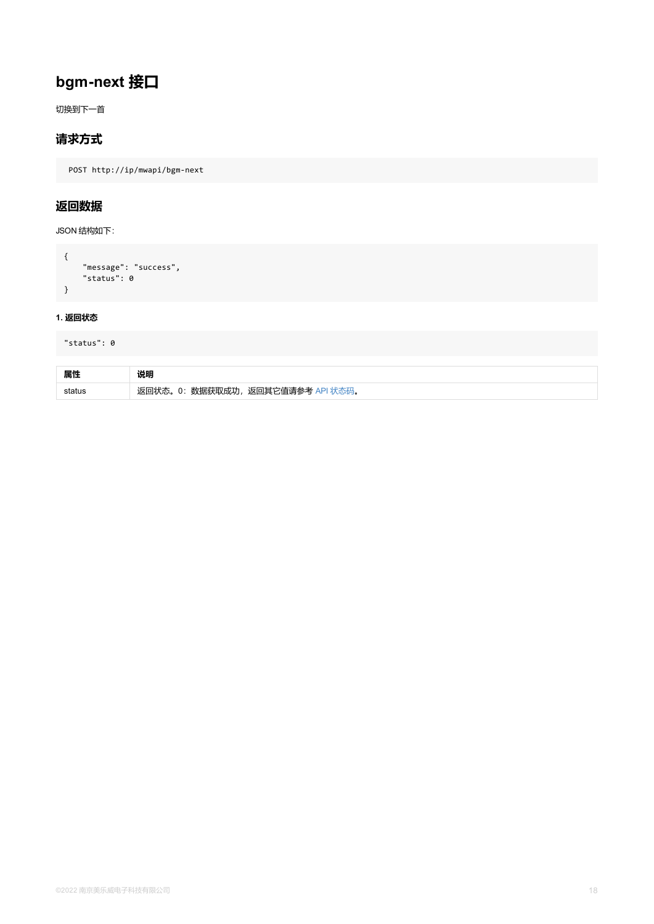## <span id="page-17-0"></span>**1. 返回状态**

| 属性     | 说明                                |
|--------|-----------------------------------|
| status | 返回状态。0: 数据获取成功, 返回其它值请参考 API 状态码。 |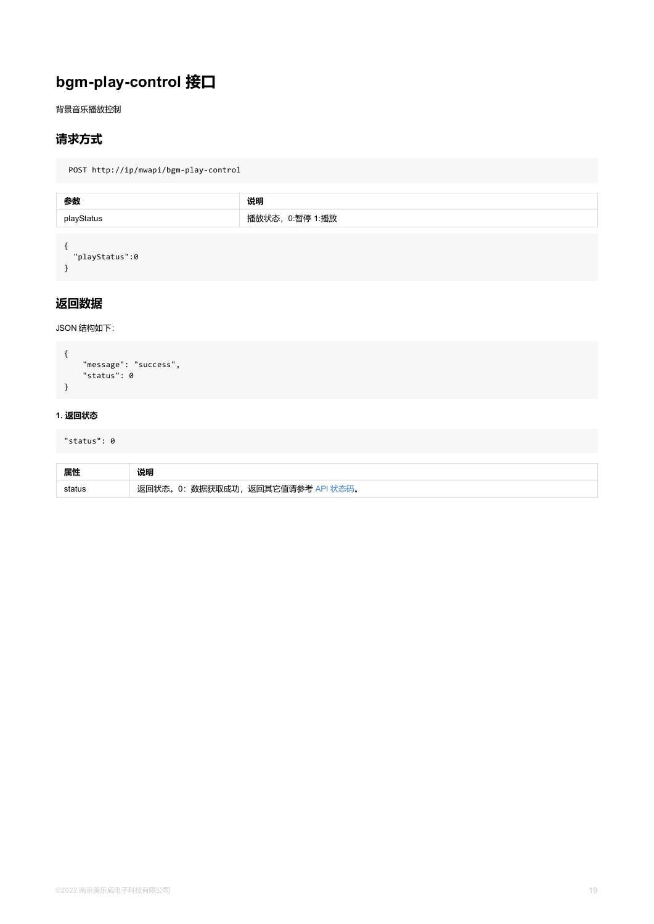```
{
   "message": "success",
  "status": 0
}
```
### **1. 返回状态**

| 属性     | 说明                                |
|--------|-----------------------------------|
| status | 返回状态。0: 数据获取成功, 返回其它值请参考 API 状态码。 |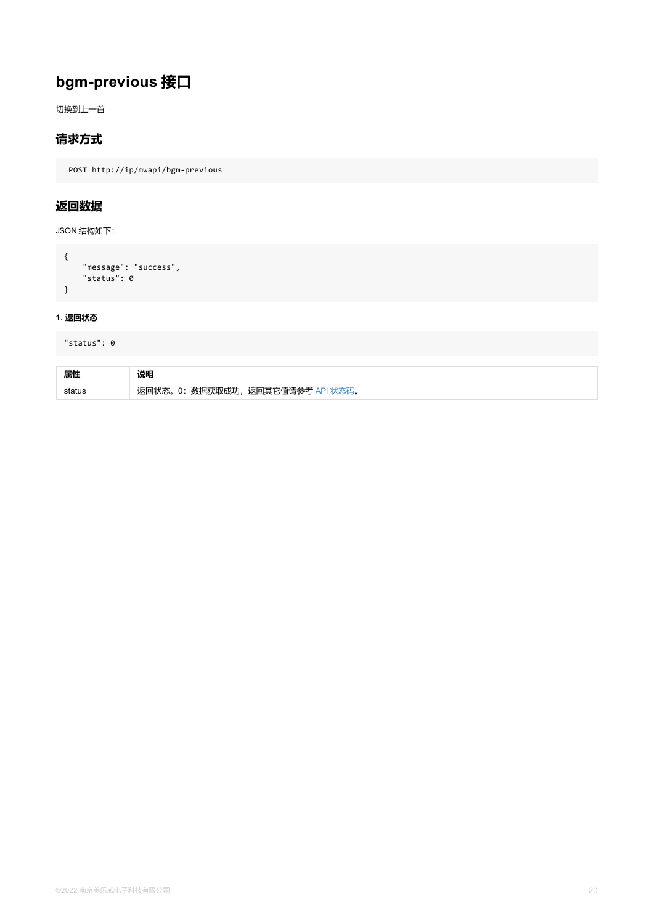## <span id="page-19-0"></span>**1. 返回状态**

| 属性     | 说明                                |
|--------|-----------------------------------|
| status | 返回状态。0: 数据获取成功, 返回其它值请参考 API 状态码。 |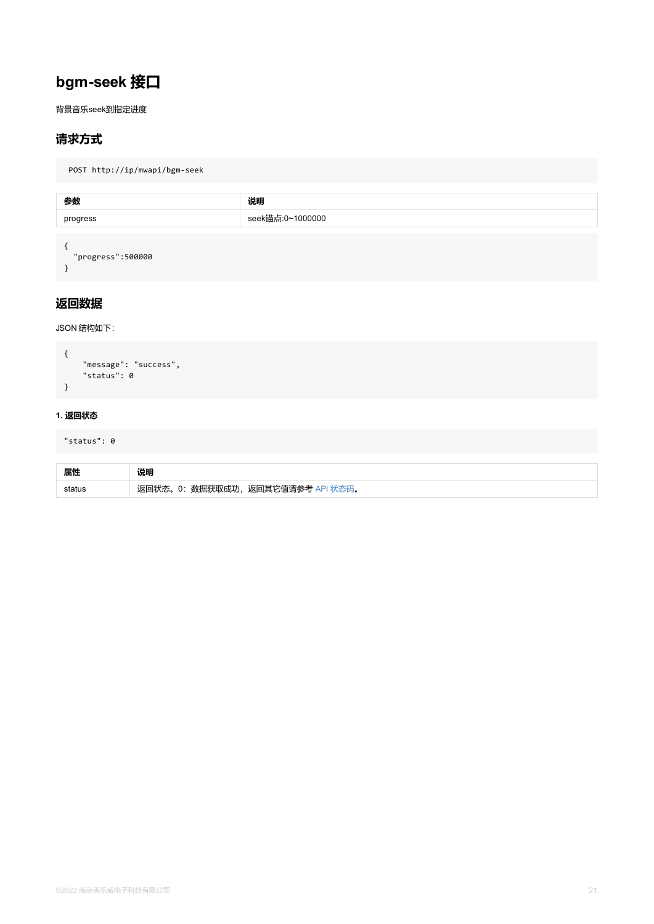```
{
   "message": "success",
  "status": 0
}
```
### **1. 返回状态**

| 属性     | 说明                                |
|--------|-----------------------------------|
| status | 返回状态。0: 数据获取成功, 返回其它值请参考 API 状态码。 |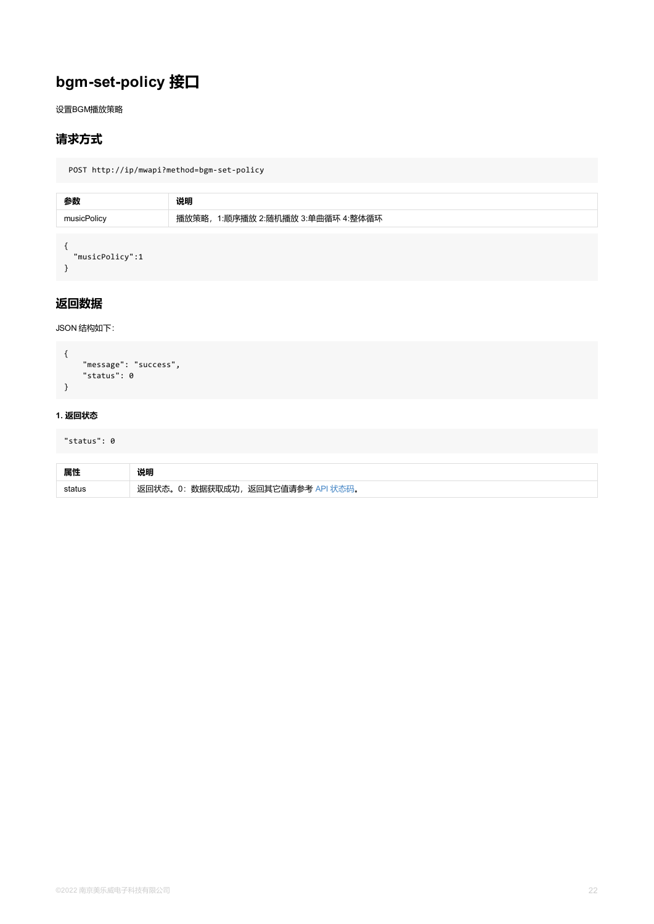```
{
   "message": "success",
  "status": 0
}
```
### **1. 返回状态**

| 属性     | 说明                                |
|--------|-----------------------------------|
| status | 返回状态。0: 数据获取成功, 返回其它值请参考 API 状态码。 |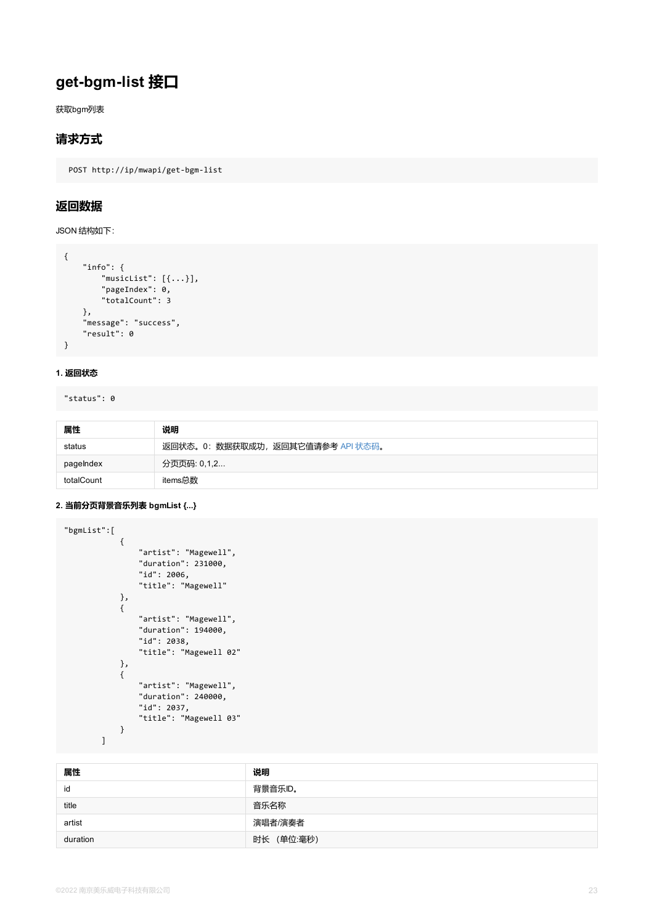```
},
    "message": "success",
    "result": 0
}
```
### **1. 返回状态**

```
"status": 0
```

| 属性         | 说明                                |
|------------|-----------------------------------|
| status     | 返回状态。0: 数据获取成功, 返回其它值请参考 API 状态码。 |
| pagelndex  | 分页页码: 0,1,2                       |
| totalCount | items总数                           |

### **2. 当前分页背景音乐列表 bgmList {...}**

```
"bgmList":[
            {
                "artist": "Magewell",
                "duration": 231000,
                "id": 2006,
                "title": "Magewell"
            },
            {
                "artist": "Magewell",
                "duration": 194000,
                "id": 2038,
                "title": "Magewell 02"
            },
            {
                "artist": "Magewell",
                "duration": 240000,
                "id": 2037,
                "title": "Magewell 03"
            }
        ]
```

| 属性       | 说明         |
|----------|------------|
| id       | 背景音乐ID。    |
| title    | 音乐名称       |
| artist   | 演唱者/演奏者    |
| duration | 时长 (单位:毫秒) |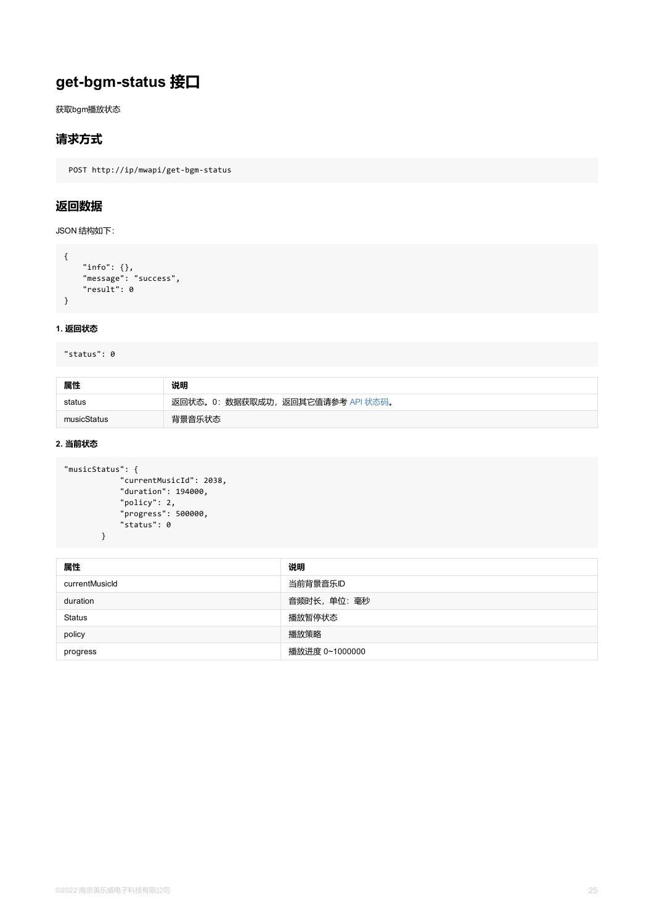### **1. 返回状态**

"status": 0

| 属性          | 说明                                |
|-------------|-----------------------------------|
| status      | 返回状态。0: 数据获取成功, 返回其它值请参考 API 状态码。 |
| musicStatus | 背景音乐状态                            |

### **2. 当前状态**

```
"musicStatus": {
           "currentMusicId": 2038,
            "duration": 194000,
            "policy": 2,
            "progress": 500000,
           "status": 0
       }
```

| 属性             | 说明             |
|----------------|----------------|
| currentMusicId | 当前背景音乐ID       |
| duration       | 音频时长, 单位: 毫秒   |
| <b>Status</b>  | 播放暂停状态         |
| policy         | 播放策略           |
| progress       | 播放进度 0~1000000 |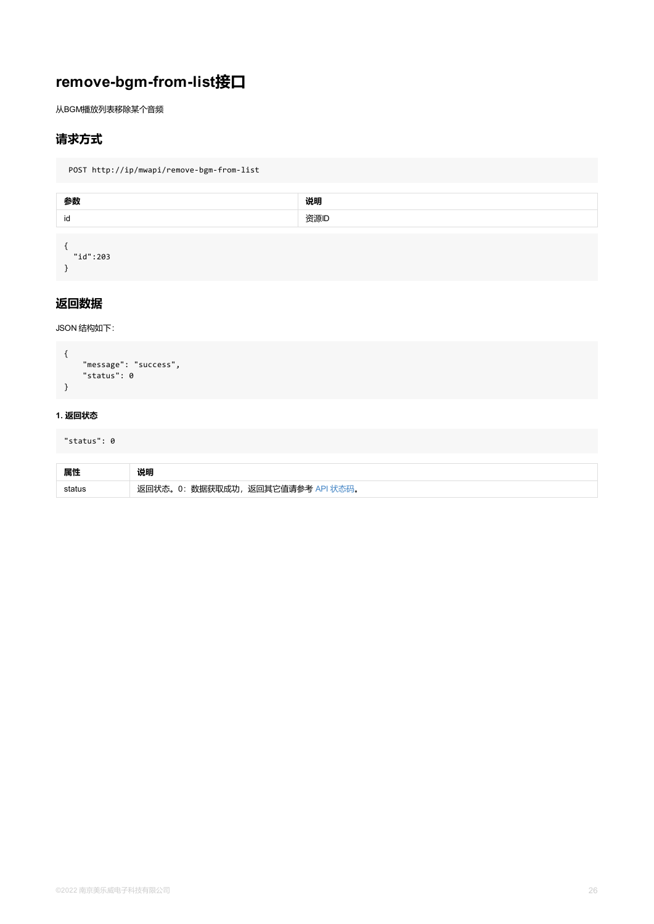```
{
   "message": "success",
  "status": 0
}
```
### **1. 返回状态**

| 属性     | 说明                                |
|--------|-----------------------------------|
| status | 返回状态。0: 数据获取成功, 返回其它值请参考 API 状态码。 |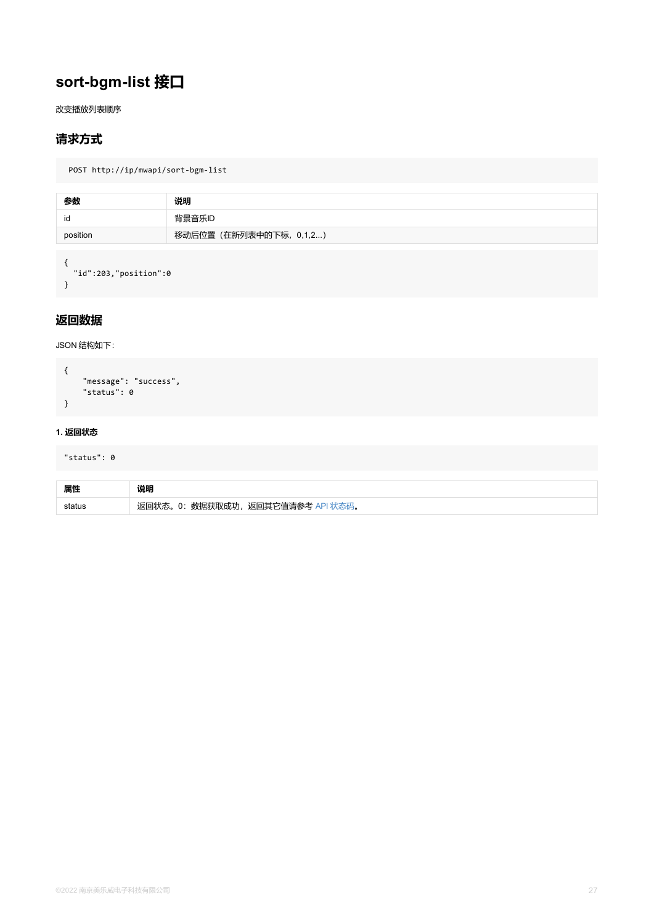# <span id="page-26-0"></span>**返回数据**

JSON 结构如下:

```
{
   "message": "success",
  "status": 0
}
```
### **1. 返回状态**

| 属性     | 说明                                |
|--------|-----------------------------------|
| status | 返回状态。0: 数据获取成功, 返回其它值请参考 API 状态码。 |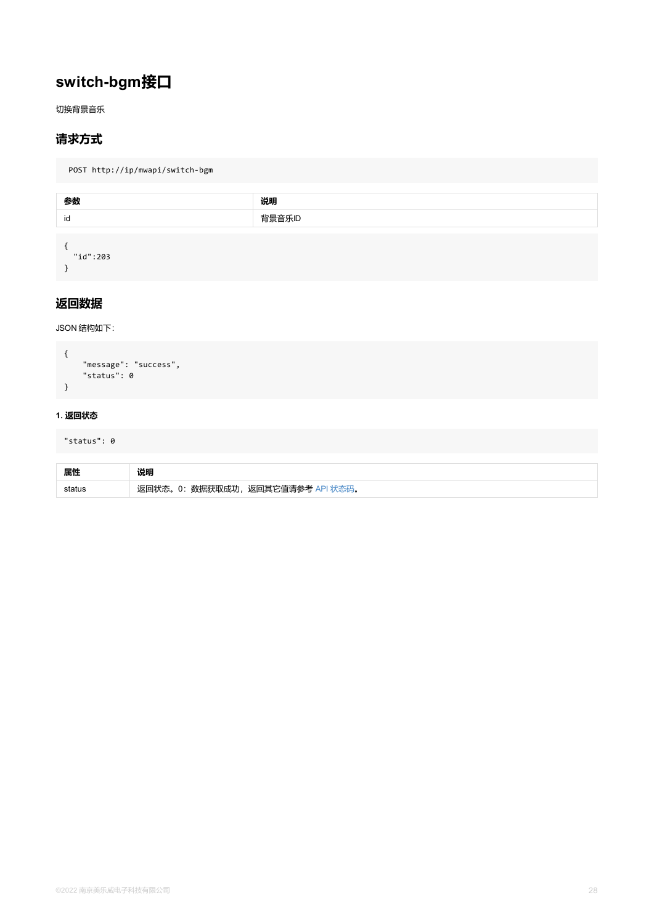```
{
   "message": "success",
  "status": 0
}
```
### **1. 返回状态**

| 属性     | 说明                                |
|--------|-----------------------------------|
| status | 返回状态。0: 数据获取成功, 返回其它值请参考 API 状态码。 |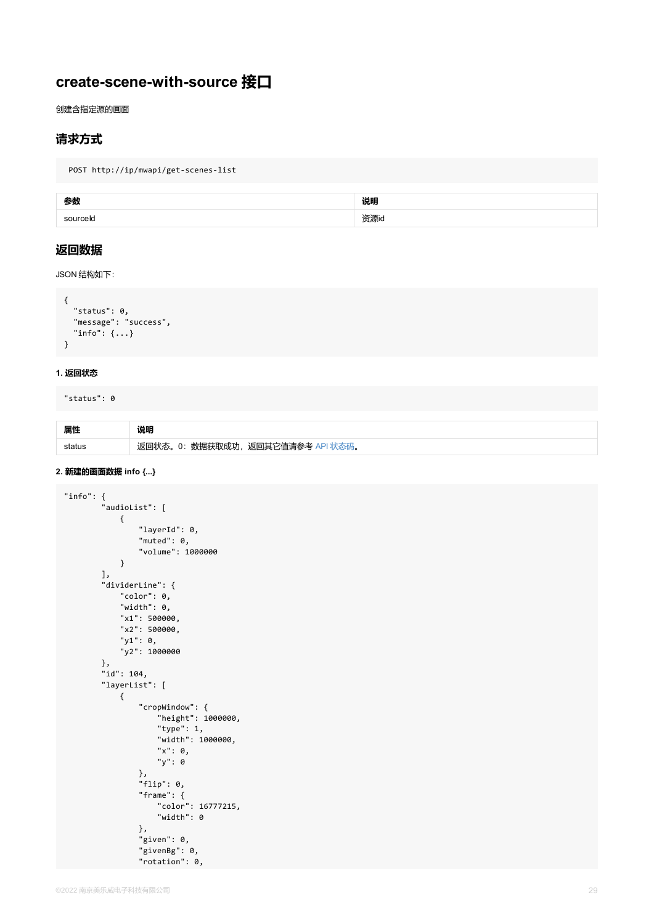# **create-scene-with-source 接口**

创建含指定源的画面

# **请求方式**

POST http://ip/mwapi/get-scenes-list

| 参数       | 说明           |
|----------|--------------|
| sourceld | <b>XRXE:</b> |
|          | <b>资源IQ</b>  |

## **返回数据**

JSON 结构如下:

```
{
 "status": 0,
 "message": "success",
  "info": {...}
}
```
### **1. 返回状态**

"status": 0

| 屋州     | 说明                           |
|--------|------------------------------|
| status | 数据获取成功,<br>返回其它值请参考<br>返回状态。 |

### **2. 新建的画面数据 info {...}**

```
"info": {
        "audioList": [
            {
                "layerId": 0,
               "muted": 0,
               "volume": 1000000
            }
       ],
       "dividerLine": {
            "color": 0,
            "width": 0,
           "x1": 500000,
            "x2": 500000,
            "y1": 0,
            "y2": 1000000
       },
       "id": 104,
        "layerList": [
          {
```

```
"cropWindow": {
    "height": 1000000,
    "type": 1,
    "width": 1000000,
    "x": 0,
    "y": 0
},
"flip": 0,
"frame": {
    "color": 16777215,
    "width": 0
},
"given": 0,
"givenBg": 0,
"rotation": 0,
```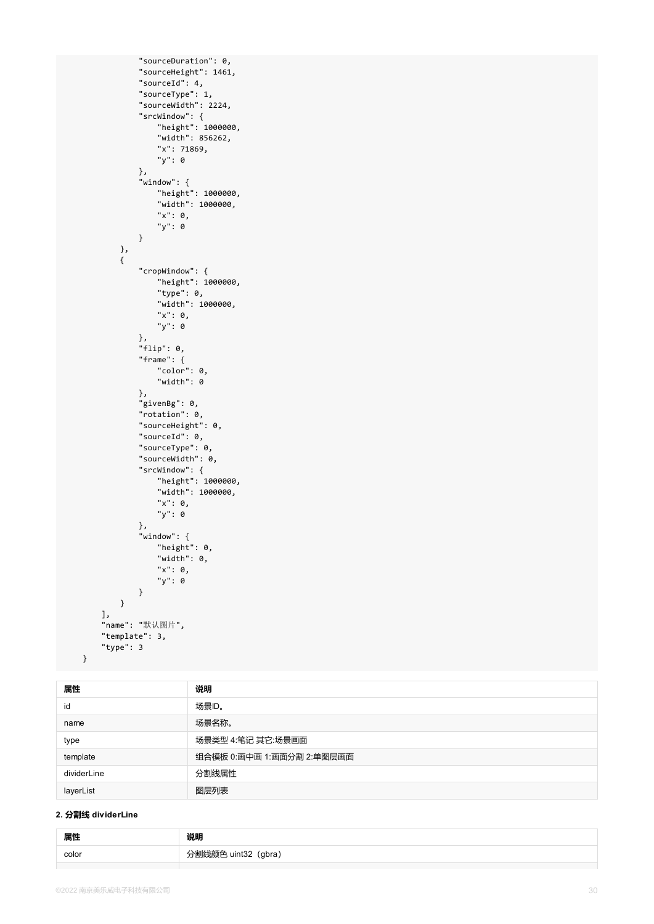```
"sourceDuration": 0,
        "sourceHeight": 1461,
        "sourceId": 4,
        "sourceType": 1,
        "sourceWidth": 2224,
        "srcWindow": {
             "height": 1000000,
             "width": 856262,
             "x": 71869,
             "
y
"
:
0
        }
,
        "window": {
             "height": 1000000,
             "width": 1000000,
             "x": 0,
             "
y
"
:
0
        }
    }
,
   {
        "cropWindow": {
             "height": 1000000,
             "type": 0,
             "width": 1000000,
             "x": 0,
             "
y
"
:
0
        }
,
        "flip": 0,
        "frame": {
             "color": 0,
             "width": 0
        }
,
        "givenBg": 0,
        "rotation": 0,
        "sourceHeight": 0,
        "sourceId": 0,
        "sourceType": 0,
        "sourceWidth": 0,
        "srcWindow": {
             "height": 1000000,
             "width": 1000000,
             "x": 0,
             "
y
"
:
0
        }
,
        "window": {
             "height": 0,
             "width": 0,
             "x": 0,
             "
y
"
:
0
        }
   }
]
,
"name": "默认图片",
"template": 3,
"
t
y
p
e
"
:
3
```
}

| id          | 场景ID。                     |
|-------------|---------------------------|
| name        | 场景名称。                     |
| type        | 场景类型 4:笔记 其它:场景画面         |
| template    | 组合模板 0:画中画 1:画面分割 2:单图层画面 |
| dividerLine | 分割线属性                     |
| layerList   | 图层列表                      |

#### **2 . 分 割 线 d i v i d e r L i n e**

| 属性    | 说明                 |
|-------|--------------------|
| color | )割线颜色 uint32(gbra) |
|       |                    |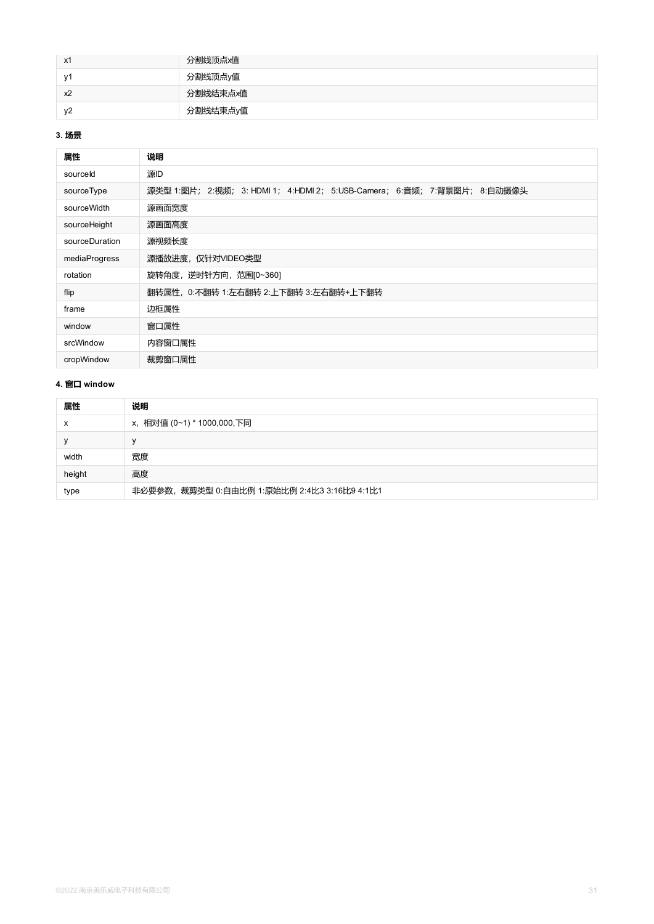| -x1 | 分割线顶点x值  |
|-----|----------|
| V1  | 分割线顶点y值  |
| х2  | 分割线结束点x值 |
| y2  | 分割线结束点y值 |

## **3. 场景**

| 属性             | 说明                                                                       |  |
|----------------|--------------------------------------------------------------------------|--|
| sourceld       | 源ID                                                                      |  |
| sourceType     | 源类型 1:图片; 2:视频; 3: HDMI 1; 4:HDMI 2; 5:USB-Camera; 6:音频; 7:背景图片; 8:自动摄像头 |  |
| sourceWidth    | 源画面宽度                                                                    |  |
| sourceHeight   | 源画面高度                                                                    |  |
| sourceDuration | 源视频长度                                                                    |  |
| mediaProgress  | 源播放进度, 仅针对VIDEO类型                                                        |  |
| rotation       | 旋转角度,逆时针方向,范围[0~360]                                                     |  |
| flip           | 翻转属性,0:不翻转 1:左右翻转 2:上下翻转 3:左右翻转+上下翻转                                     |  |
| frame          | 边框属性                                                                     |  |
| window         | 窗口属性                                                                     |  |
| srcWindow      | 内容窗口属性                                                                   |  |
| cropWindow     | 裁剪窗口属性                                                                   |  |

## **4. 窗口 window**

| 属性     | 说明                                           |
|--------|----------------------------------------------|
| x      | x, 相对值 (0~1) * 1000,000,下同                   |
|        | $\mathsf{V}$                                 |
| width  | 宽度                                           |
| height | 高度                                           |
| type   | 非必要参数, 裁剪类型 0:自由比例 1:原始比例 2:4比3 3:16比9 4:1比1 |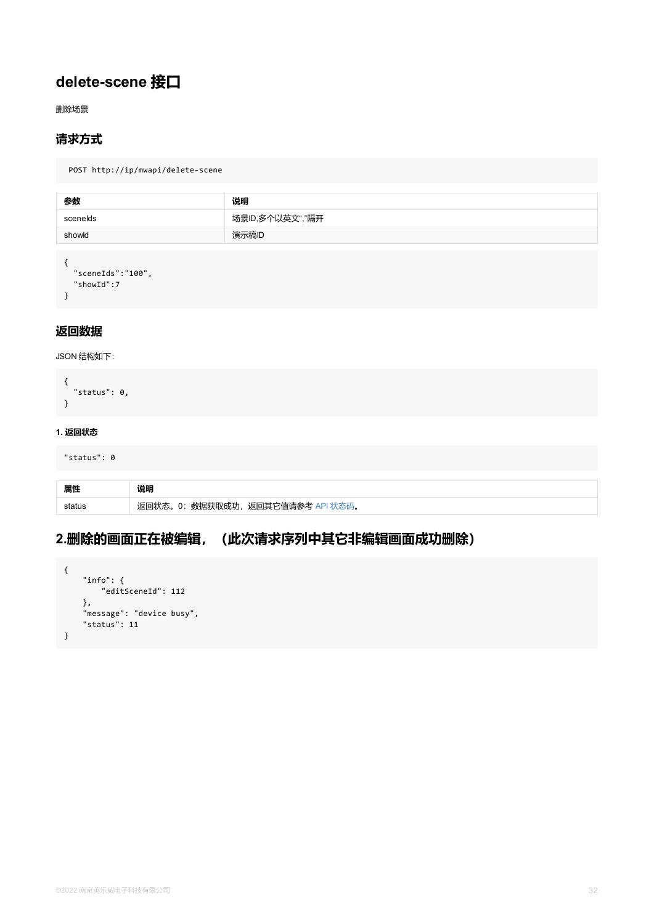# **delete-scene 接口**

删除场景

# **请求方式**

POST http://ip/mwapi/delete-scene

| 参数       | 说明              |
|----------|-----------------|
| scenelds | 场景ID,多个以英文","隔开 |
| showld   | 演示稿ID           |

```
{
 "sceneIds":"100",
 "showId":7
}
```
# **返回数据**

JSON 结构如下:

```
{
"status": 0,
}
```
### **1. 返回状态**

"status": 0

| 属性     | 说明                                        |
|--------|-------------------------------------------|
| status | 返回状态。0: 数据获取成功, ;<br>I, 返回其它值请参考 API 状态码。 |

# 2.删除的画面正在被编辑, (此次请求序列中其它非编辑画面成功删除)

```
{
    "info": {
       "editSceneId": 112
   },
    "message": "device busy",
    "status": 11
}
```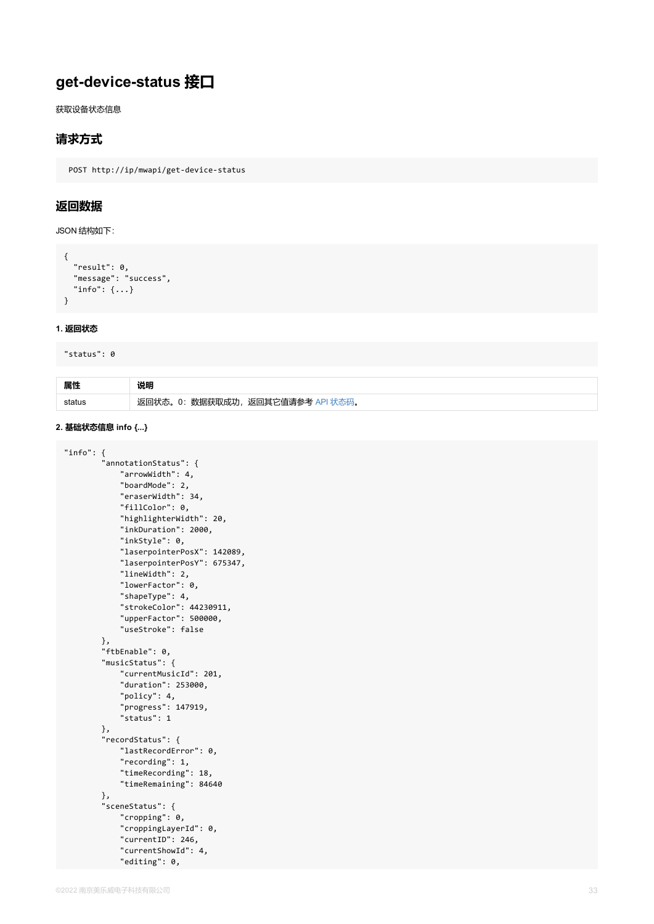# **get-device-status 接口**

获取设备状态信息

## **请求方式**

POST http://ip/mwapi/get-device-status

## **返回数据**

#### JSON 结构如下:

```
{
  "result": 0,
  "message": "success",
  "info": {...}
}
```
### **1. 返回状态**

```
"status": 0
```

| 属性     | 说明                                  |
|--------|-------------------------------------|
| status | 数据获取成功<br>返回其它值请参考<br>返回状态。<br>「心咍。 |

### **2. 基础状态信息 info {...}**

```
"info": {
        "annotationStatus": {
            "arrowWidth": 4,
            "boardMode": 2,
            "eraserWidth": 34,
            "fillColor": 0,
            "highlighterWidth": 20,
            "inkDuration": 2000,
            "inkStyle": 0,
            "laserpointerPosX": 142089,
            "laserpointerPosY": 675347,
            "lineWidth": 2,
            "lowerFactor": 0,
            "shapeType": 4,
            "strokeColor": 44230911,
            "upperFactor": 500000,
            "useStroke": false
       },
        "ftbEnable": 0,
        "musicStatus": {
            "currentMusicId": 201,
            "duration": 253000,
            "policy": 4,
            "progress": 147919,
            "status": 1
       },
        "recordStatus": {
            "lastRecordError": 0,
            "recording": 1,
            "timeRecording": 18,
            "timeRemaining": 84640
       },
        "sceneStatus": {
            "cropping": 0,
            "croppingLayerId": 0,
            "currentID": 246,
            "currentShowId": 4,
            "editing": 0,
```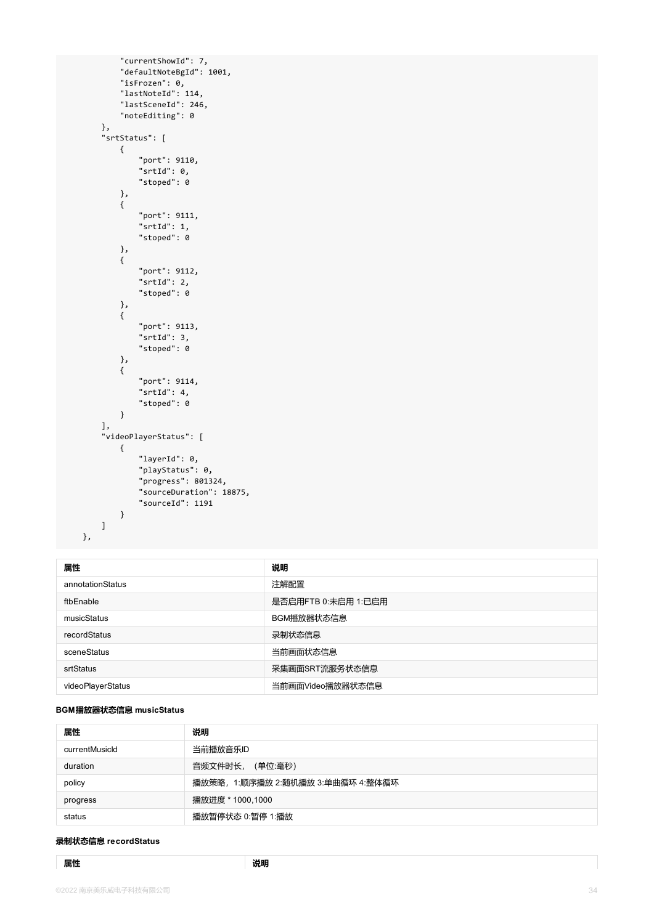```
"currentShowId": 7,
        "defaultNoteBgId": 1001,
        "isFrozen": 0,
        "lastNoteId": 114,
        "lastSceneId": 246,
        "noteEditing": 0
    },
    "srtStatus": [
        {
            "port": 9110,
            "srtId": 0,
            "stoped": 0
        },
        {
            "port": 9111,
            "srtId": 1,
            "stoped": 0
        },
        {
            "port": 9112,
            "srtId": 2,
            "stoped": 0
        },
        {
            "port": 9113,
            "srtId": 3,
            "stoped": 0
        },
        {
            "port": 9114,
            "srtId": 4,
            "stoped": 0
        }
    ],
    "videoPlayerStatus": [
        {
            "layerId": 0,
            "playStatus": 0,
            "progress": 801324,
            "sourceDuration": 18875,
            "sourceId": 1191
        }
    ]
},
```

| 属性                | 说明                  |
|-------------------|---------------------|
| annotationStatus  | 注解配置                |
| ftbEnable         | 是否启用FTB 0:未启用 1:已启用 |
| musicStatus       | BGM播放器状态信息          |
| recordStatus      | 录制状态信息              |
| sceneStatus       | 当前画面状态信息            |
| srtStatus         | 采集画面SRT流服务状态信息      |
| videoPlayerStatus | 当前画面Video播放器状态信息    |

### **BGM播放器状态信息 musicStatus**

| 属性             | 说明                               |
|----------------|----------------------------------|
| currentMusicId | 当前播放音乐ID                         |
| duration       | 音频文件时长,(单位:毫秒)                   |
| policy         | 播放策略,1:顺序播放 2:随机播放 3:单曲循环 4:整体循环 |
| progress       | 播放进度 * 1000,1000                 |
| status         | 播放暂停状态 0:暂停 1:播放                 |

### **录制状态信息 recordStatus**

| 说明<br>満に |
|----------|
|          |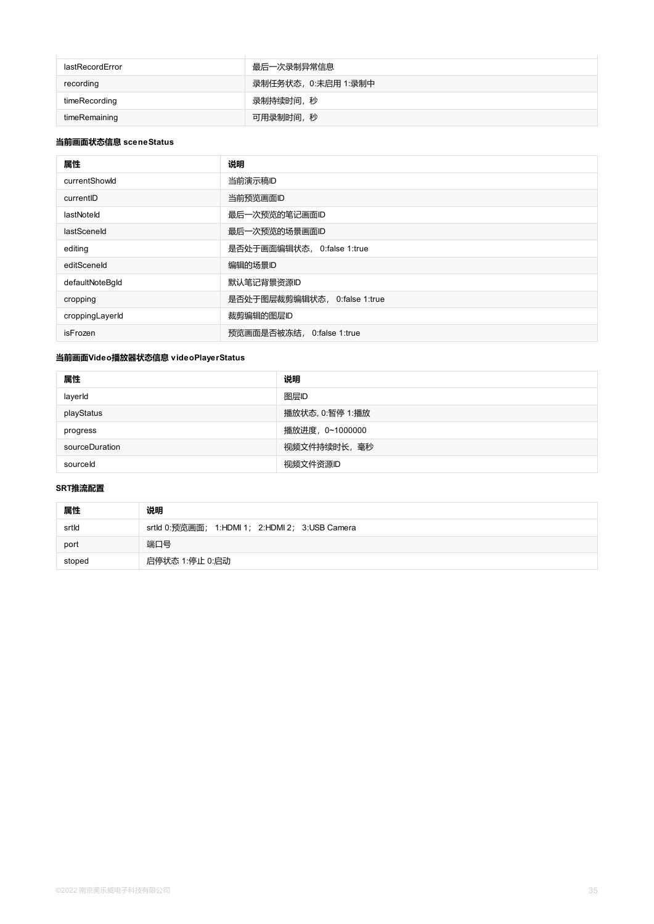| lastRecordError | 最后一次录制异常信息          |
|-----------------|---------------------|
| recording       | 录制任务状态, 0:未启用 1:录制中 |
| timeRecording   | 录制持续时间, 秒           |
| timeRemaining   | 可用录制时间, 秒           |

### **当前画面状态信息 sceneStatus**

| 属性                | 说明                           |
|-------------------|------------------------------|
| currentShowld     | 当前演示稿ID                      |
| currentID         | 当前预览画面ID                     |
| <b>lastNoteld</b> | 最后一次预览的笔记画面ID                |
| lastSceneld       | 最后一次预览的场景画面ID                |
| editing           | 是否处于画面编辑状态, 0:false 1:true   |
| editSceneld       | 编辑的场景ID                      |
| defaultNoteBgld   | 默认笔记背景资源ID                   |
| cropping          | 是否处于图层裁剪编辑状态, 0:false 1:true |
| croppingLayerId   | 裁剪编辑的图层ID                    |
| isFrozen          | 预览画面是否被冻结, 0:false 1:true    |

## **当前画面Video播放器状态信息 videoPlayerStatus**

| 属性             | 说明              |
|----------------|-----------------|
| layerld        | 图层ID            |
| playStatus     | 播放状态, 0:暂停 1:播放 |
| progress       | 播放进度,0~1000000  |
| sourceDuration | 视频文件持续时长,毫秒     |
| sourceld       | 视频文件资源ID        |

## **SRT推流配置**

| 属性     | 说明                                             |
|--------|------------------------------------------------|
| srtld  | srtId 0:预览画面; 1:HDMI 1; 2:HDMI 2; 3:USB Camera |
| port   | 端口号                                            |
| stoped | 启停状态 1:停止 0:启动                                 |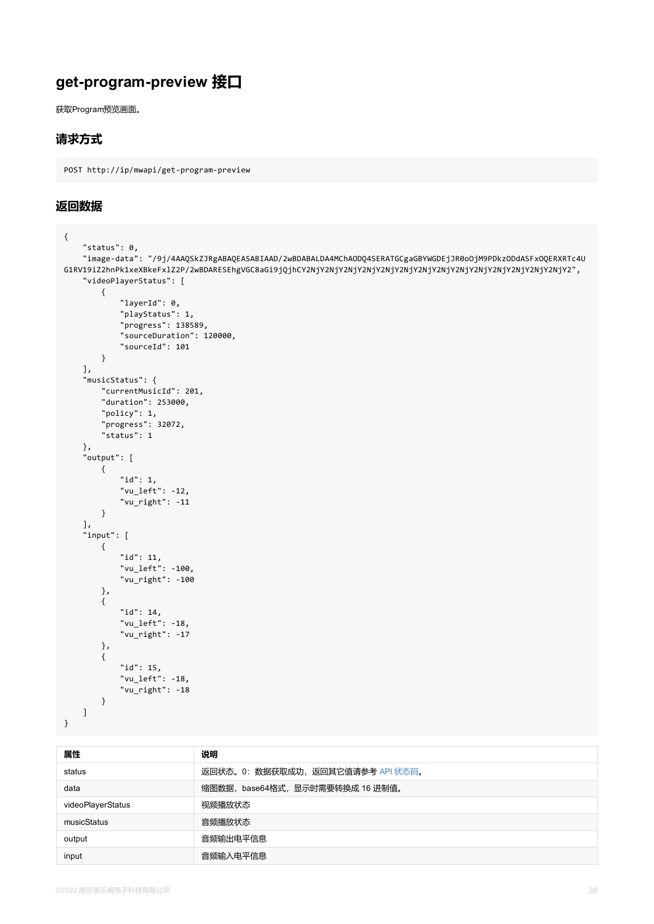# **get-program-preview 接口**

获取Program预览画面。

# **请求方式**

POST http://ip/mwapi/get-program-preview

## **返回数据**

```
{
    "status": 0,
```
"image-data": "/9j/4AAQSkZJRgABAQEASABIAAD/2wBDABALDA4MChAODQ4SERATGCgaGBYWGDEjJR0oOjM9PDkzODdASFxOQERXRTc4U G1RV19iZ2hnPk1xeXBkeFxlZ2P/2wBDARESEhgVGC8aGi9jQjhCY2NjY2NjY2NjY2NjY2NjY2NjY2NjY2NjY2NjY2NjY2NjY2NjY2NjY2NjY2",

```
"videoPlayerStatus": [
    {
        "layerId": 0,
        "playStatus": 1,
        "progress": 138589,
        "sourceDuration": 120000,
        "sourceId": 101
    }
],
"musicStatus": {
    "currentMusicId": 201,
    "duration": 253000,
    "policy": 1,
    "progress": 32072,
    "status": 1
},
"output": [
    {
        "id": 1,
        "vu_left": -12,
        "vu_right": -11
    }
],
"input": [
    {
        "id": 11,
        "vu_left": -100,
        "vu_right": -100
    },
    {
        "id": 14,
        "vu_left": -18,
        "vu_right": -17
    },
    {
        "id": 15,
        "vu_left": -18,
        "vu_right": -18
```
}

| e k | 2400<br>1 W H H H |
|-----|-------------------|
|     |                   |
|     |                   |
|     |                   |
|     |                   |

| 属性                | 说明                                |
|-------------------|-----------------------------------|
| status            | 返回状态。0: 数据获取成功, 返回其它值请参考 API 状态码。 |
| data              | 缩图数据, base64格式, 显示时需要转换成 16 进制值。  |
| videoPlayerStatus | 视频播放状态                            |
| musicStatus       | 音频播放状态                            |
| output            | 音频输出电平信息                          |
| input             | 音频输入电平信息                          |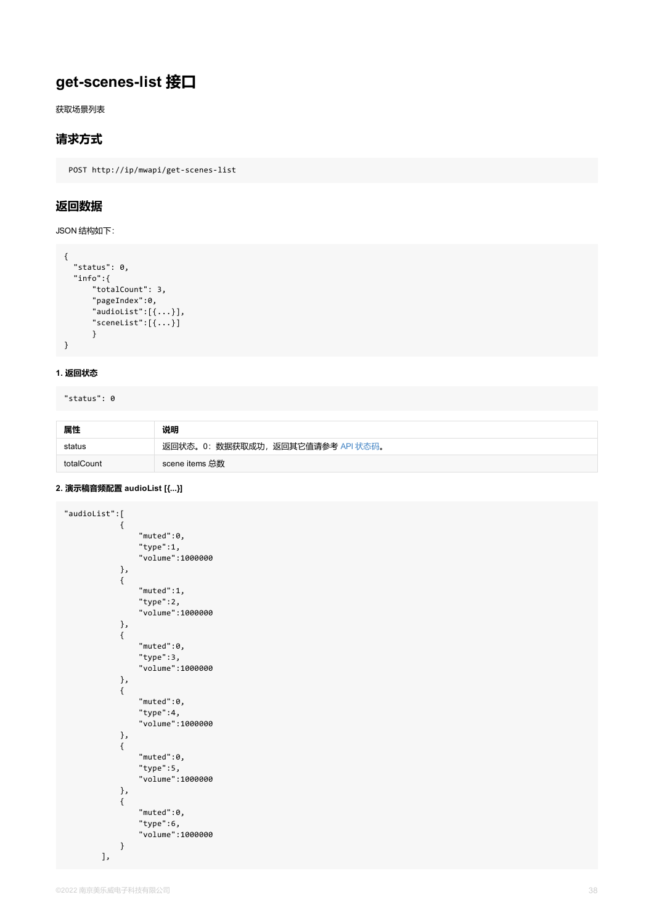# **get-scenes-list 接口**

获取场景列表

### **请求方式**

POST http://ip/mwapi/get-scenes-list

### **返回数据**

JSON 结构如下:

```
{
  "status": 0,
  "info":{
      "totalCount": 3,
      "pageIndex":0,
      "audioList":[{...}],
      "sceneList":[{...}]
      }
}
```
### **1. 返回状态**

"status": 0

| 属性         | 说明                                |
|------------|-----------------------------------|
| status     | 返回状态。0: 数据获取成功, 返回其它值请参考 API 状态码。 |
| totalCount | scene items 总数                    |

### **2. 演示稿音频配置 audioList [{...}]**

```
"audioList":[
            {
                "muted":0,
                "type":1,
                "volume":1000000
            },
            {
                "muted":1,
                "type":2,
                "volume":1000000
            },
            {
                "muted":0,
                "type":3,
                "volume":1000000
            },
            {
                "muted":0,
                "type":4,
                "volume":1000000
            },
            {
                "muted":0,
                "type":5,
                "volume":1000000
            },
            {
                "muted":0,
                "type":6,
                "volume":1000000
            }
        ],
```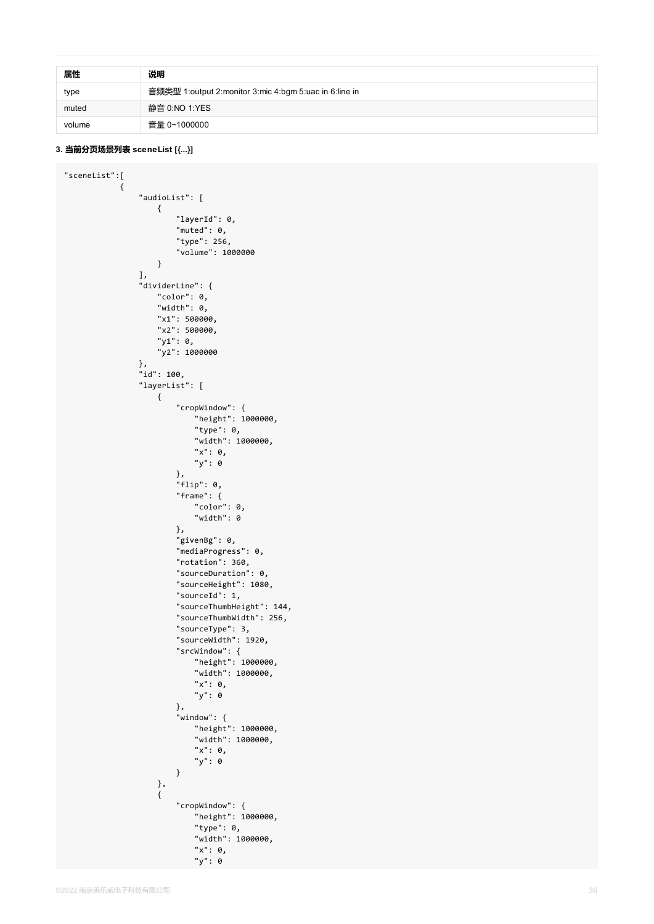| 属性     | 说明                                                     |
|--------|--------------------------------------------------------|
| type   | 音频类型 1:output 2:monitor 3:mic 4:bgm 5:uac in 6:line in |
| muted  | 静音 0:NO 1:YES                                          |
| volume | 音量 0~1000000                                           |

#### **3 . 当 前 分 页 场 景 列 表 s c e n e L i s t [ { . . . } ]**

```
"sceneList":
            \{"audioList": [
                     {
                         "layerId": 0,
                         "muted": 0,
                         "type": 256,
                         "volume": 1000000
                    }
                 ]
,
                 "dividerLine": {
                     "color": 0,
                     "width": 0,
                     "x1": 500000,
                     "x2": 500000,
                     "y1": 0,
                     "y2": 1000000
                 }
,
                 "id": 100,
                 "layerList": [
                    {
                         "cropWindow": {
                              "height": 1000000,
                              "type": 0,
                              "width": 1000000,
                              "x": 0,
                              "
y
"
:
0
                         }
,
                         "flip": 0,
                         "frame": {
                              "color": 0,
                              "width": 0
                         }
,
                         "givenBg": 0,
                         "mediaProgress": 0,
                         "rotation": 360,
                         "sourceDuration": 0,
                         "sourceHeight": 1080,
                         "sourceId": 1,
                         "sourceThumbHeight": 144,
                         "sourceThumbWidth": 256,
                         "sourceType": 3,
                         "sourceWidth": 1920,
                         "srcWindow": {
                              "height": 1000000,
                              "width": 1000000,
                              "x": 0,
                              "
y
"
:
0
                         }
,
                         "window": {
                              "height": 1000000,
                              "width": 1000000,
                              "x": 0,
                              "
y
"
:
0
                         }
                     }
,
                     {
                         "cropWindow": {
                              "height": 1000000,
                              "type": 0,
                              "width": 1000000,
                              "x": 0,
                              "
y
"
:
0
```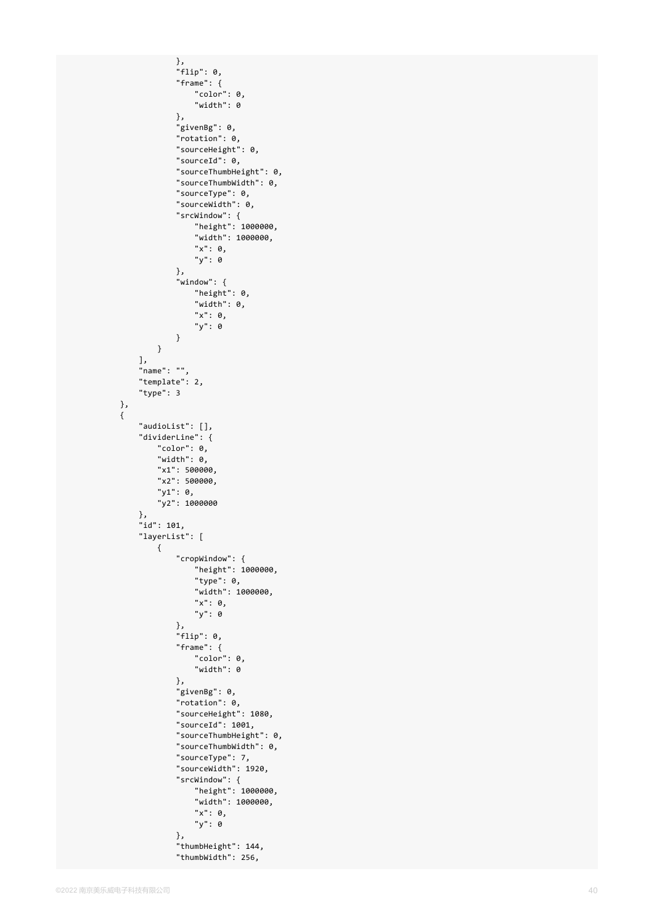```
}
,
             "flip": 0,
             "frame": {
                  "color": 0,
                  "width": 0
             }
,
             "givenBg": 0,
             "rotation": 0,
             "sourceHeight": 0,
             "sourceId": 0,
             "sourceThumbHeight": 0,
             "sourceThumbWidth": 0,
             "sourceType": 0,
             "sourceWidth": 0,
             "srcWindow": {
                  "height": 1000000,
                  "width": 1000000,
                  "x": 0,
                  "
y
"
:
0
             }
,
             "window": {
                  "height": 0,
                  "width": 0,
                  "x": 0,
                  "
y
"
:
0
             }
        }
    ]
,
    "name": "",
    "template": 2,
    "
t
y
p
e
"
:
3
}
,
{
    "audioList": [],
    "dividerLine": {
         "color": 0,
         "width": 0,
         "x1": 500000,
         "x2": 500000,
         "y1": 0,
         "y2": 1000000
    }
,
    "id": 101,
    "layerList": [
        {
             "cropWindow": {
                  "height": 1000000,
                  "type": 0,
                  "width": 1000000,
                  "x": 0,
                  "
y
"
:
0
             }
,
             "flip": 0,
             "frame": {
                  "color": 0,
                  "width": 0
             }
,
```

```
"rotation": 0,
"sourceHeight": 1080,
"sourceId": 1001,
"sourceThumbHeight": 0,
"sourceThumbWidth": 0,
"sourceType": 7,
"sourceWidth": 1920,
"srcWindow": {
    "height": 1000000,
    "width": 1000000,
    "x": 0,
    "
y
"
:
0
}
,
"thumbHeight": 144,
"thumbWidth": 256,
```
"givenBg": 0,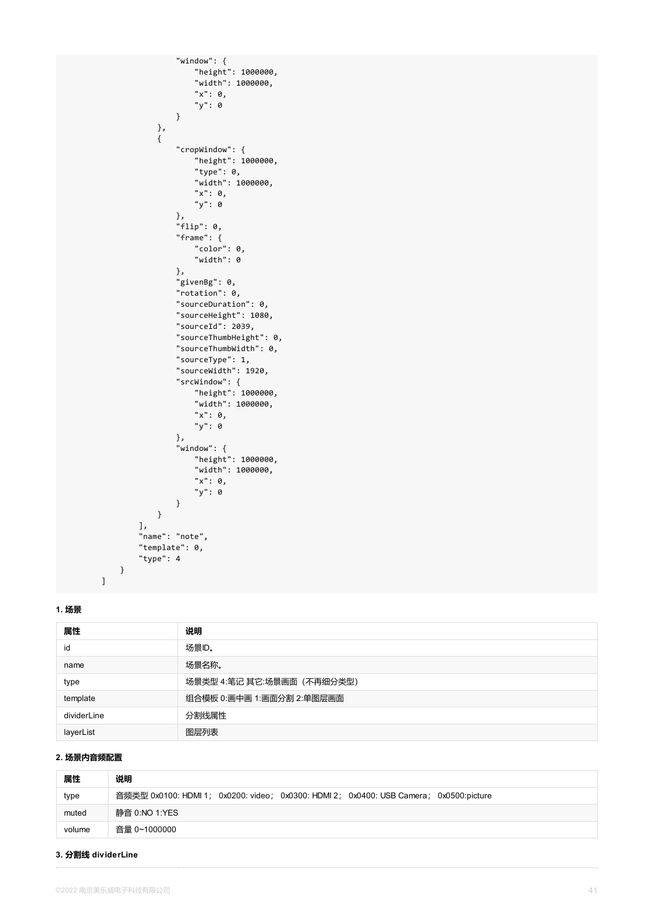```
"window": {
                    "height": 1000000,
                    "width": 1000000,
                    "x": 0,
                    "y": 0
                }
            },
            {
                "cropWindow": {
                    "height": 1000000,
                    "type": 0,
                    "width": 1000000,
                    "x": 0,
                    "y": 0
                },
                "flip": 0,
                "frame": {
                    "color": 0,
                    "width": 0
                },
                "givenBg": 0,
                "rotation": 0,
                "sourceDuration": 0,
                "sourceHeight": 1080,
                "sourceId": 2039,
                "sourceThumbHeight": 0,
                "sourceThumbWidth": 0,
                "sourceType": 1,
                "sourceWidth": 1920,
                "srcWindow": {
                    "height": 1000000,
                    "width": 1000000,
                    "x": 0,
                    "y": 0
                },
                "window": {
                    "height": 1000000,
                    "width": 1000000,
                    "x": 0,
                    "y": 0
                }
            }
        ],
        "name": "note",
        "template": 0,
        "type": 4
    }
]
```
#### **1. 场景**

| 属性          | 说明                         |
|-------------|----------------------------|
| id          | 场景ID。                      |
| name        | 场景名称。                      |
| type        | 场景类型 4:笔记 其它:场景画面 (不再细分类型) |
| template    | 组合模板 0:画中画 1:画面分割 2:单图层画面  |
| dividerLine | 分割线属性                      |
| layerList   | 图层列表                       |

#### **2. 场景内音频配置**

| 属性     | 说明                                                                                     |
|--------|----------------------------------------------------------------------------------------|
| type   | 音频类型 0x0100: HDMI 1; 0x0200: video; 0x0300: HDMI 2; 0x0400: USB Camera; 0x0500:picture |
| muted  | 静音 0:NO 1:YES                                                                          |
| volume | 音量 0~1000000                                                                           |

#### **3. 分割线 dividerLine**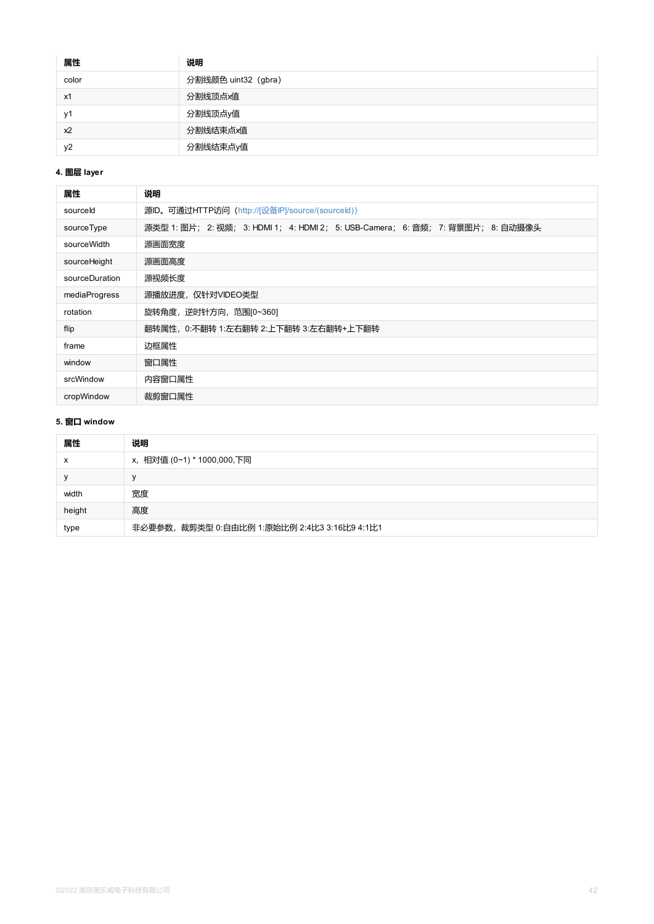| rotation   | 旋转角度,逆时针方向,范围[0~360]                 |
|------------|--------------------------------------|
| flip       | 翻转属性,0:不翻转 1:左右翻转 2:上下翻转 3:左右翻转+上下翻转 |
| frame      | 边框属性                                 |
| window     | 窗口属性                                 |
| srcWindow  | 内容窗口属性                               |
| cropWindow | 裁剪窗口属性                               |

### **5. 窗口 window**

| 属性     | 说明                                           |
|--------|----------------------------------------------|
| X      | x, 相对值 (0~1) * 1000,000,下同                   |
| v      | v                                            |
| width  | 宽度                                           |
| height | 高度                                           |
| type   | 非必要参数, 裁剪类型 0:自由比例 1:原始比例 2:4比3 3:16比9 4:1比1 |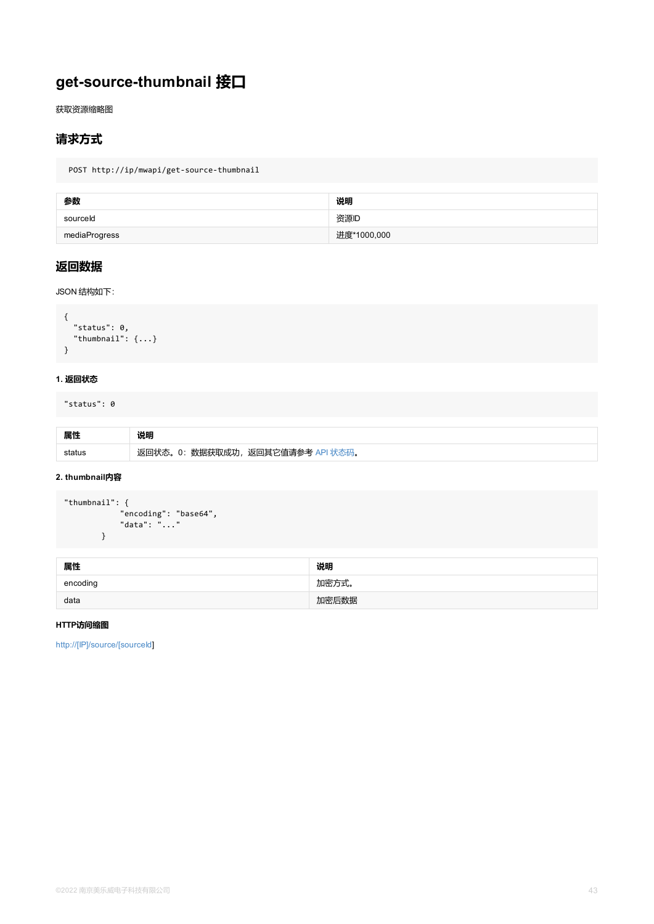```
{
 "status": 0,
 "thumbnail": {...}
}
```
### **1. 返回状态**

"status": 0

| 属性     | 说明                                |
|--------|-----------------------------------|
| status | 返回状态。0: 数据获取成功, 返回其它值请参考 API 状态码。 |

### **2. thumbnail内容**

```
"thumbnail": {
            "encoding": "base64",
           "data": "..."
       }
```

| 属性       | 说明    |
|----------|-------|
| encoding | 加密方式。 |
| data     | 加密后数据 |

#### **HTTP访问缩图**

http://[IP]/source/[sourceId]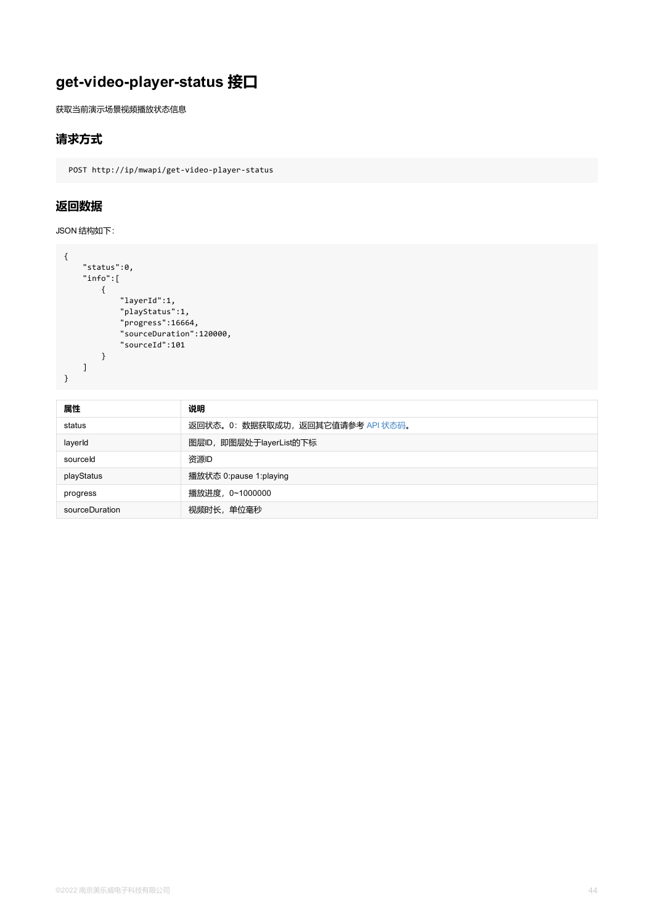# **get-video-player-status 接口**

获取当前演示场景视频播放状态信息

## **请求方式**

POST http://ip/mwapi/get-video-player-status

### **返回数据**

JSON 结构如下:

```
{
    "status":0,
    "info":[
        {
            "layerId":1,
            "playStatus":1,
            "progress":16664,
            "sourceDuration":120000,
            "sourceId":101
        }
    ]
}
```

| 属性             | 说明                                |
|----------------|-----------------------------------|
| status         | 返回状态。0: 数据获取成功, 返回其它值请参考 API 状态码。 |
| layerld        | 图层ID, 即图层处于layerList的下标           |
| sourceld       | 资源ID                              |
| playStatus     | 播放状态 0:pause 1:playing            |
| progress       | 播放进度,0~1000000                    |
| sourceDuration | 视频时长, 单位毫秒                        |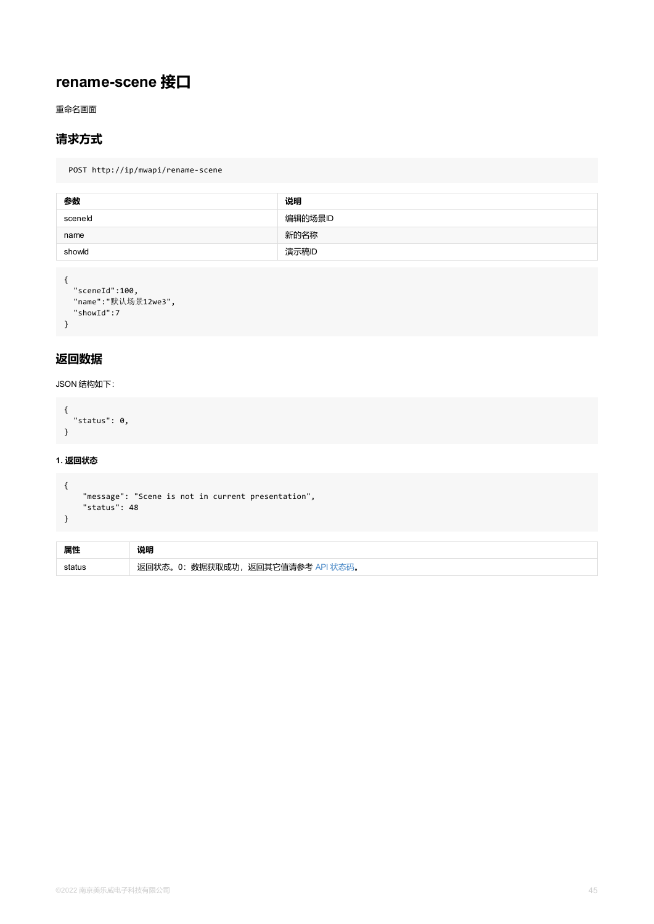# **rename-scene 接口**

### 重命名画面

## **请求方式**

POST http://ip/mwapi/rename-scene

| 参数      | 说明      |
|---------|---------|
| sceneld | 编辑的场景ID |
| name    | 新的名称    |
| showld  | 演示稿ID   |

```
{
 "sceneId":100,
 "name":"默认场景12we3",
  "showId":7
}
```

```
\{"message": "Scene is not in current presentation",
    "status": 48
}
```
## **返回数据**

JSON 结构如下:

```
{
 "status": 0,
}
```
### **1. 返回状态**

| 屋が     | 说明                                   |
|--------|--------------------------------------|
| status | 数据获取成功<br>返回状态。<br>返回其它值请参考<br>"不念始。 |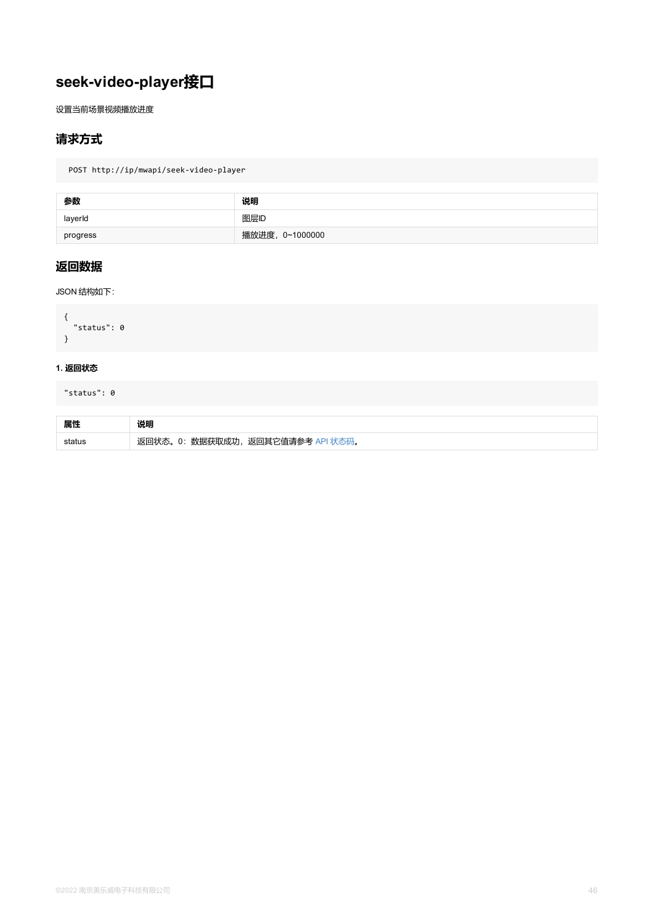# **seek-video-player接口**

设置当前场景视频播放进度

# **请求方式**

POST http://ip/mwapi/seek-video-player

| 参数       | 说明              |
|----------|-----------------|
| layerld  | 图层ID            |
| progress | 播放进度, 0~1000000 |

## **返回数据**

JSON 结构如下:

{ "status": 0 }

### **1. 返回状态**

"status": 0

| 属性     | 说明                                |
|--------|-----------------------------------|
| status | 返回状态。0: 数据获取成功, 返回其它值请参考 API 状态码。 |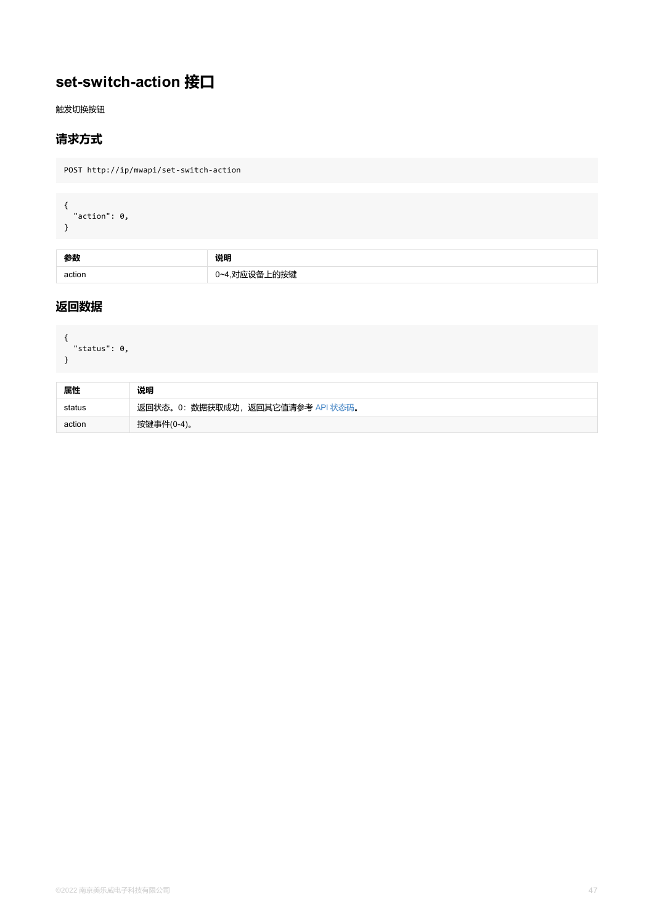# **set-switch-action 接口**

触发切换按钮

# **请求方式**

POST http://ip/mwapi/set-switch-action

{ "action": 0, }

| 参数     | 说明       |
|--------|----------|
| action | 对应设备上的按键 |

# **返回数据**

```
{
 "status": 0,
}
```

| 属性     | 说明                                |
|--------|-----------------------------------|
| status | 返回状态。0: 数据获取成功, 返回其它值请参考 API 状态码。 |
| action | 按键事件(0-4)。                        |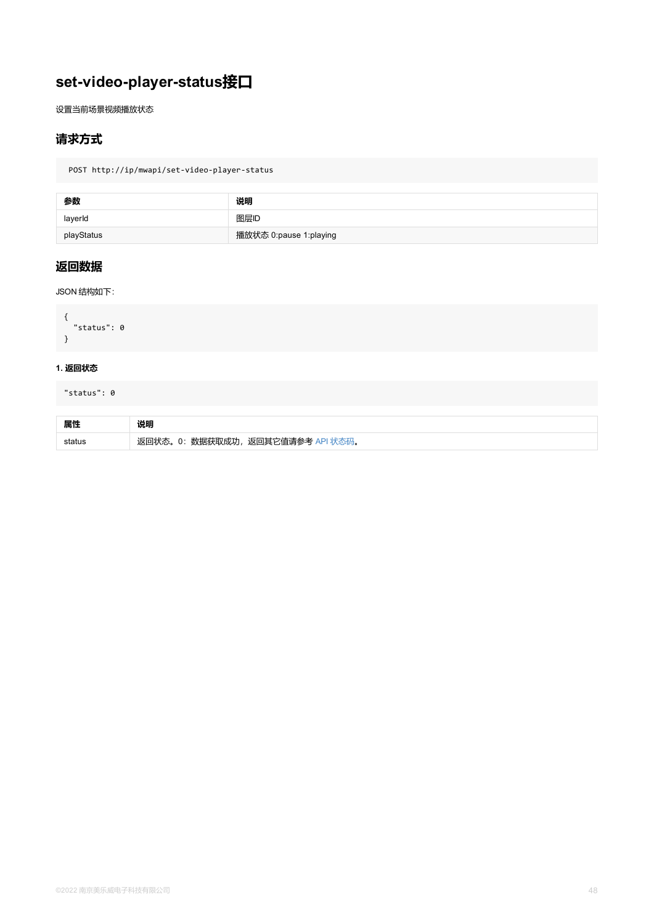# **set-video-player-status接口**

设置当前场景视频播放状态

# **请求方式**

POST http://ip/mwapi/set-video-player-status

| 参数         | 说明                     |
|------------|------------------------|
| layerld    | 图层ID                   |
| playStatus | 播放状态 0:pause 1:playing |

## **返回数据**

JSON 结构如下:

{ "status": 0 }

### **1. 返回状态**

"status": 0

| 属性     | 说明                                |
|--------|-----------------------------------|
| status | 返回状态。0: 数据获取成功, 返回其它值请参考 API 状态码。 |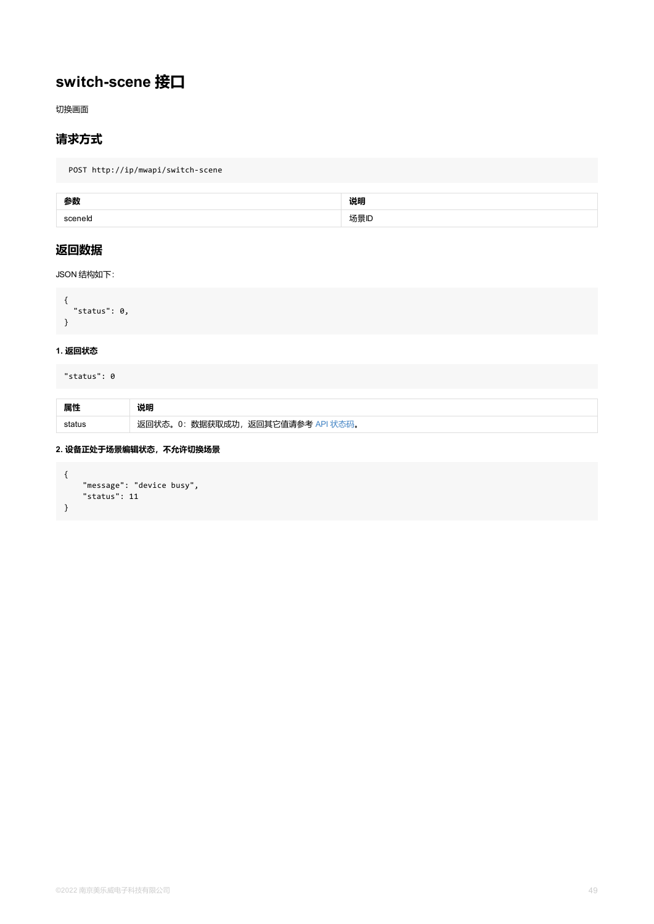# **switch-scene 接口**

切换画面

## **请求方式**

POST http://ip/mwapi/switch-scene

| 参数      | 说明   |
|---------|------|
| sceneld | 场景IC |

## **返回数据**

### JSON 结构如下:

{ "status": 0, }

#### **1. 返回状态**

"status": 0

| 属性     | 说明                               |
|--------|----------------------------------|
| status | 返回状态。<br>数据获取成功<br>返回其它值请参考<br>ີ |

### **2. 设备正处于场景编辑状态,不允许切换场景**

```
{
    "message": "device busy",
    "status": 11
}
```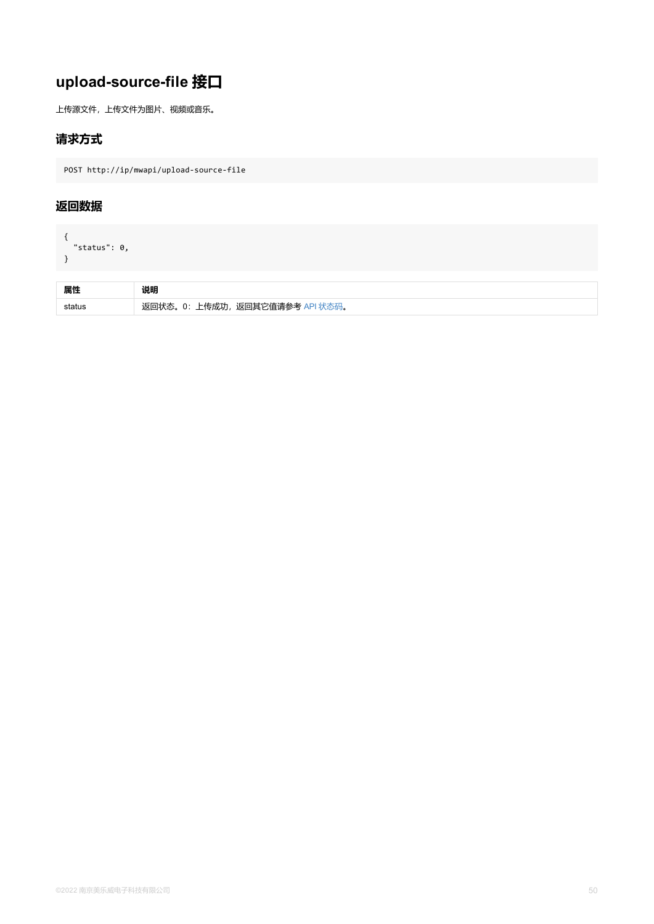# **upload-source-file 接口**

上传源文件,上传文件为图片、视频或音乐。

# **请求方式**

POST http://ip/mwapi/upload-source-file

# **返回数据**

{ "status": 0, }

| 厚州     | 说明                                        |
|--------|-------------------------------------------|
| status | 上传成功,<br>返回其它值请参考 API 状态码。<br>返回状态。<br>0: |

©2022 南京美乐威电子科技有限公司 ファイル・コンピューター しょうしょう しょうしょうしょう しょうしょう しょうしょう しょうしょう ちんちょう ちんちょう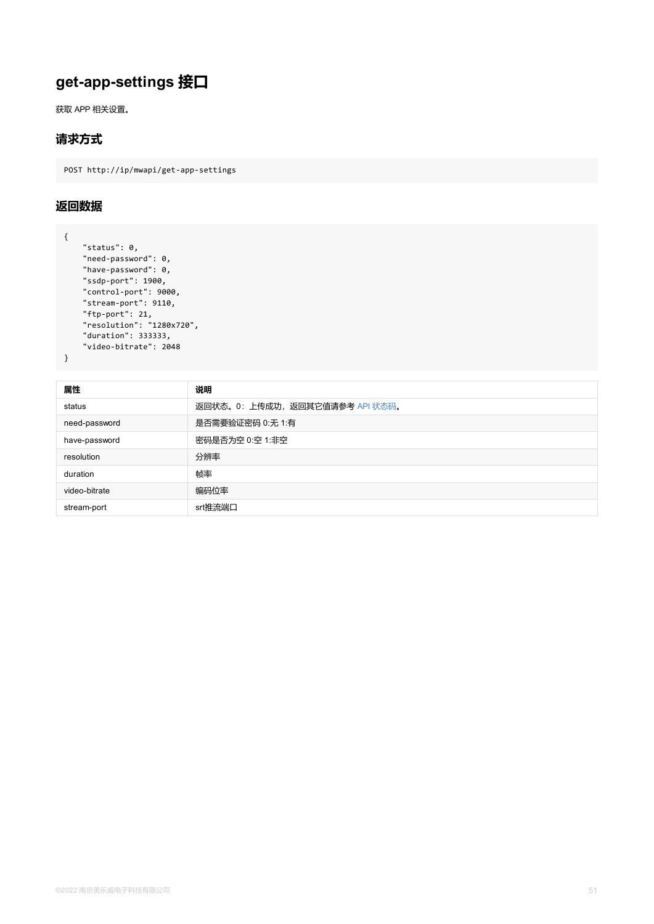```
"ftp-port": 21,
    "resolution": "1280x720",
    "duration": 333333,
    "video-bitrate": 2048
}
```

| 属性            | 说明                              |
|---------------|---------------------------------|
| status        | 返回状态。0: 上传成功, 返回其它值请参考 API 状态码。 |
| need-password | 是否需要验证密码 0:无 1:有                |
| have-password | 密码是否为空 0:空 1:非空                 |
| resolution    | 分辨率                             |
| duration      | 帧率                              |
| video-bitrate | 编码位率                            |
| stream-port   | srt推流端口                         |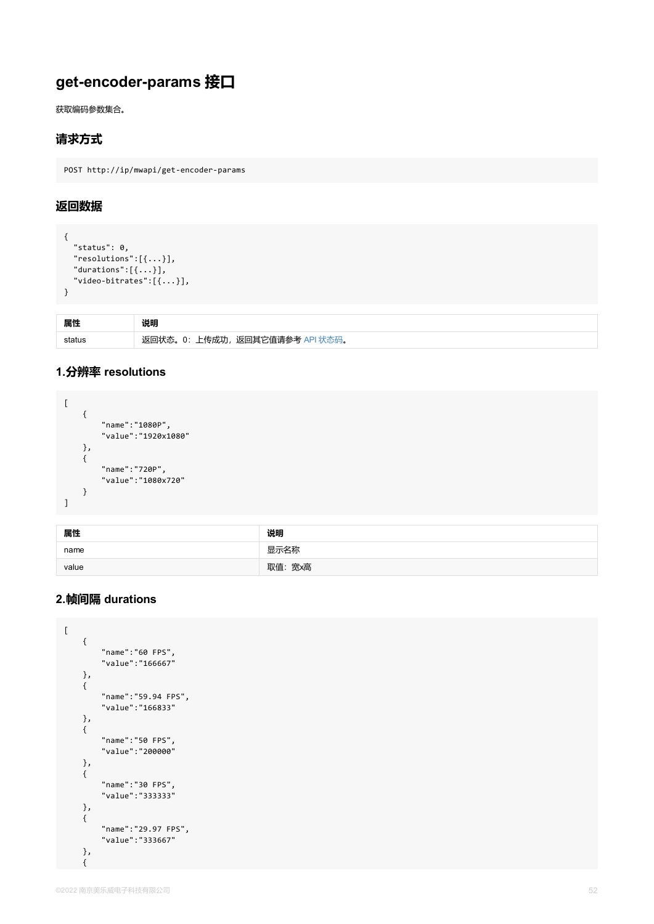| 属性 | 说明                              |
|----|---------------------------------|
|    | 返回状态。0: 上传成功, 返回其它值请参考 API 状态码。 |

## **1.分辨率 resolutions**

```
\lceil{
        "name":"1080P",
        "value":"1920x1080"
    },
    {
        "name":"720P",
        "value":"1080x720"
    }
]
```

| 属性    | 说明      |
|-------|---------|
| name  | 显示名称    |
| value | 取值: 宽x高 |

## **2.帧间隔 durations**

```
\overline{\mathfrak{l}}{
         "name":"60 FPS",
         "value":"166667"
    },
    {
         "name":"59.94 FPS",
         "value":"166833"
    },
    {
         "name":"50 FPS",
         "value":"200000"
    },
    {
         "name":"30 FPS",
         "value":"333333"
    },
    {
         "name":"29.97 FPS",
         "value":"333667"
    },
    {
```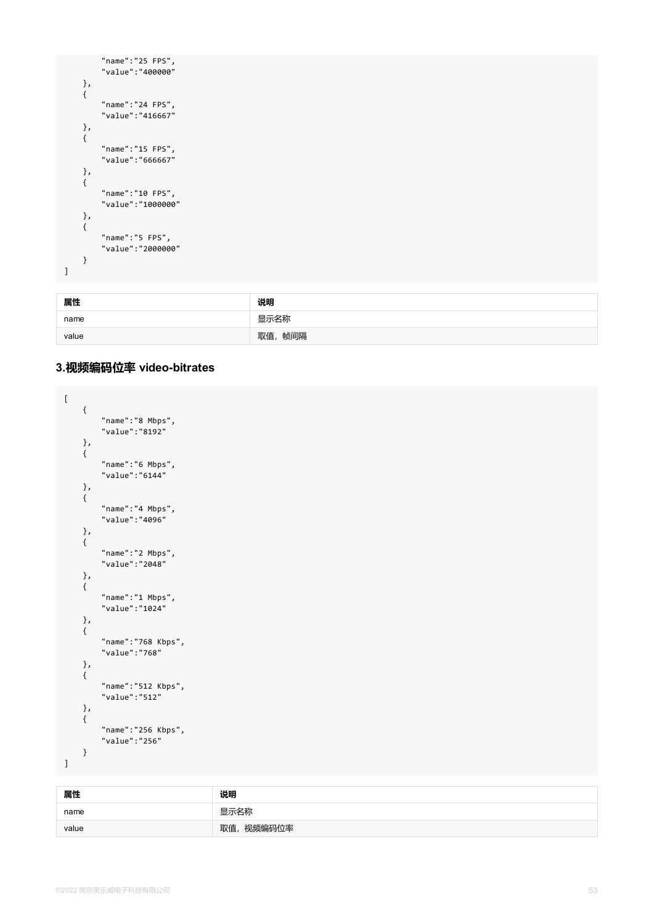```
"
n
a
m
e
"
:
"
2
5
F
P
S
"
,
           "value":"400000"
      }
,
     {
           "
n
a
m
e
"
:
"
2
4
F
P
S
"
,
           "value":"416667"
      }
,
     {
           "
n
a
m
e
"
:
"
1
5
F
P
S
"
,
           "value":"666667"
      }
,
     {
           "
n
a
m
e
"
:
"
1
0
F
P
S
"
,
           "value":"1000000"
      }
,
     {
           "
n
a
m
e
"
:
"
5
F
P
S
"
,
           "value":"2000000"
     }
]
```

| 属性    | 说明         |
|-------|------------|
| name  | ≊称<br>- 11 |
| value | 取值<br>帧间隔  |

### **3 . 视 频 编 码 位 率 v i d e o - b i t r a t e s**

```
\lceil{
         "name":"8 Mbps",
         "value":"8192"
    }
,
    {
         "name":"6 Mbps",
         "value":"6144"
    }
,
    {
         "name":"4 Mbps",
         "value":"4096"
    }
,
    {
         "name":"2 Mbps",
         "value":"2048"
    }
,
    {
         "name":"1 Mbps",
         "value":"1024"
    }
,
    {
         "name":"768 Kbps",
         "value":"768"
    }
,
    {
         "name":"512 Kbps",
```

```
"value":"512"
     }
,
    {
         "name":"256 Kbps",
         "value":"256"
   }
\mathbf{I}
```

| 属性    | 说明                 |  |
|-------|--------------------|--|
| name  | - 見一<br>モタゼ<br>コイソ |  |
| value | 取值<br>之田共而<br>7率   |  |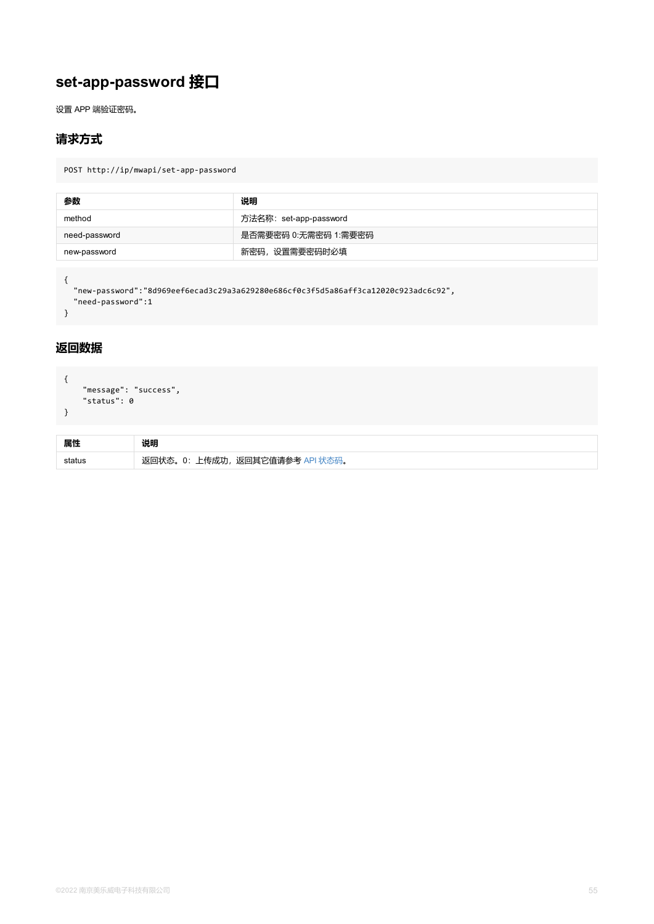```
}
```

```
{
   "message": "success",
   "status": 0
}
```

| 属性     | 说明                                |
|--------|-----------------------------------|
| status | 返回状态。0:上传成功,<br>返回其它值请参考 API 状态码。 |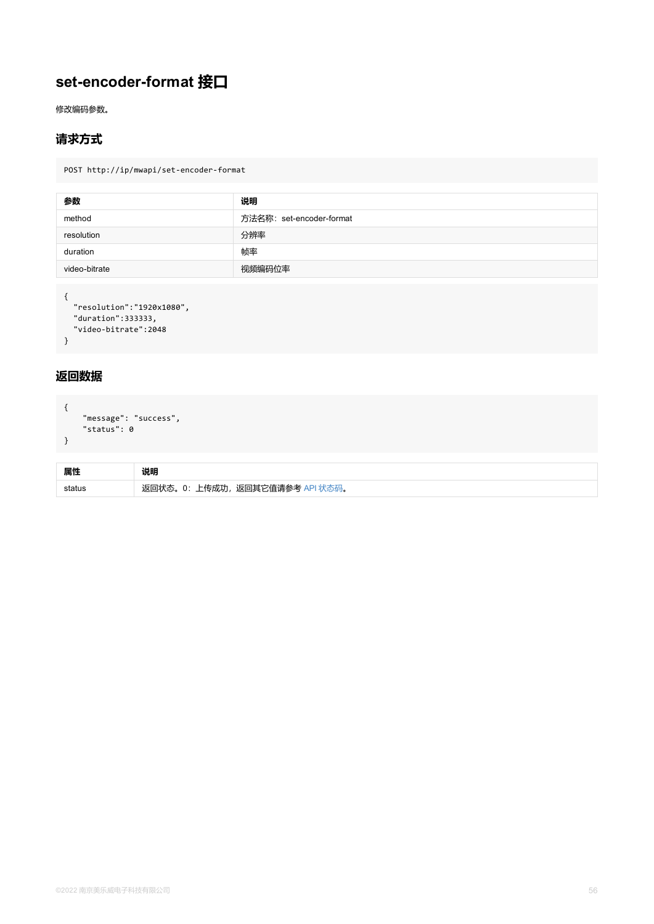```
18202010111292012000"duration":333333,
 "video-bitrate":2048
}
```

```
{
   "message": "success",
    "status": 0
}
```

| 属性 | 说明                              |
|----|---------------------------------|
|    | 返回状态。0: 上传成功, 返回其它值请参考 API 状态码。 |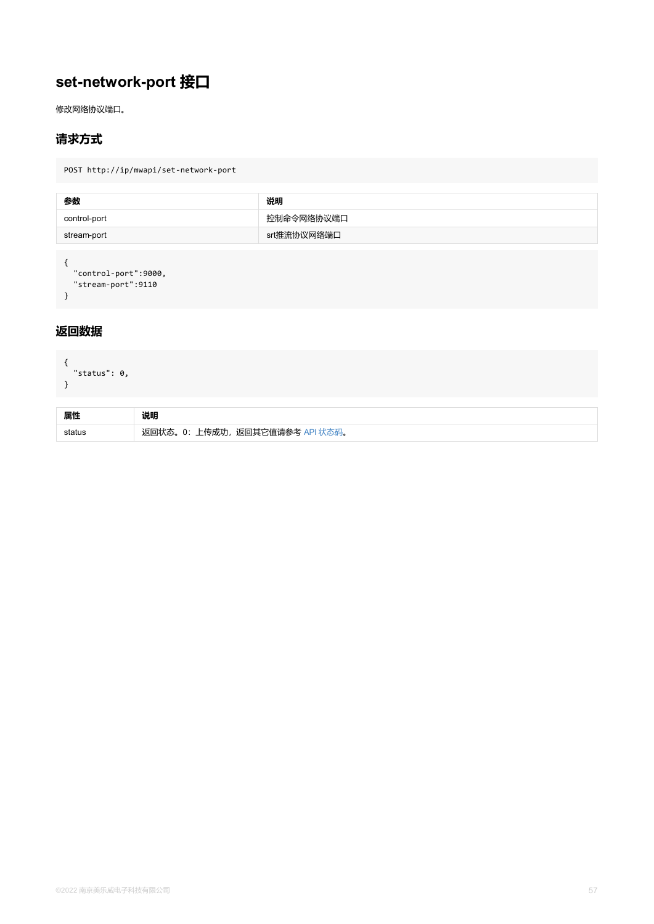```
{
  "status": 0,
}
```

| 属性     | 说明                              |
|--------|---------------------------------|
| status | 返回状态。0: 上传成功, 返回其它值请参考 API 状态码。 |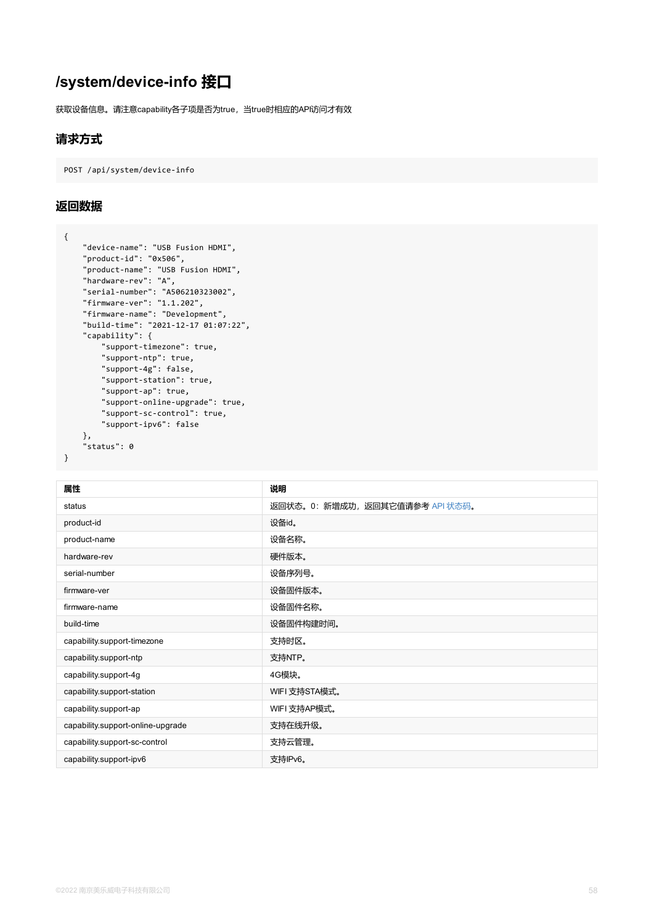```
"firmware-name": "Development",
    "build-time": "2021-12-17 01:07:22",
    "capability": {
        "support-timezone": true,
        "support-ntp": true,
        "support-4g": false,
        "support-station": true,
        "support-ap": true,
        "support-online-upgrade": true,
        "support-sc-control": true,
        "support-ipv6": false
    },
    "status": 0
}
```

| 属性                                | 说明                              |
|-----------------------------------|---------------------------------|
| status                            | 返回状态。0: 新增成功, 返回其它值请参考 API 状态码。 |
| product-id                        | 设备id。                           |
| product-name                      | 设备名称。                           |
| hardware-rev                      | 硬件版本。                           |
| serial-number                     | 设备序列号。                          |
| firmware-ver                      | 设备固件版本。                         |
| firmware-name                     | 设备固件名称。                         |
| build-time                        | 设备固件构建时间。                       |
| capability.support-timezone       | 支持时区。                           |
| capability.support-ntp            | 支持NTP。                          |
| capability.support-4g             | 4G模块。                           |
| capability.support-station        | WIFI支持STA模式。                    |
| capability.support-ap             | WIFI支持AP模式。                     |
| capability.support-online-upgrade | 支持在线升级。                         |
| capability.support-sc-control     | 支持云管理。                          |
| capability.support-ipv6           | 支持IPv6。                         |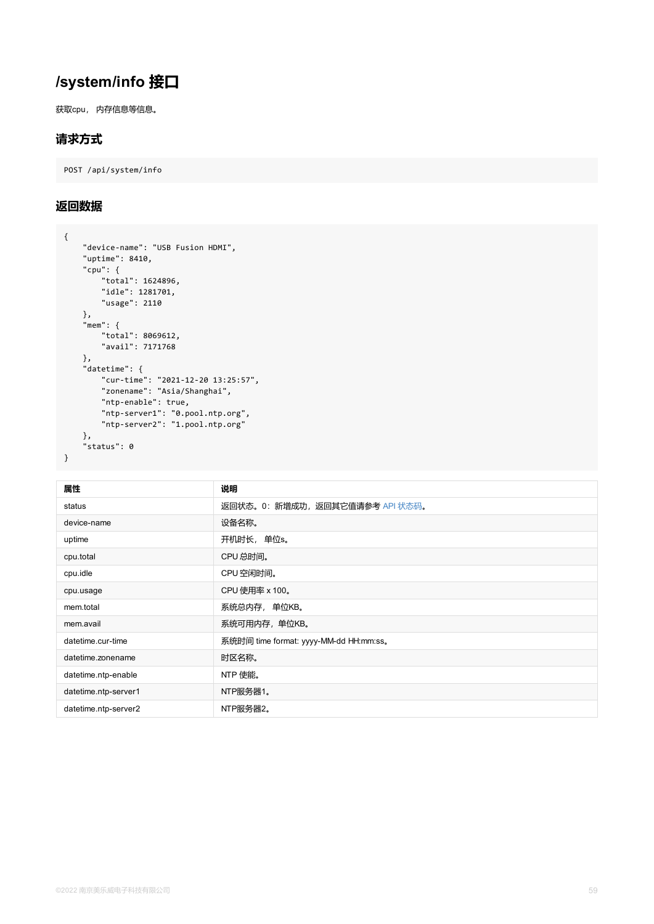```
},
    "mem": {
        "total": 8069612,
        "avail": 7171768
    },
    "datetime": {
        "cur-time": "2021-12-20 13:25:57",
        "zonename": "Asia/Shanghai",
        "ntp-enable": true,
        "ntp-server1": "0.pool.ntp.org",
        "ntp-server2": "1.pool.ntp.org"
    },
    "status": 0
}
```

| 属性                   | 说明                                     |
|----------------------|----------------------------------------|
| status               | 返回状态。0: 新增成功, 返回其它值请参考 API 状态码。        |
| device-name          | 设备名称。                                  |
| uptime               | 开机时长, 单位s。                             |
| cpu.total            | CPU总时间。                                |
| cpu.idle             | CPU空闲时间。                               |
| cpu.usage            | CPU 使用率 x 100。                         |
| mem.total            | 系统总内存, 单位KB。                           |
| mem.avail            | 系统可用内存,单位KB。                           |
| datetime.cur-time    | 系统时间 time format: yyyy-MM-dd HH:mm:ss。 |
| datetime.zonename    | 时区名称。                                  |
| datetime.ntp-enable  | NTP 使能。                                |
| datetime.ntp-server1 | NTP服务器1。                               |
| datetime.ntp-server2 | NTP服务器2。                               |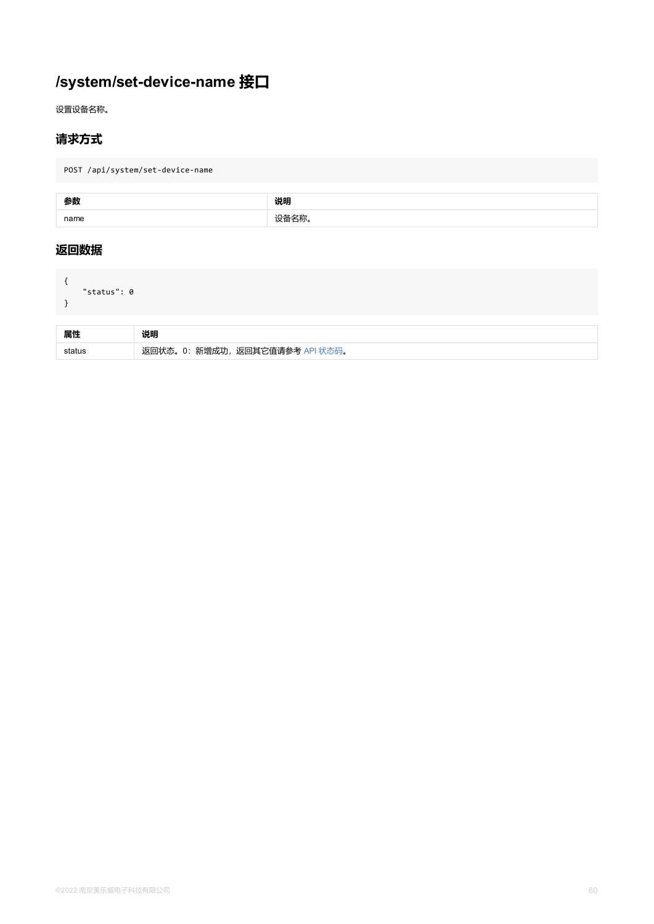| 属性     | 说明                              |
|--------|---------------------------------|
| status | 返回状态。0: 新增成功, 返回其它值请参考 API 状态码。 |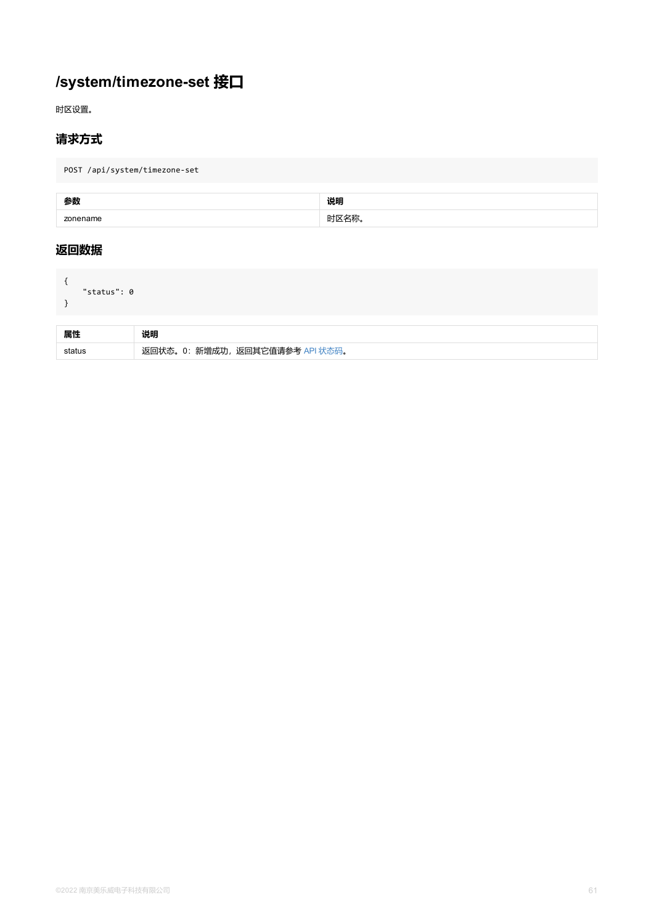| 属性     | 说明                              |
|--------|---------------------------------|
| status | 返回状态。0: 新增成功, 返回其它值请参考 API 状态码。 |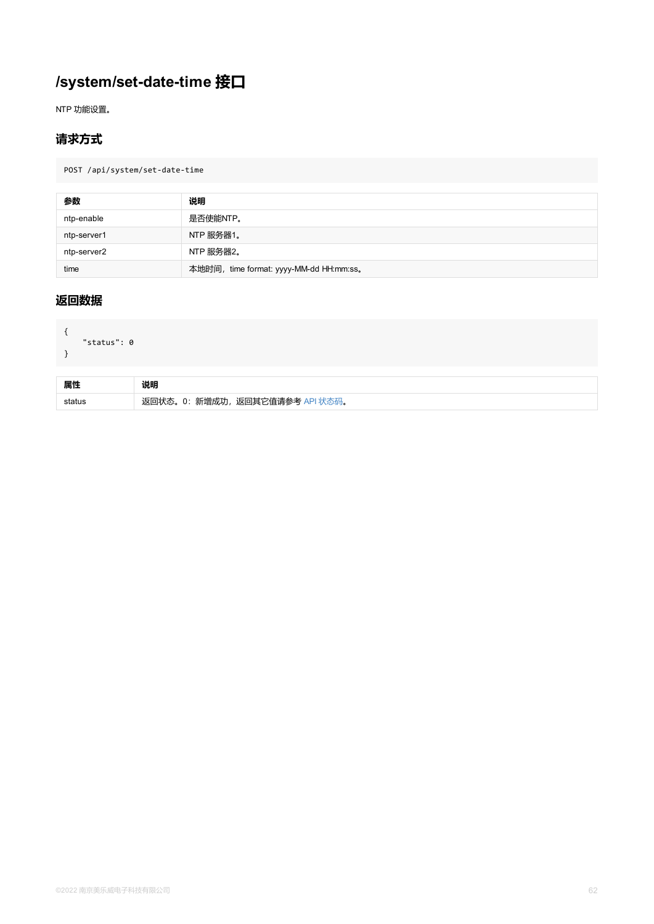```
{
  "status": 0
}
```

| 属性     | 说明                                           |
|--------|----------------------------------------------|
| status | 0: 新增成功,<br>返回其它值请参考<br>返回状态:<br>ة بن الله ا |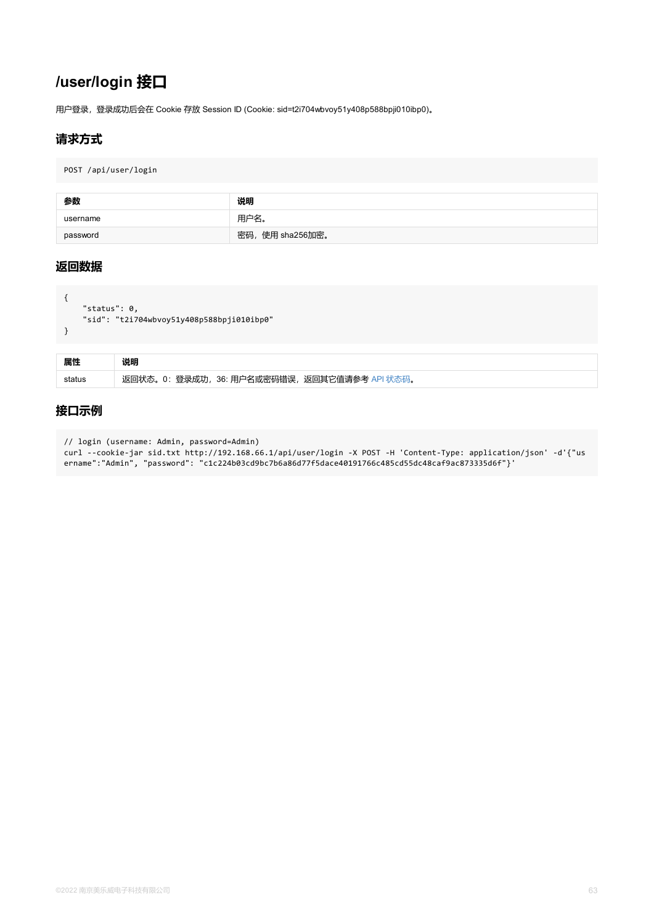```
status . v<sub>)</sub>
    "sid": "t2i704wbvoy51y408p588bpji010ibp0"
}
```

| 属性 | 说明                                            |
|----|-----------------------------------------------|
|    | 返回状态。0: 登录成功, 36: 用户名或密码错误, 返回其它值请参考 API 状态码。 |

### **接口示例**

```
// login (username: Admin, password=Admin)
curl --cookie-jar sid.txt http://192.168.66.1/api/user/login -X POST -H 'Content-Type: a
ername":"Admin", "password": "c1c224b03cd9bc7b6a86d77f5dace40191766c485cd55dc48caf9ac873
```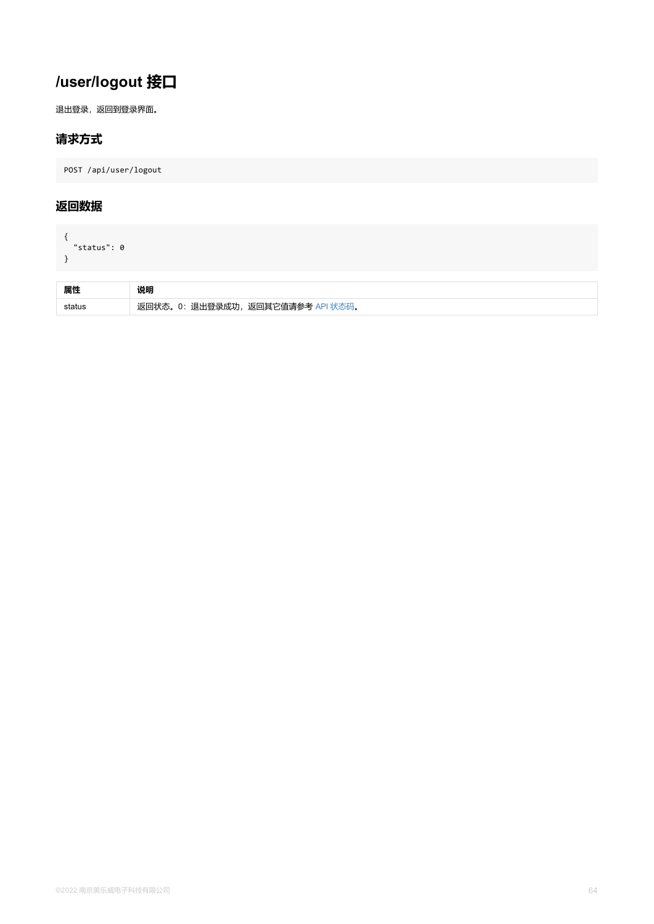|  | <br>-------- |  |  |
|--|--------------|--|--|
|  |              |  |  |
|  |              |  |  |
|  |              |  |  |
|  |              |  |  |
|  |              |  |  |
|  |              |  |  |
|  |              |  |  |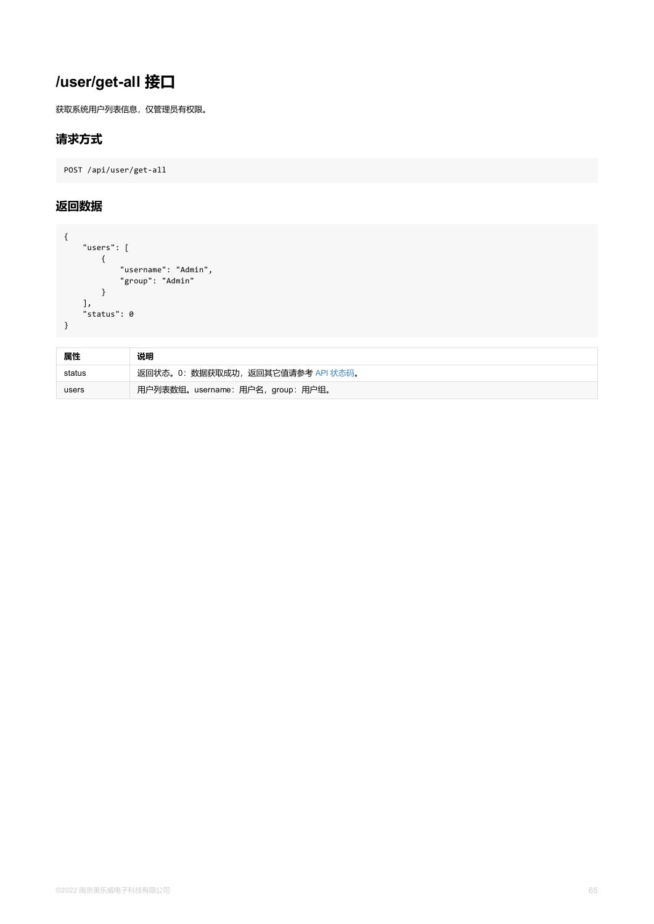```
"status": 0
}
```

| 属性     | 说明                                |  |
|--------|-----------------------------------|--|
| status | 返回状态。0: 数据获取成功, 返回其它值请参考 API 状态码。 |  |
| users  | 用户列表数组。username: 用户名, group: 用户组。 |  |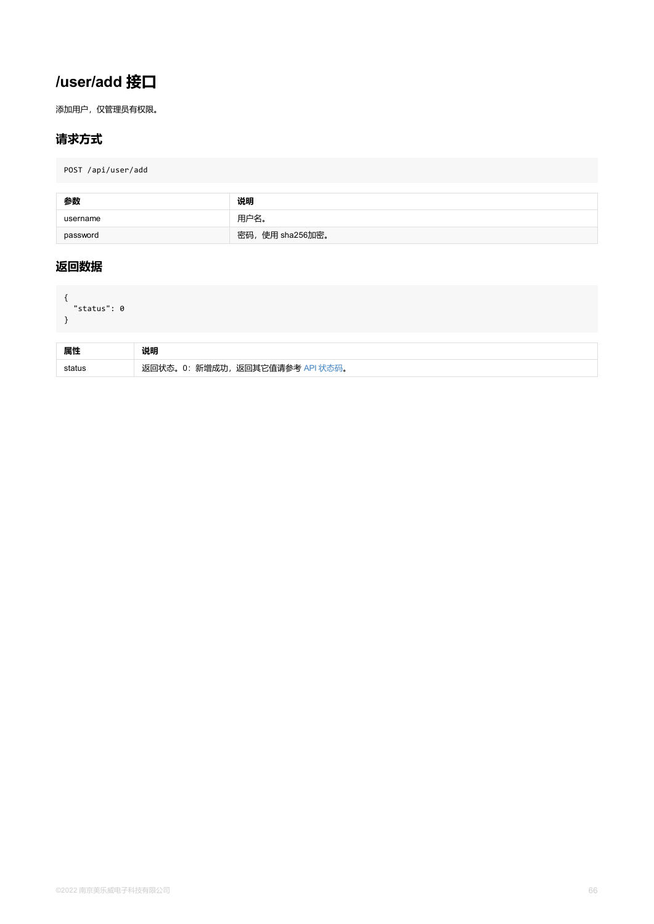```
status . U
}
```

| 属性     | 说明                                           |
|--------|----------------------------------------------|
| status | 新增成功,<br>返回其它值请参考<br>່ 0: .<br>┐Ⅳ★Ⅳ<br>"1八心。 |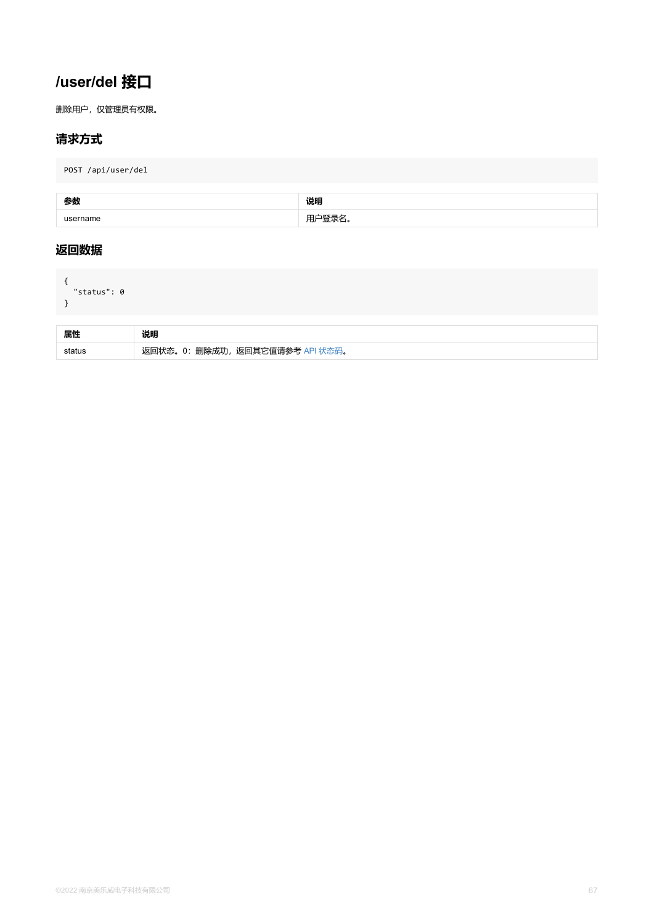| 属性     | 说明                              |
|--------|---------------------------------|
| status | 返回状态。0: 删除成功, 返回其它值请参考 API 状态码。 |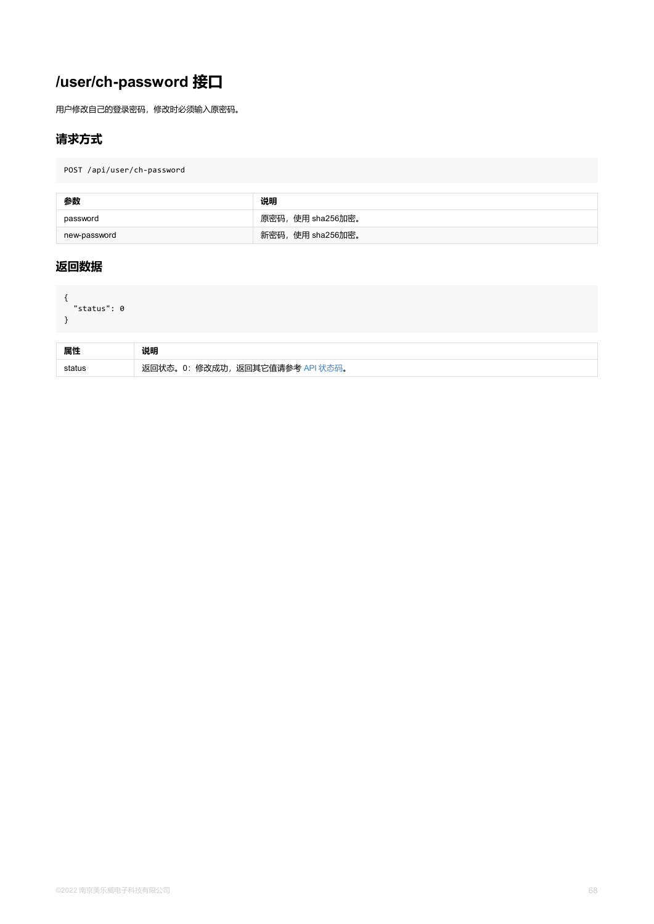```
status . U
}
```

| 属性     | 说明                              |
|--------|---------------------------------|
| status | 返回状态。0:修改成功,<br>, 返回其它值请参考 API' |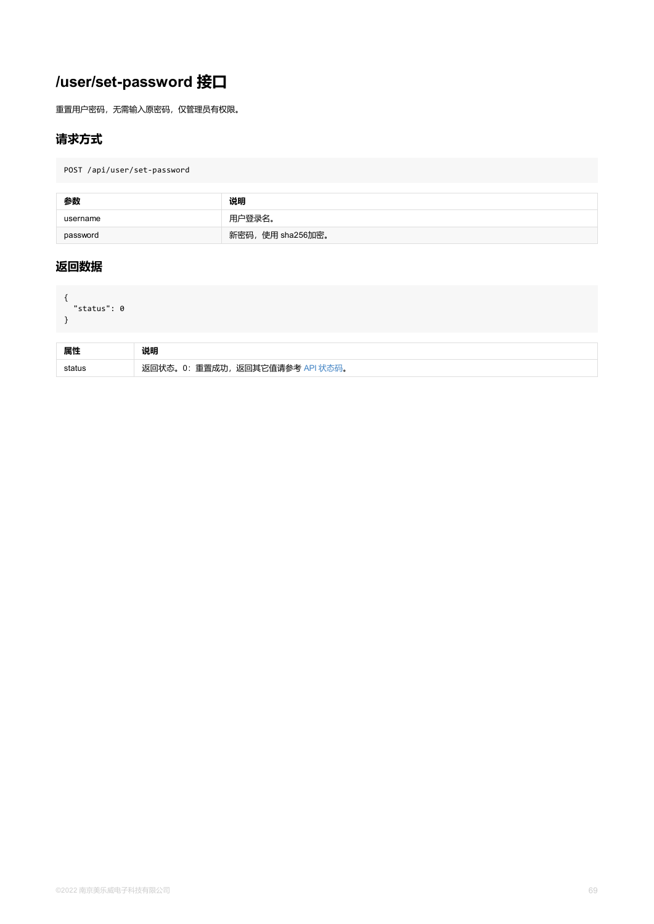```
status . U
}
```

| 属性     | 说明                              |
|--------|---------------------------------|
| status | 返回状态。0: 重置成功, 返回其它值请参考 API 状态码。 |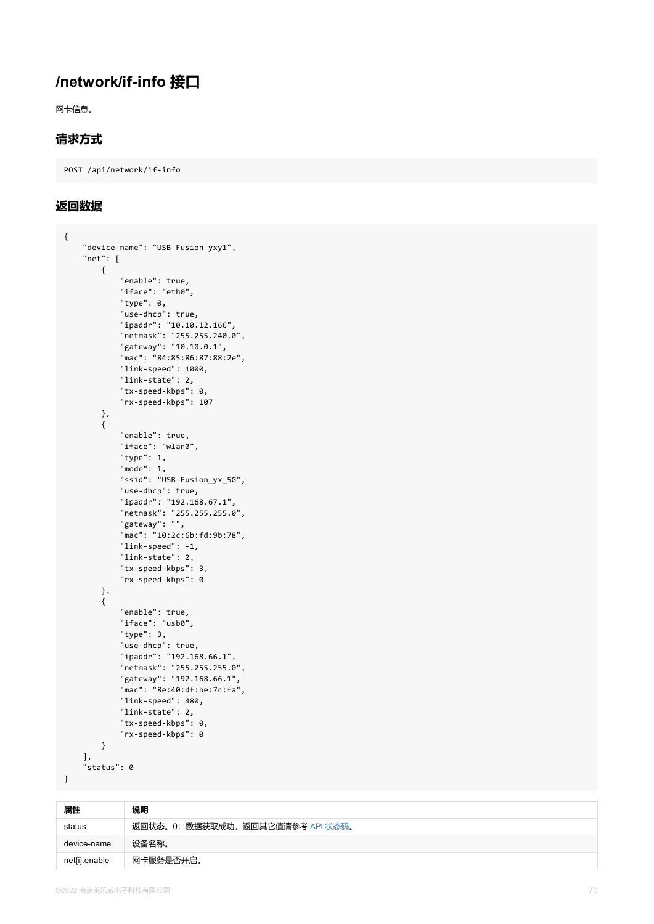```
"use-dhcp": true,
            "ipaddr": "10.10.12.166",
            "netmask": "255.255.240.0",
            "gateway": "10.10.0.1",
            "mac": "84:85:86:87:88:2e",
            "link-speed": 1000,
            "link-state": 2,
            "tx-speed-kbps": 0,
            "rx-speed-kbps": 107
        },
        {
            "enable": true,
            "iface": "wlan0",
            "type": 1,
            "mode": 1,
            "ssid": "USB-Fusion_yx_5G",
            "use-dhcp": true,
            "ipaddr": "192.168.67.1",
            "netmask": "255.255.255.0",
            "gateway": "",
            "mac": "10:2c:6b:fd:9b:78",
            "link-speed": -1,
            "link-state": 2,
            "tx-speed-kbps": 3,
            "rx-speed-kbps": 0
        },
        {
            "enable": true,
            "iface": "usb0",
            "type": 3,
            "use-dhcp": true,
            "ipaddr": "192.168.66.1",
            "netmask": "255.255.255.0",
            "gateway": "192.168.66.1",
            "mac": "8e:40:df:be:7c:fa",
            "link-speed": 480,
            "link-state": 2,
            "tx-speed-kbps": 0,
            "rx-speed-kbps": 0
        }
    ],
    "status": 0
}
```

| 属性            | 说明                                |
|---------------|-----------------------------------|
| status        | 返回状态。0: 数据获取成功, 返回其它值请参考 API 状态码。 |
| device-name   | 设备名称。                             |
| net[i].enable | 网卡服务是否开启。                         |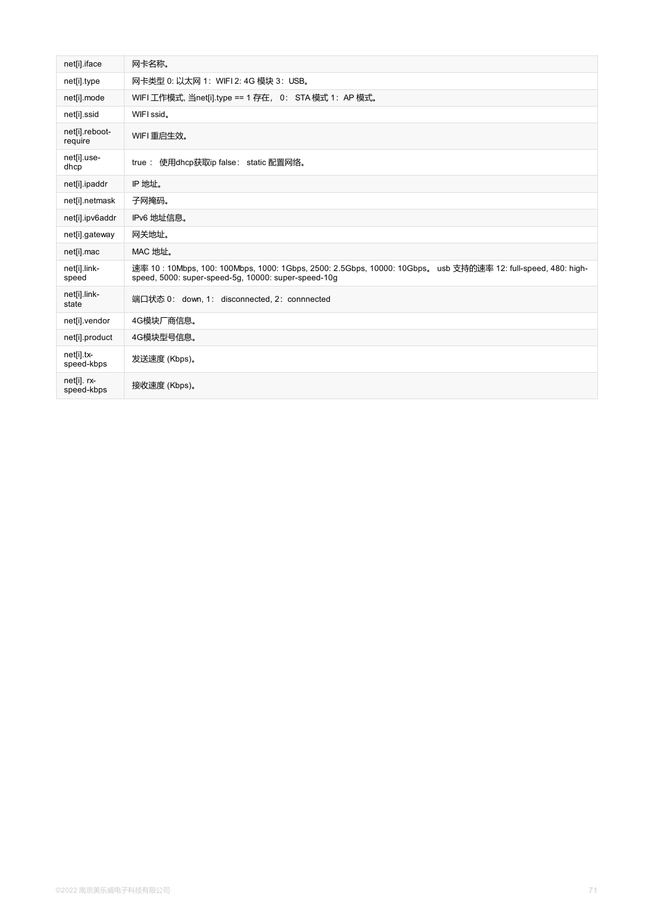| net[i].iface              | 网卡名称。                                                                                                                                                              |
|---------------------------|--------------------------------------------------------------------------------------------------------------------------------------------------------------------|
| net[i].type               | 网卡类型 0: 以太网 1: WIFI 2: 4G 模块 3: USB。                                                                                                                               |
| net[i].mode               | WIFI 工作模式, 当net[i].type == 1 存在, 0: STA 模式 1: AP 模式。                                                                                                               |
| net[i].ssid               | WIFI ssid.                                                                                                                                                         |
| net[i].reboot-<br>require | WIFI 重启生效。                                                                                                                                                         |
| net[i].use-<br>dhcp       | true: 使用dhcp获取ip false: static 配置网络。                                                                                                                               |
| net[i].ipaddr             | IP 地址。                                                                                                                                                             |
| net[i].netmask            | 子网掩码。                                                                                                                                                              |
| net[i].ipv6addr           | IPv6 地址信息。                                                                                                                                                         |
| net[i].gateway            | 网关地址。                                                                                                                                                              |
| net[i].mac                | MAC 地址。                                                                                                                                                            |
| net[i].link-<br>speed     | 速率 10: 10Mbps, 100: 100Mbps, 1000: 1Gbps, 2500: 2.5Gbps, 10000: 10Gbps。usb 支持的速率 12: full-speed, 480: high-<br>speed, 5000: super-speed-5g, 10000: super-speed-10g |
| net[i].link-<br>state     | 端口状态 0: down, 1: disconnected, 2: connnected                                                                                                                       |
| net[i].vendor             | 4G模块厂商信息。                                                                                                                                                          |
| net[i].product            | 4G模块型号信息。                                                                                                                                                          |
| net[i].tx-<br>speed-kbps  | 发送速度 (Kbps)。                                                                                                                                                       |
| net[i]. rx-<br>speed-kbps | 接收速度 (Kbps)。                                                                                                                                                       |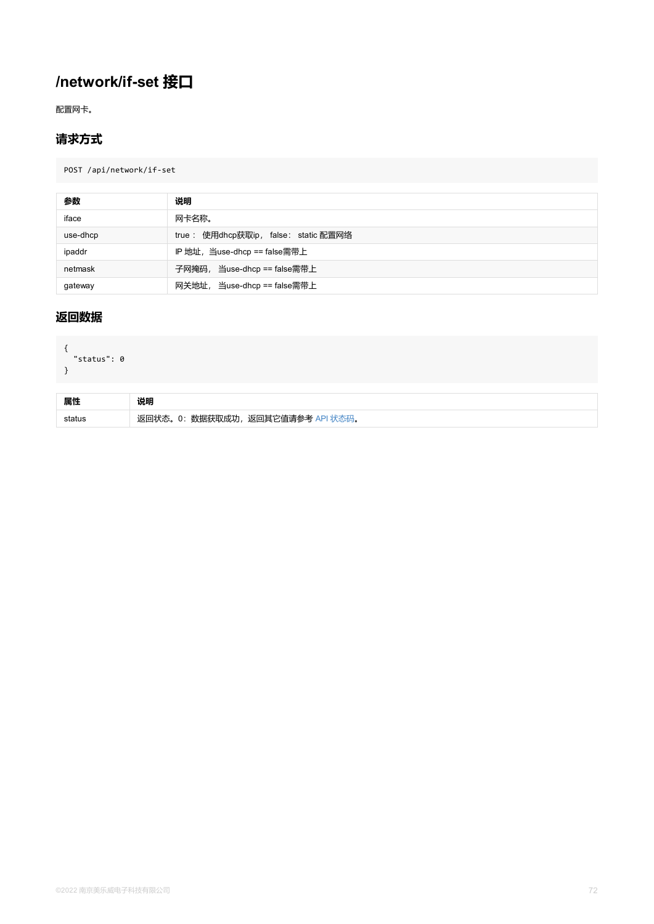```
{
"status": 0
}
```

| 属性     | 说明                                |
|--------|-----------------------------------|
| status | 返回状态。0: 数据获取成功, 返回其它值请参考 API 状态码。 |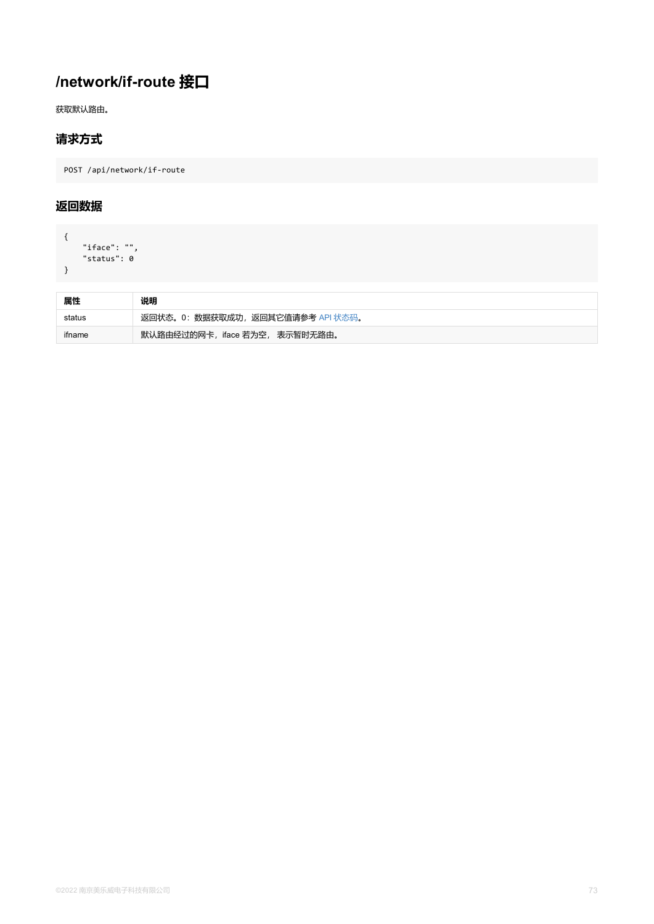| status | 返回状态。0: 数据获取成功, 返回其它值请参考 API 状态码。 |
|--------|-----------------------------------|
| ifname | 默认路由经过的网卡, iface 若为空, 表示暂时无路由。    |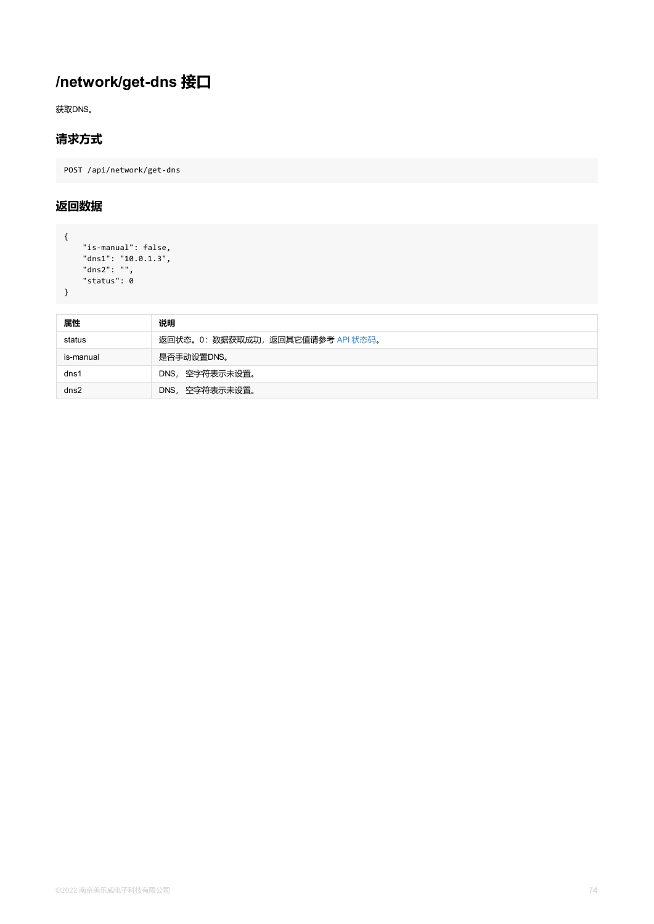| 属性        | 说明                                |
|-----------|-----------------------------------|
| status    | 返回状态。0: 数据获取成功, 返回其它值请参考 API 状态码。 |
| is-manual | 是否手动设置DNS。                        |
| dns1      | DNS, 空字符表示未设置。                    |
| dns2      | DNS, 空字符表示未设置。                    |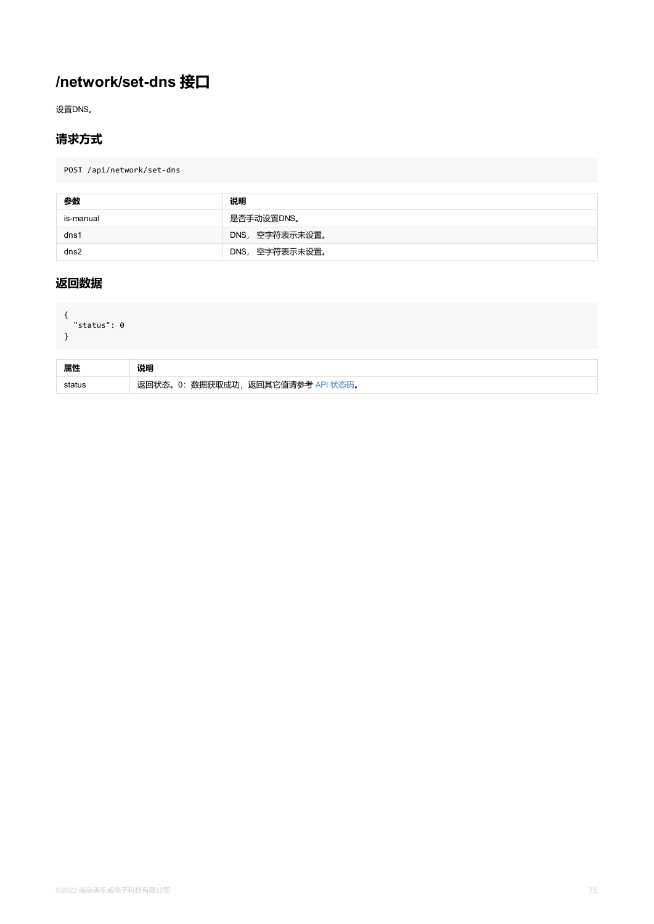```
{
"status": 0
}
```

| 属性     | 说明                                |
|--------|-----------------------------------|
| status | 返回状态。0: 数据获取成功, 返回其它值请参考 API 状态码。 |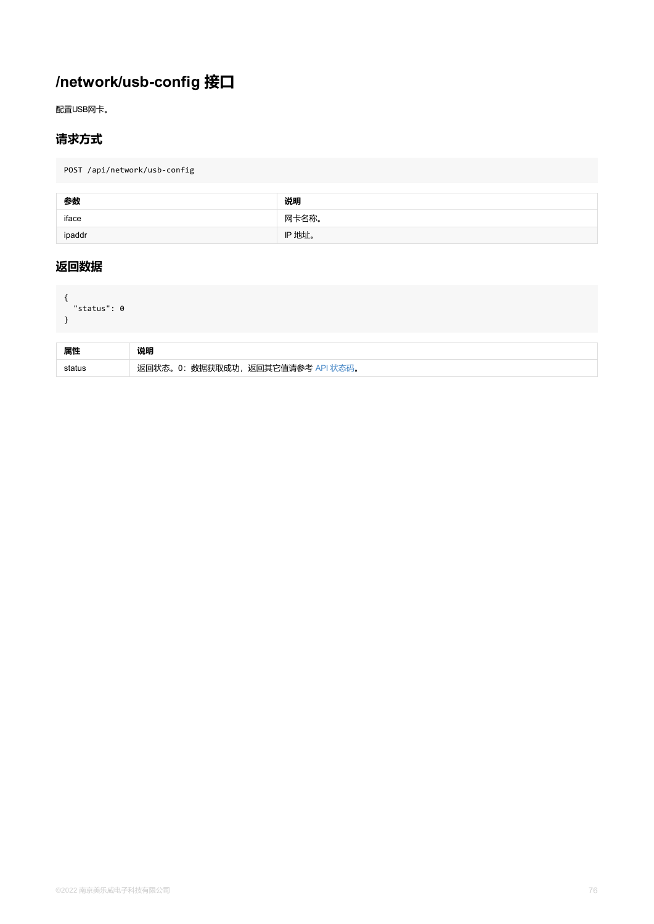```
status . U
}
```

| 属性     | 说明                                |
|--------|-----------------------------------|
| status | 返回状态。0: 数据获取成功, 返回其它值请参考 API 状态码。 |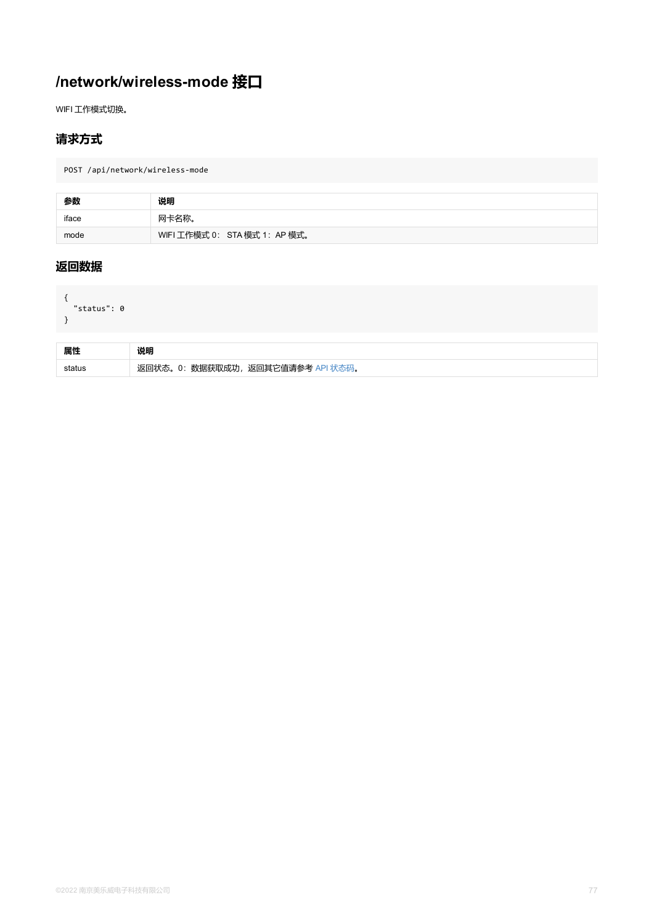```
status . U
}
```

| 属性     | 说明                                |
|--------|-----------------------------------|
| status | 返回状态。0: 数据获取成功, 返回其它值请参考 API 状态码。 |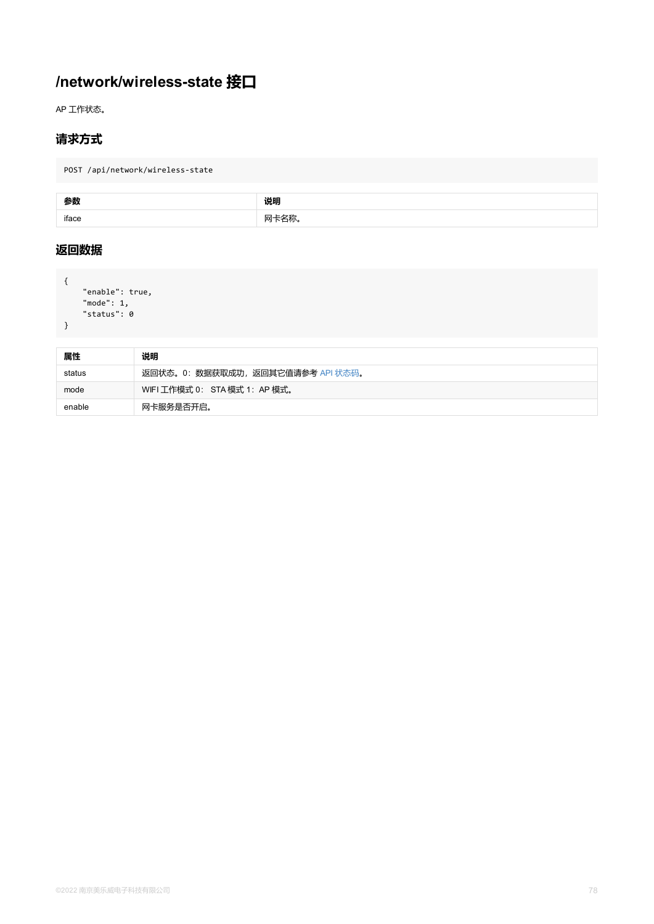```
"status": 0
}
```

| 属性     | 说明                                |
|--------|-----------------------------------|
| status | 返回状态。0: 数据获取成功, 返回其它值请参考 API 状态码。 |
| mode   | WIFI 工作模式 0: STA 模式 1: AP 模式。     |
| enable | 网卡服务是否开启。                         |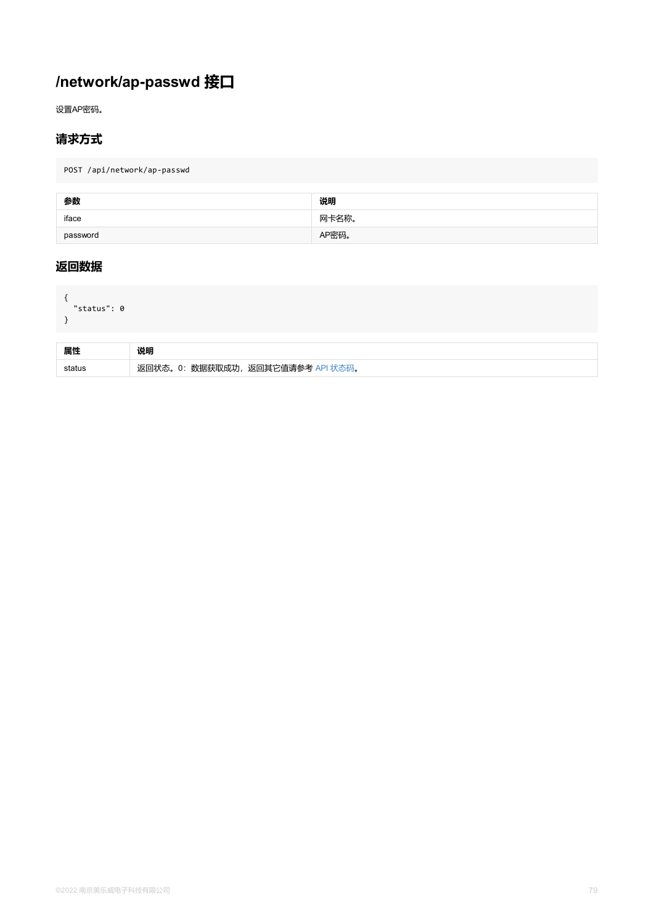```
status . U
}
```

| 属性     | 说明                                |
|--------|-----------------------------------|
| status | 返回状态。0: 数据获取成功, 返回其它值请参考 API 状态码。 |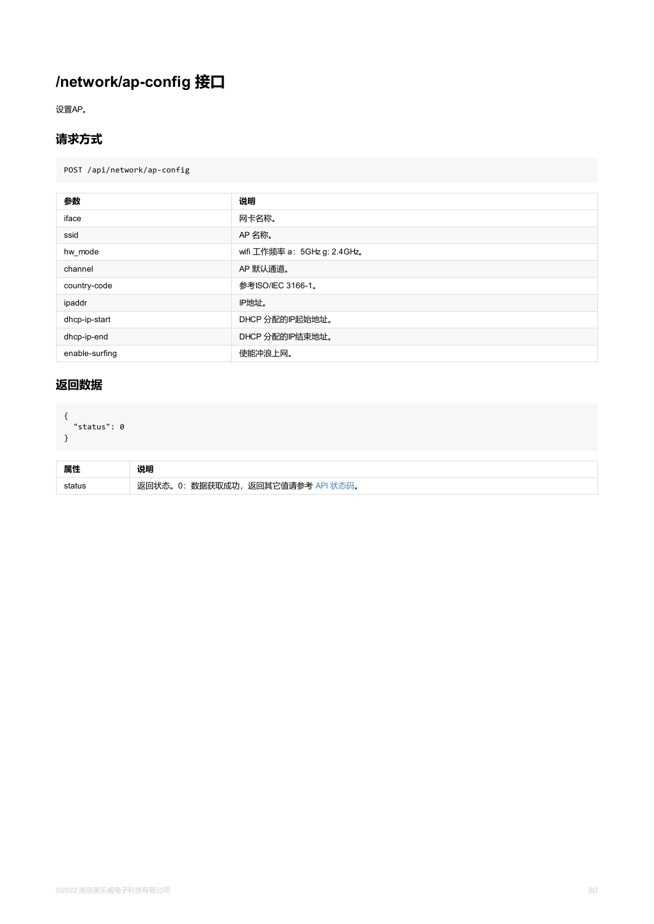| dhcp-ip-start  | DHCP 分配的IP起始地址。 |
|----------------|-----------------|
| dhcp-ip-end    | DHCP 分配的IP结束地址。 |
| enable-surfing | 使能冲浪上网。         |

## **返回数据**

```
{
  "status": 0
}
```

| 属性 | 说明                                |
|----|-----------------------------------|
|    | 返回状态。0: 数据获取成功, 返回其它值请参考 API 状态码。 |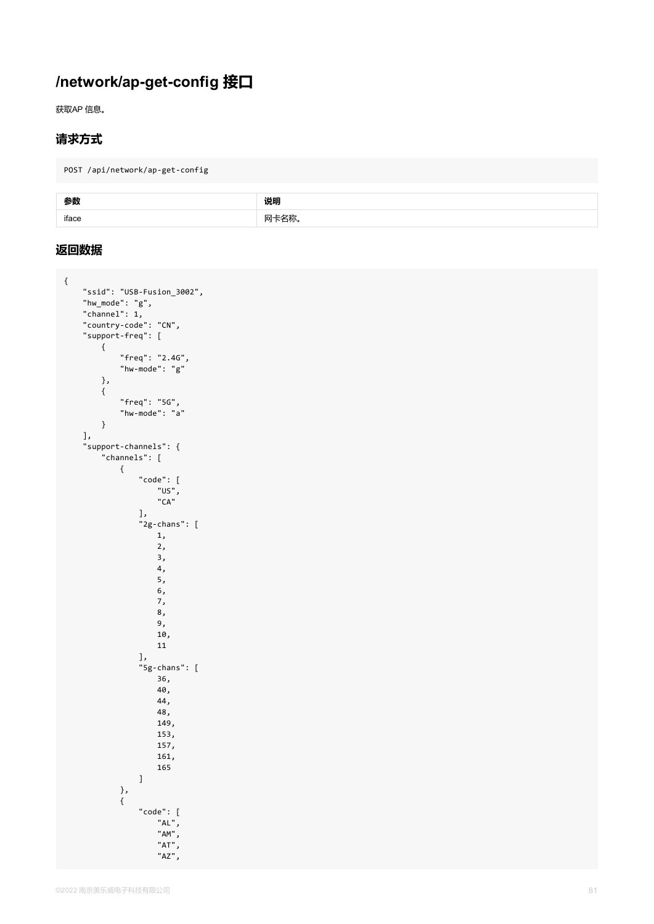## /network/ap-get-config 接口

获 取 A P 信 息 。

#### **请 求 方 式**

POST /api/network/ap-get-config

| 参数    | 说明                 |
|-------|--------------------|
| iface | ライト<br>XХ<br>ュイソハ。 |

#### **返 回 数 据**

```
{
     "ssid": "USB-Fusion_3002",
     "hw_mode": "g",
     "channel": 1,
     "country-code": "CN",
     "support-freq": [
         {
              "freq": "2.4G",
              "hw-mode": "g"
         }
,
         {
              "freq": "5G",
              "hw-mode": "a"
         }
     ]
,
     "support-channels": {
         "channels": [
             {
                   "code": [
                       "
U
S
"
,
                       "CA"
                   ]
,
                   "2g-chans": [
                       1
,
                       2
,
                       3
,
                       4
,
                       5
,
                       6
,
                       7
,
                       8
,
                       9
,
                       1
0
,
                       1
1
                   ]
,
                   "5g-chans": [
                       3
6
,
                       4
0
,
```
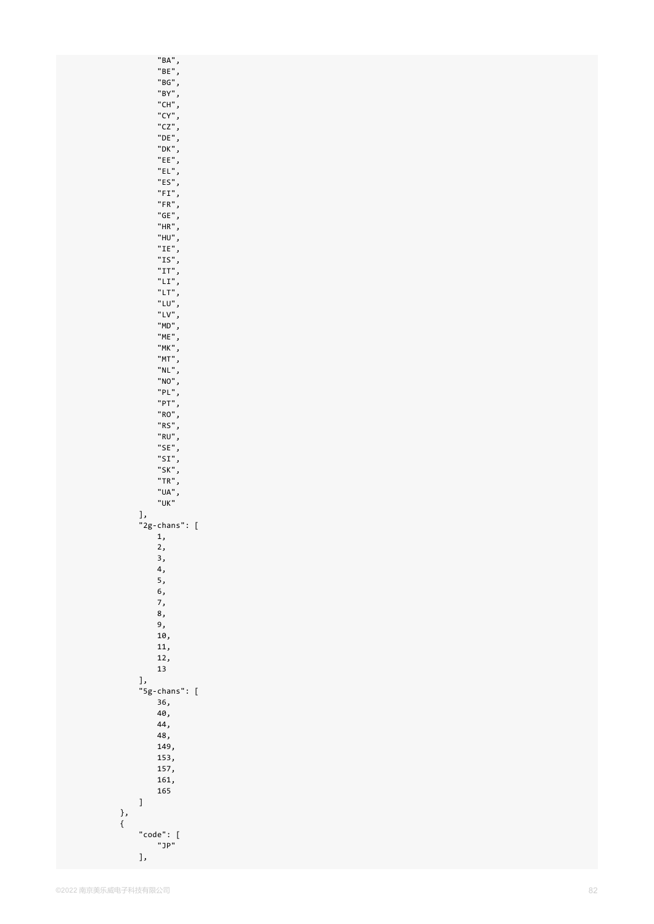" B A " , " B E " , " B G " , " B Y " , " C H " , " C Y " , " C Z " , " D E " , " D K " , "EE", " E L " , " E S " , " F I " , " F R " , " G E " , " H R " , " H U " , " I E " , " I S " , "IT", " L I " , "LT", " L U " , " L V " , " M D " , " M E " , " M K " , "MT", " N L " , " N O " , " P L " , "PT", " R O " , " R S " , " R U " , " S E " , " S I " , " S K " , " T R " , " U A " , " U K " ] , " $2g$ -chans": [ 1 , 2 , 3 , 4 , 5 , 6 , 7 , 8 , 9 , 1 0 , 1 1 , 1 2 , 1 3 ] , "5g-chans": [

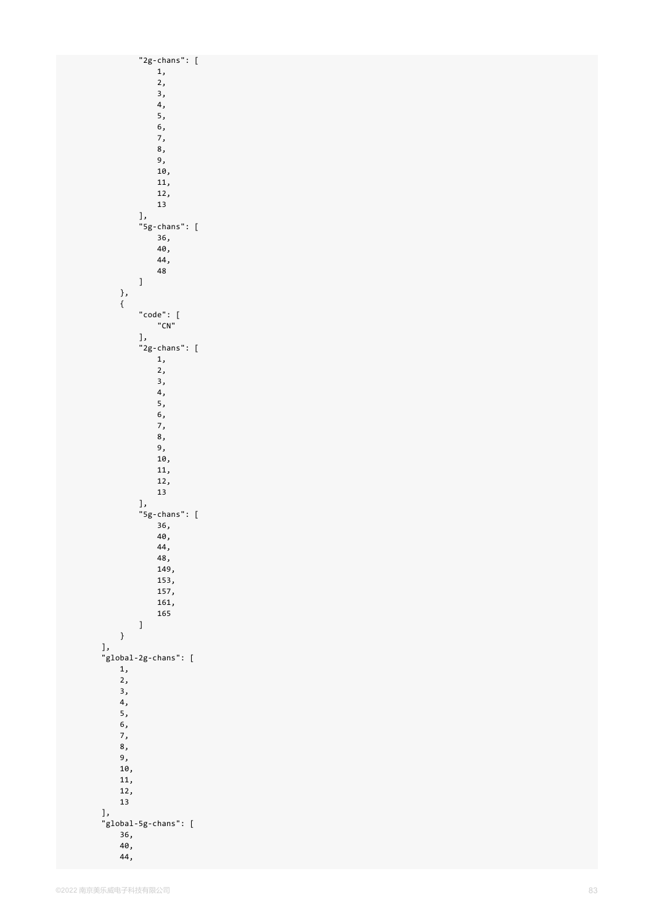" $2g$ -chans": [ , , , , , , , , , 0 , 1 , 2 , 3 ] , "5g-chans": [ 6 , 0 , 4 , 8 ] } , { "code": [ " C N " ] , " $2g$ -chans": [ , , , , , , , , , 0 , 1 , 2 , 3 ] , "5g-chans": [ 6 , 0 , 4 , 8 , 4 9 , 5 3 , 5 7 , 6 1 , 6 5 ] } ] , "global-2g-chans": [ , , ,

```
4
,
      5
,
      6
,
      7
,
      8
,
      9
,
      1
0
,
      1
1
,
      1
2
,
      1
3
]
,
"global-5g-chans": [
      3
6
,
      4
0
,
      4
4
,
```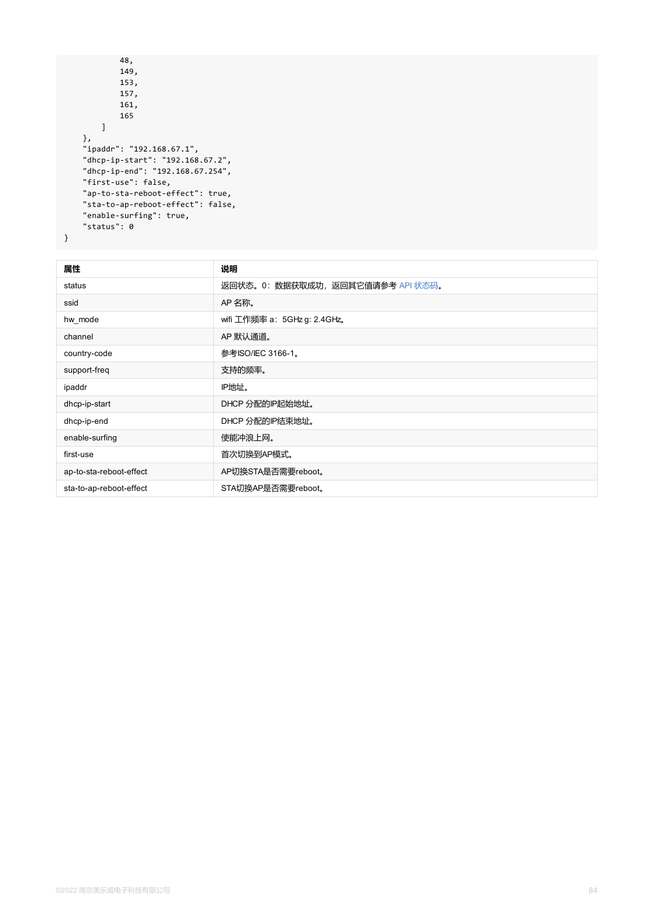| hw mode                 | wifi 工作频率 a: 5GHz g: 2.4GHz。 |
|-------------------------|------------------------------|
| channel                 | AP 默认通道。                     |
| country-code            | 参考ISO/IEC 3166-1。            |
| support-freq            | 支持的频率。                       |
| ipaddr                  | IP地址。                        |
| dhcp-ip-start           | DHCP 分配的IP起始地址。              |
| dhcp-ip-end             | DHCP 分配的IP结束地址。              |
| enable-surfing          | 使能冲浪上网。                      |
| first-use               | 首次切换到AP模式。                   |
| ap-to-sta-reboot-effect | AP切换STA是否需要reboot。           |
| sta-to-ap-reboot-effect | STA切换AP是否需要reboot。           |
|                         |                              |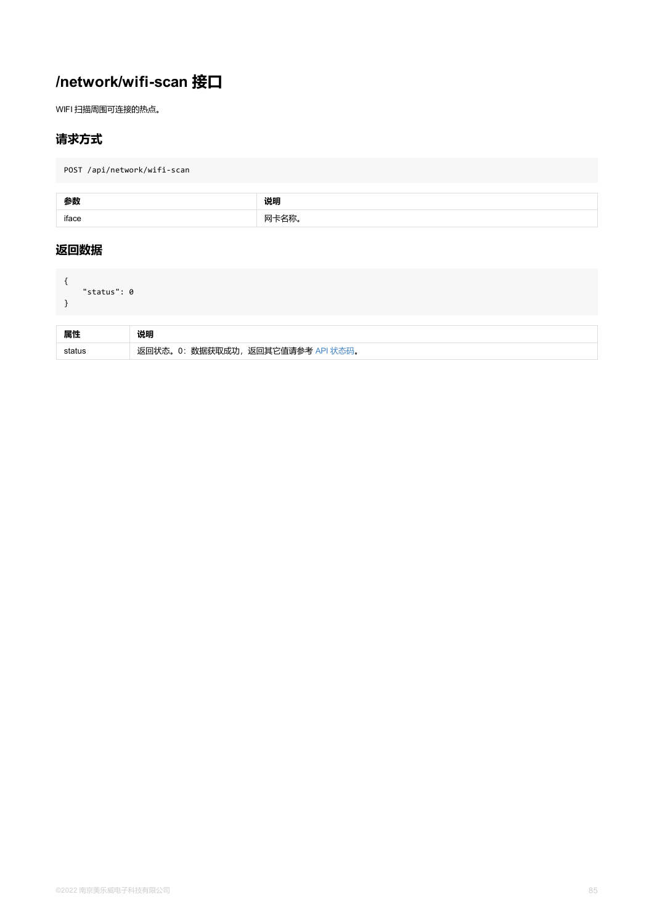| 属性 | 说明                                  |
|----|-------------------------------------|
|    | 数据获取成功,<br>返回其它值请参考。<br>返回状态。<br>0: |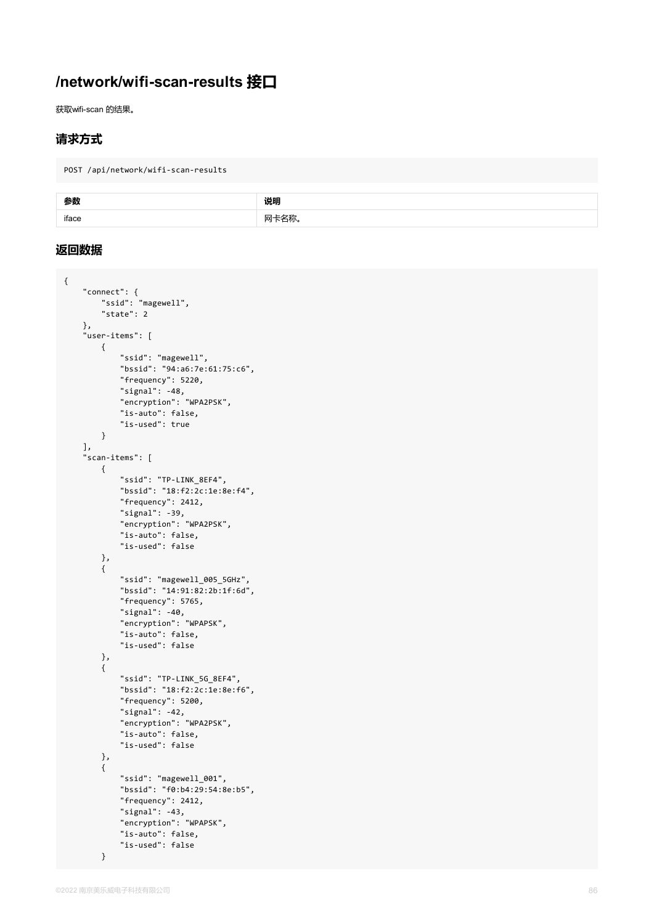## /network/wifi-scan-results 接口

获取wifi-scan 的结果。

#### **请 求 方 式**

POST /api/network/wifi-scan-results

| 参数    | 说明                 |
|-------|--------------------|
| iface | w.<br>$-1$<br>っかハ。 |

#### **返 回 数 据**

```
{
    "connect": {
        "ssid": "magewell",
        "state": 2
    }
,
    "user-items": [
        {
             "ssid": "magewell",
             "bssid": "94:a6:7e:61:75:c6",
             "frequency": 5220,
             "signal": -48,
             "encryption": "WPA2PSK",
             "is-auto": false,
             "is-used": true
        }
    ]
,
    "scan-items": [
        {
             "ssid": "TP-LINK_8EF4",
             "bssid": "18:f2:2c:1e:8e:f4",
             "frequency": 2412,
             "signal": -39,
             "encryption": "WPA2PSK",
             "is-auto": false,
             "is-used": false
        }
,
        {
             "ssid": "magewell_005_5GHz",
             "bssid": "14:91:82:2b:1f:6d",
             "frequency": 5765,
             "signal": -40,
             "encryption": "WPAPSK",
             "is-auto": false,
             "is-used": false
        }
,
        {
             "ssid": "TP-LINK_5G_8EF4",
             "bssid": "18:f2:2c:1e:8e:f6",
             "frequency": 5200,
             "signal": -42,
             "encryption": "WPA2PSK",
             "is-auto": false,
             "is-used": false
        }
,
        {
             "ssid": "magewell_001",
             "bssid": "f0:b4:29:54:8e:b5",
             "frequency": 2412,
             "signal": -43,
             "encryption": "WPAPSK",
             "is-auto": false,
             "is-used": false
        }
```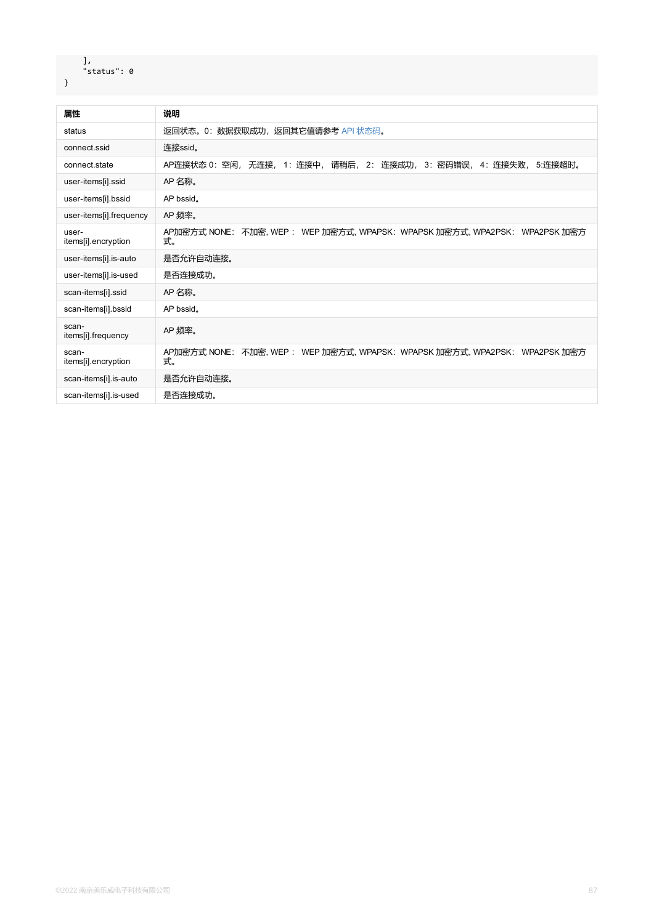| <u>scan-itemsiri.bssitr</u>  | <del>Ar ussiu,</del>                                          |
|------------------------------|---------------------------------------------------------------|
| scan-<br>items[i].frequency  | AP 频率。                                                        |
| scan-<br>items[i].encryption | AP加密方式 NONE: 不加密, WEP: WEP 加密方式, WPAPSK: WPAPSK 加密方式, \<br>式。 |
| scan-items[i].is-auto        | 是否允许自动连接。                                                     |
| scan-items[i].is-used        | 是否连接成功。                                                       |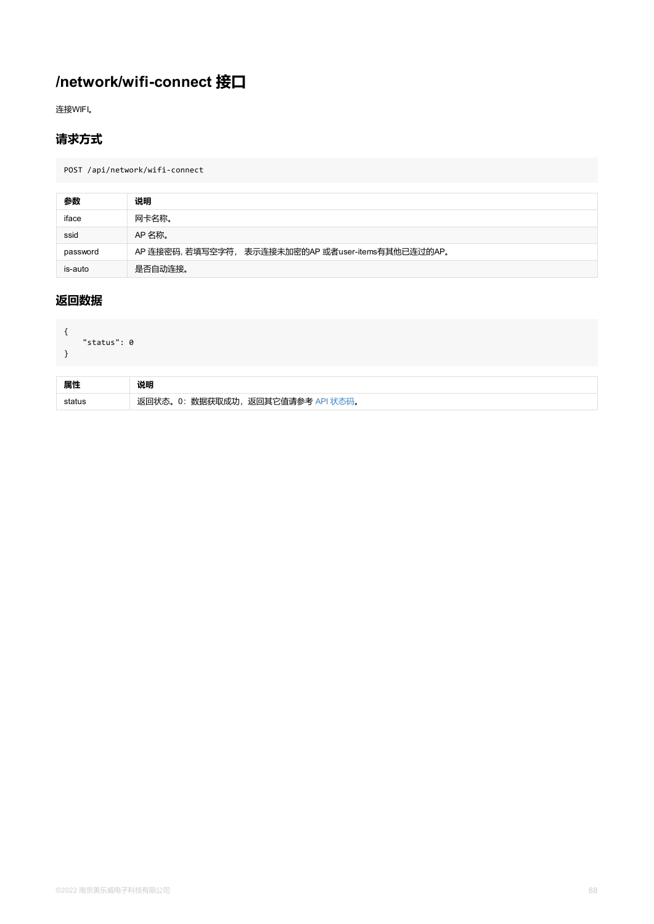```
{
  "status": 0
}
```

| 属性     | 说明                                |
|--------|-----------------------------------|
| status | 返回状态。0: 数据获取成功, 返回其它值请参考 API 状态码。 |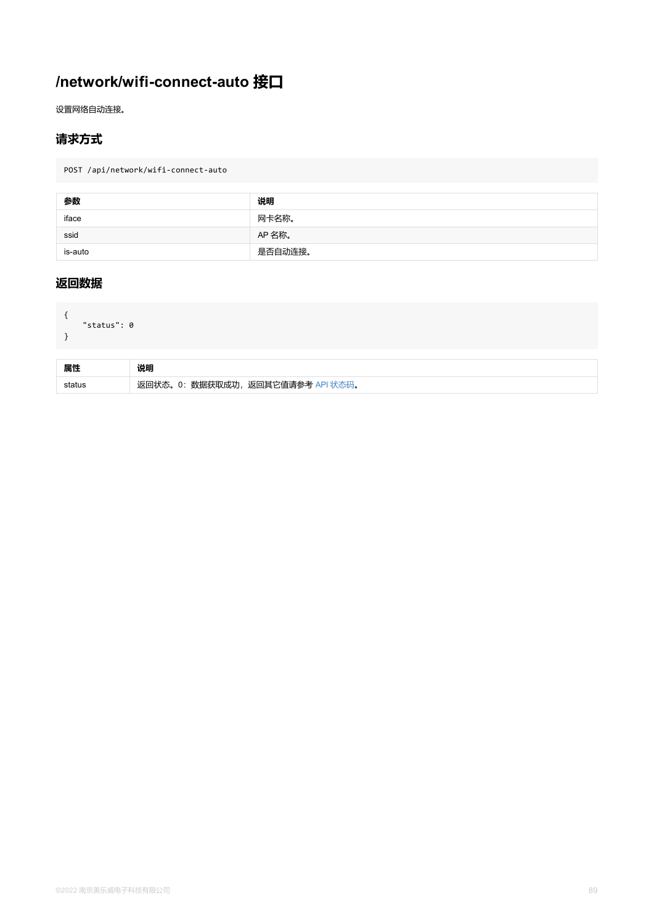```
{
  "status": 0
}
```

| 属性     | 说明                                |
|--------|-----------------------------------|
| status | 返回状态。0: 数据获取成功, 返回其它值请参考 API 状态码。 |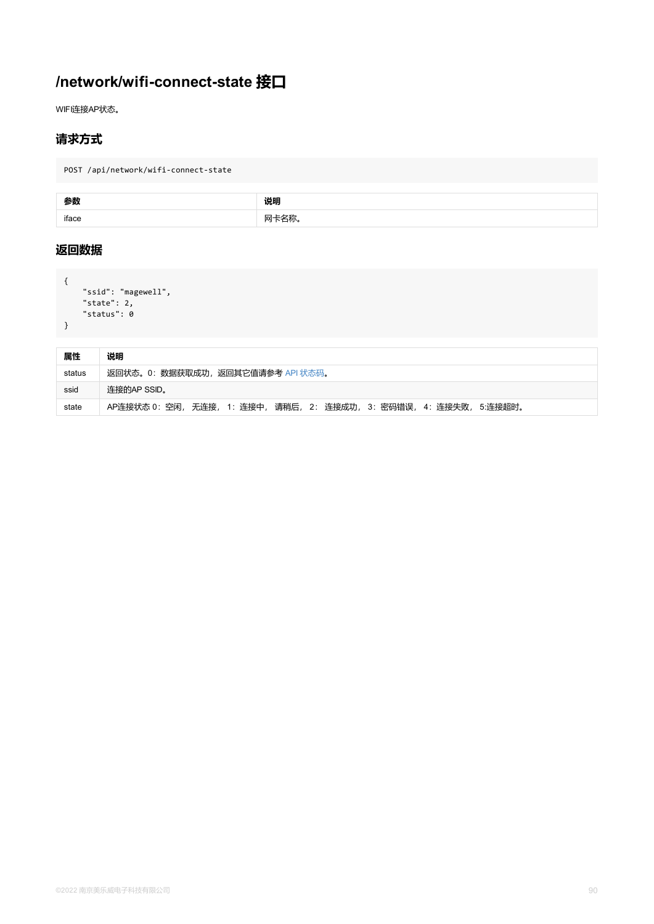```
"status": 0
}
```

| 属性     | 说明                                                            |
|--------|---------------------------------------------------------------|
| status | 返回状态。0: 数据获取成功, 返回其它值请参考 API 状态码。                             |
| ssid   | 连接的AP SSID。                                                   |
| state  | AP连接状态 0: 空闲, 无连接, 1: 连接中,<br>请稍后, 2: 连接成功, 3: 密码错误, 4: 连接失败, |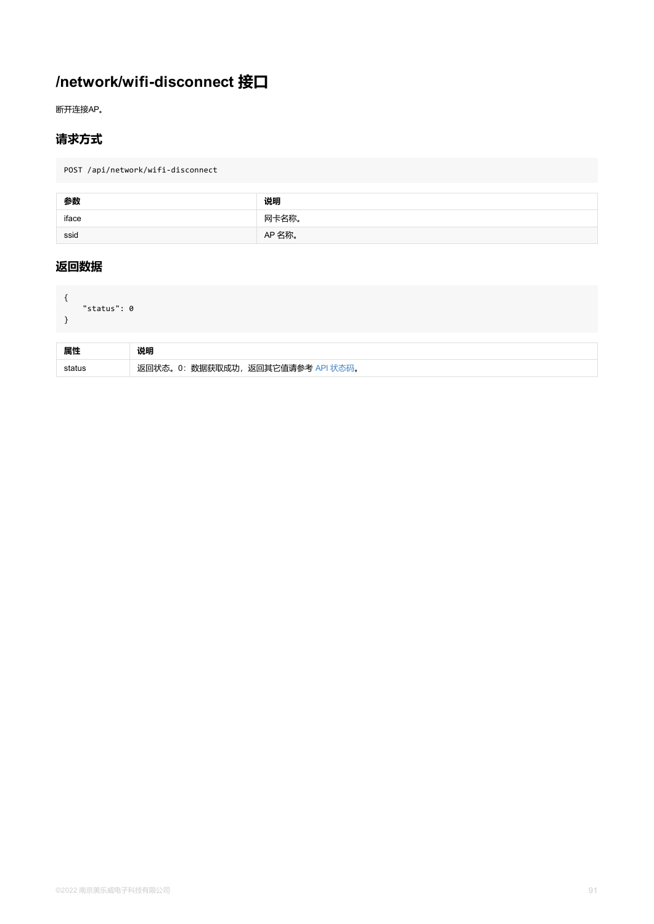```
status . U
}
```

| 属性     | 说明                                |
|--------|-----------------------------------|
| status | 返回状态。0: 数据获取成功, 返回其它值请参考 API 状态码。 |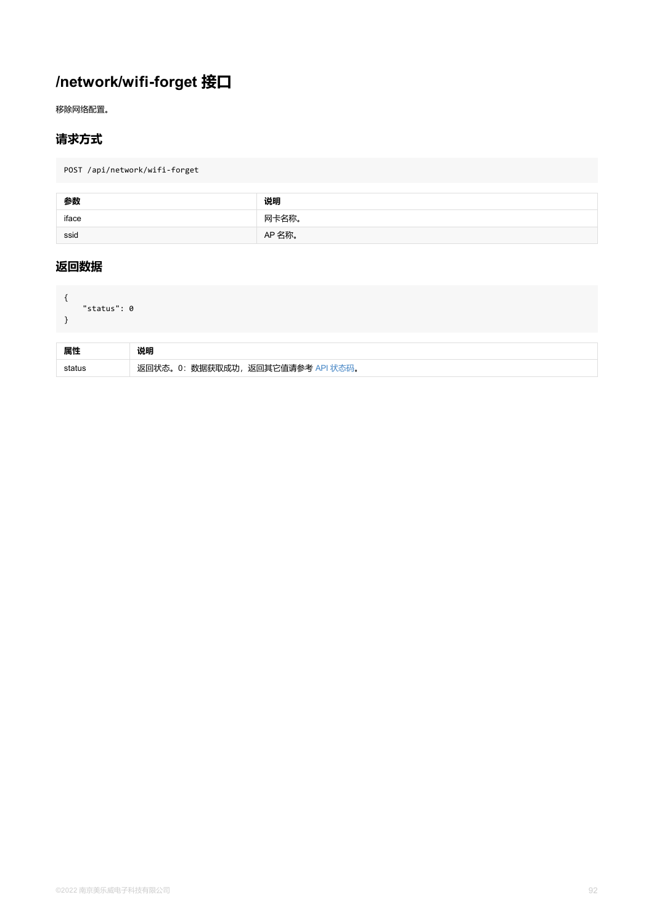```
status . U
}
```

| 属性     | 说明                                |
|--------|-----------------------------------|
| status | 返回状态。0: 数据获取成功, 返回其它值请参考 API 状态码。 |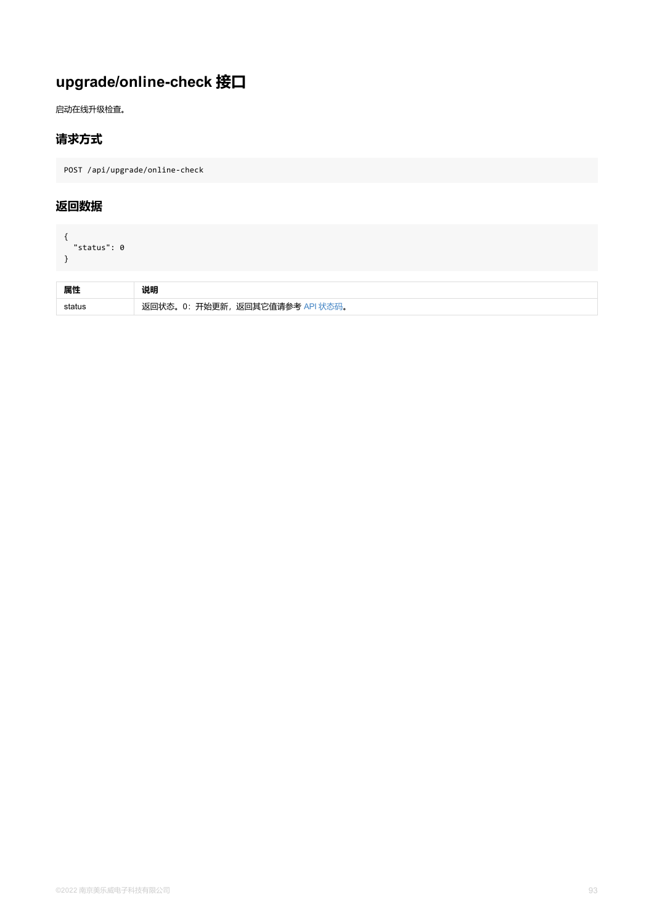| - --- - - - - |  |  |  |  |
|---------------|--|--|--|--|
|               |  |  |  |  |
|               |  |  |  |  |
|               |  |  |  |  |
|               |  |  |  |  |
|               |  |  |  |  |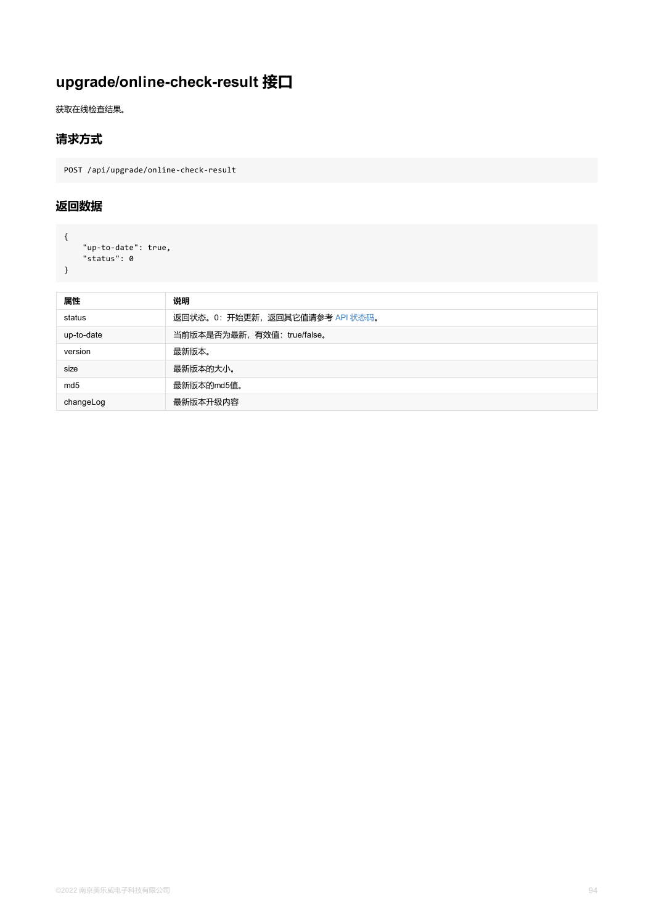| status          | 返回状态。0: 开始更新, 返回其它值请参考 API 状态码。 |
|-----------------|---------------------------------|
| up-to-date      | 当前版本是否为最新, 有效值: true/false。     |
| version         | 最新版本。                           |
| size            | 最新版本的大小。                        |
| md <sub>5</sub> | 最新版本的md5值。                      |
| changeLog       | 最新版本升级内容                        |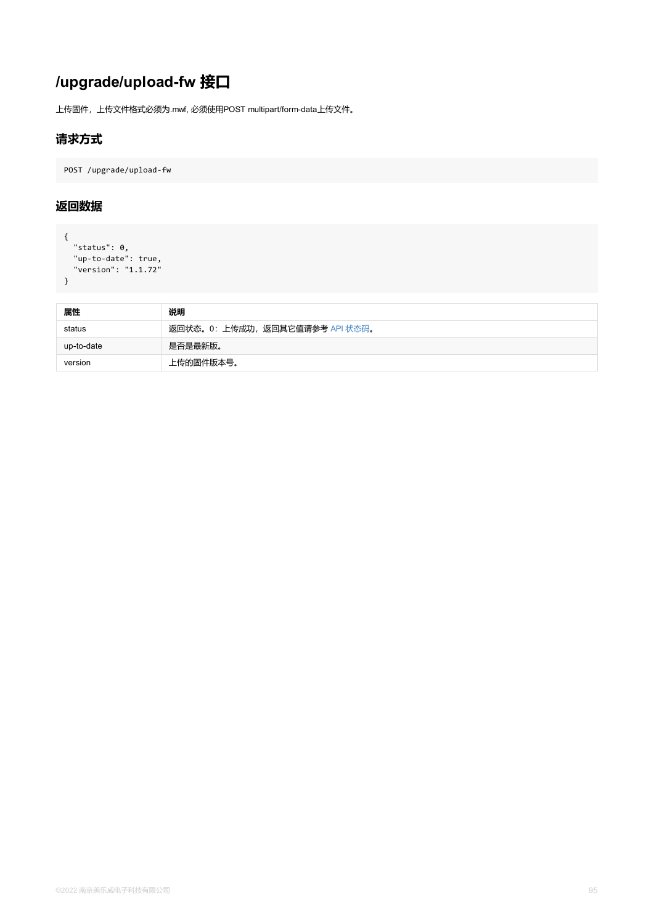| 属性         | 说明                              |
|------------|---------------------------------|
| status     | 返回状态。0: 上传成功, 返回其它值请参考 API 状态码。 |
| up-to-date | 是否是最新版。                         |
| version    | 上传的固件版本号。                       |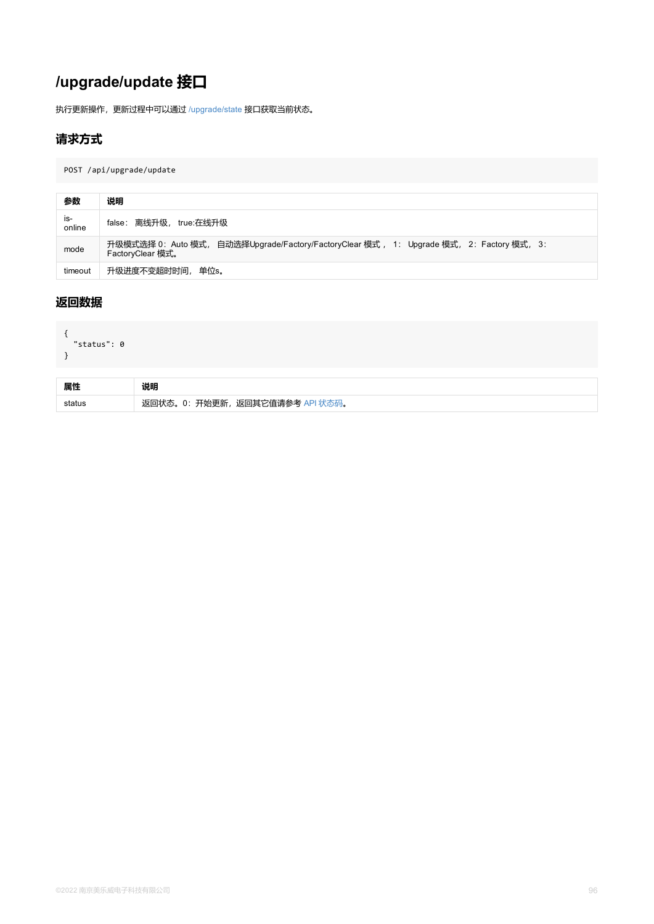```
{
  "status": 0
}
```

| 属性 | 说明                              |
|----|---------------------------------|
|    | 返回状态。0: 开始更新, 返回其它值请参考 API 状态码。 |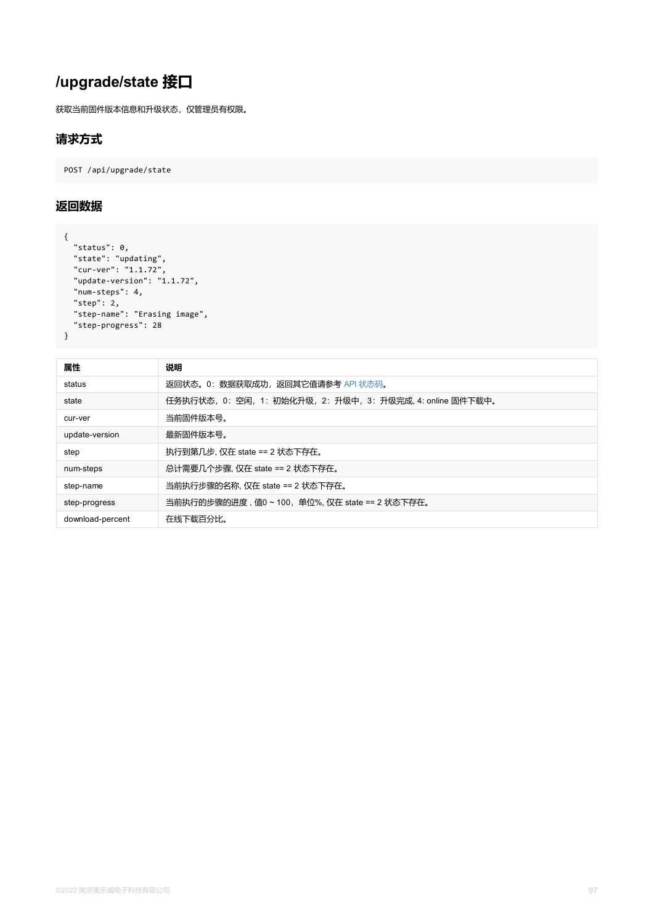```
"step-name": "Erasing image",
 "step-progress": 28
}
```

| 属性               | 说明                                                      |
|------------------|---------------------------------------------------------|
| status           | 返回状态。0: 数据获取成功, 返回其它值请参考 API 状态码。                       |
| state            | 任务执行状态, 0: 空闲, 1: 初始化升级, 2: 升级中, 3: 升级完成, 4: online 固件下 |
| cur-ver          | 当前固件版本号。                                                |
| update-version   | 最新固件版本号。                                                |
| step             | 执行到第几步, 仅在 state == 2 状态下存在。                            |
| num-steps        | 总计需要几个步骤, 仅在 state == 2 状态下存在。                          |
| step-name        | 当前执行步骤的名称, 仅在 state == 2 状态下存在。                         |
| step-progress    | 当前执行的步骤的进度, 值0~100, 单位%, 仅在 state == 2 状态下存在。           |
| download-percent | 在线下载百分比。                                                |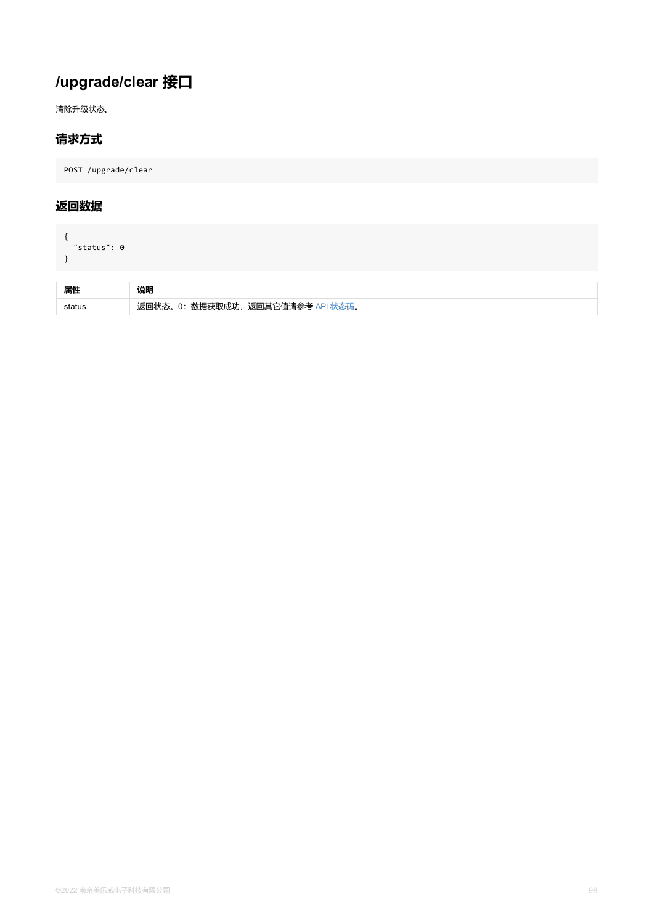|  | ------ |  |  |
|--|--------|--|--|
|  |        |  |  |
|  |        |  |  |
|  |        |  |  |
|  |        |  |  |
|  |        |  |  |
|  |        |  |  |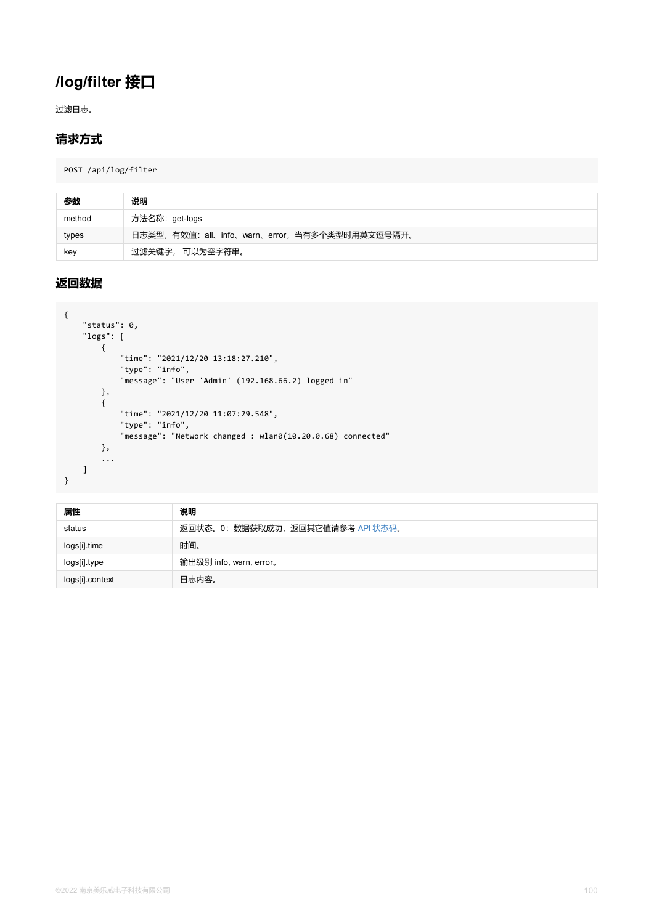```
{
    "status": 0,
    "logs": [
        {
            "time": "2021/12/20 13:18:27.210",
            "type": "info",
            "message": "User 'Admin' (192.168.66.2) logged in"
        },
        {
            "time": "2021/12/20 11:07:29.548",
            "type": "info",
            "message": "Network changed : wlan0(10.20.0.68) connected"
        },
        ...
   ]
}
```

| 属性              | 说明                                |
|-----------------|-----------------------------------|
| status          | 返回状态。0: 数据获取成功, 返回其它值请参考 API 状态码。 |
| logs[i].time    | 时间。                               |
| logs[i].type    | 输出级别 info, warn, error。           |
| logs[i].context | 日志内容。                             |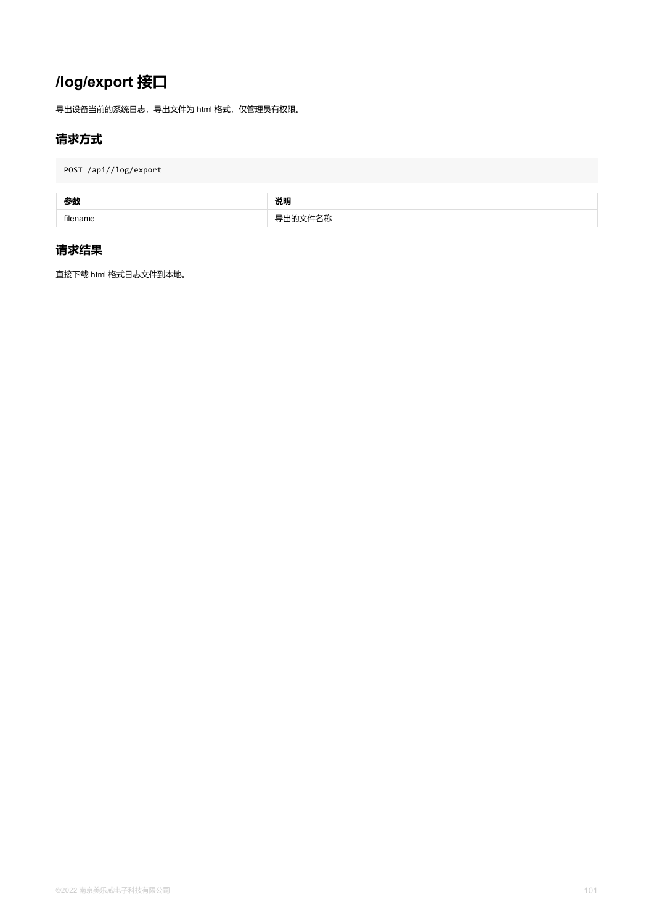# **/log/export 接口**

导出设备当前的系统日志,导出文件为 html 格式,仅管理员有权限。

## **请求方式**

POST /api//log/export

| 参数       | 说明  |
|----------|-----|
| filename | コイリ |

### **请求结果**

直接下载 html 格式日志文件到本地。

©2022 南京美乐威电子科技有限公司 101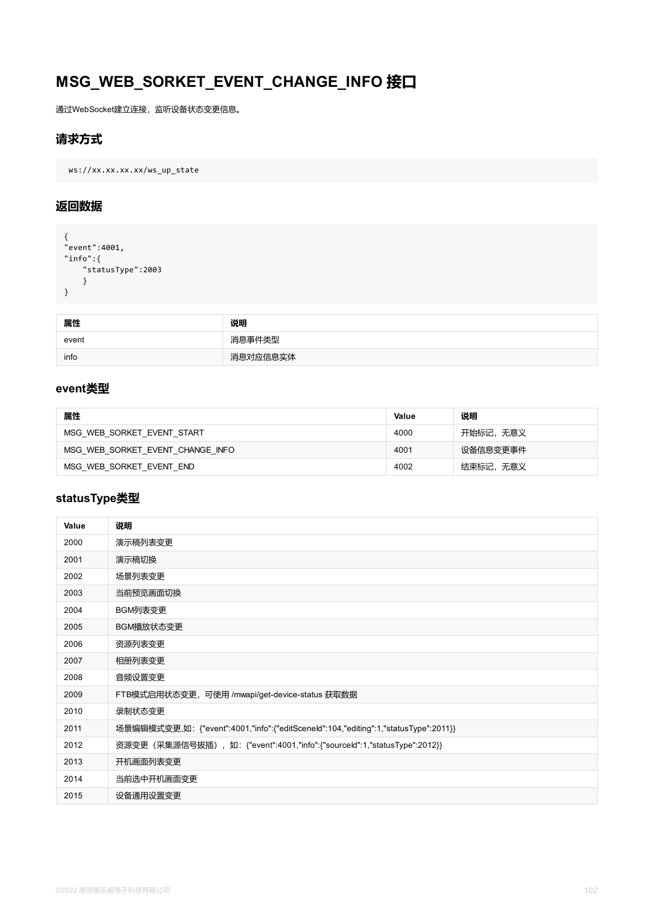# **MSG\_WEB\_SORKET\_EVENT\_CHANGE\_INFO 接口**

通过WebSocket建立连接,监听设备状态变更信息。

### **请求方式**

ws://xx.xx.xx.xx/ws\_up\_state

#### **返回数据**

```
{
"event":4001,
"info":{
   "statusType":2003
   }
}
```

| 属性    | 说明       |
|-------|----------|
| event | 消息事件类型   |
| info  | 消息对应信息实体 |

### **event类型**

| 属性                               | <b>Value</b> | 说明       |
|----------------------------------|--------------|----------|
| MSG WEB SORKET EVENT START       | 4000         | 开始标记,无意义 |
| MSG WEB SORKET EVENT CHANGE INFO | 4001         | 设备信息变更事件 |
| MSG WEB SORKET EVENT END         | 4002         | 结束标记,无意义 |

## **statusType类型**

| Value | 说明                                                                                 |
|-------|------------------------------------------------------------------------------------|
| 2000  | 演示稿列表变更                                                                            |
| 2001  | 演示稿切换                                                                              |
| 2002  | 场景列表变更                                                                             |
| 2003  | 当前预览画面切换                                                                           |
| 2004  | BGM列表变更                                                                            |
| 2005  | BGM播放状态变更                                                                          |
| 2006  | 资源列表变更                                                                             |
| 2007  | 相册列表变更                                                                             |
| 2008  | 音频设置变更                                                                             |
| 2009  | FTB模式启用状态变更, 可使用 /mwapi/get-device-status 获取数据                                     |
| 2010  | 录制状态变更                                                                             |
| 2011  | 场景编辑模式变更,如:{"event":4001,"info":{"editSceneId":104,"editing":1,"statusType":2011}} |
| 2012  | 资源变更 (采集源信号拔插), 如: {"event":4001,"info":{"sourceId":1,"statusType":2012}}          |
| 2013  | 开机画面列表变更                                                                           |
| 2014  | 当前选中开机画面变更                                                                         |
| 2015  | 设备通用设置变更                                                                           |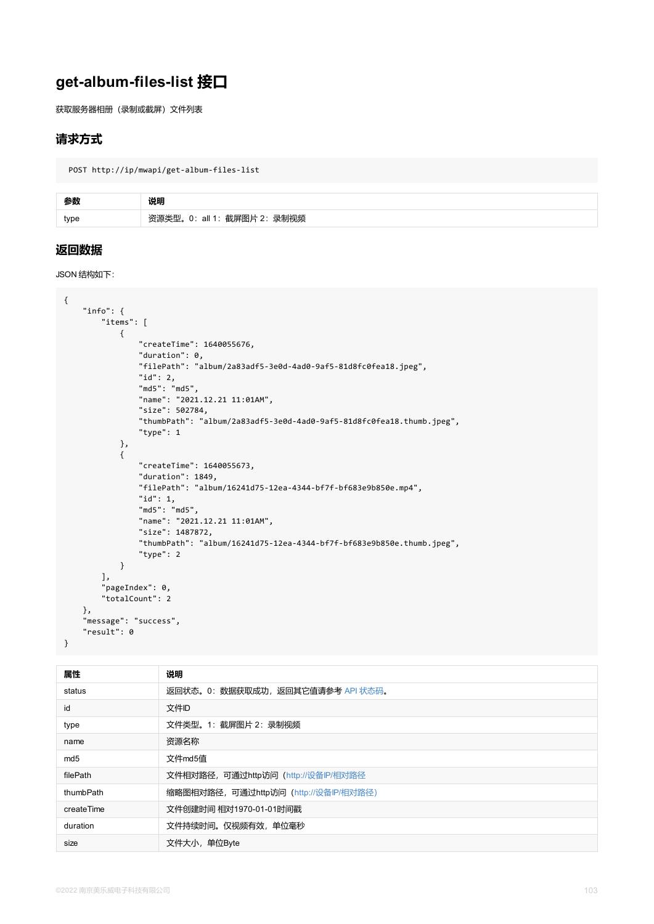```
"info": {
        "items": [
            {
                "createTime": 1640055676,
                "duration": 0,
                "filePath": "album/2a83adf5-3e0d-4ad0-9af5-81d8fc0fea18.jpeg",
                "id": 2,
                "md5": "md5",
                "name": "2021.12.21 11:01AM",
                "size": 502784,
                "thumbPath": "album/2a83adf5-3e0d-4ad0-9af5-81d8fc0fea18.thumb.jpeg",
                "type": 1
            },
            {
                "createTime": 1640055673,
                "duration": 1849,
                "filePath": "album/16241d75-12ea-4344-bf7f-bf683e9b850e.mp4",
                "id": 1,
                "md5": "md5",
                "name": "2021.12.21 11:01AM",
                "size": 1487872,
                "thumbPath": "album/16241d75-12ea-4344-bf7f-bf683e9b850e.thumb.jpeg",
                "type": 2
            }
        ],
        "pageIndex": 0,
        "totalCount": 2
    },
    "message": "success",
    "result": 0
}
```

| 属性              | 说明                                   |
|-----------------|--------------------------------------|
| status          | 返回状态。0: 数据获取成功, 返回其它值请参考 API 状态码。    |
| id              | 文件ID                                 |
| type            | 文件类型。1: 截屏图片 2: 录制视频                 |
| name            | 资源名称                                 |
| md <sub>5</sub> | 文件md5值                               |
| filePath        | 文件相对路径, 可通过http访问 (http://设备IP/相对路径  |
| thumbPath       | 缩略图相对路径,可通过http访问 (http://设备IP/相对路径) |
| createTime      | 文件创建时间 相对1970-01-01时间戳               |
| duration        | 文件持续时间。仅视频有效,单位毫秒                    |
| size            | 文件大小, 单位Byte                         |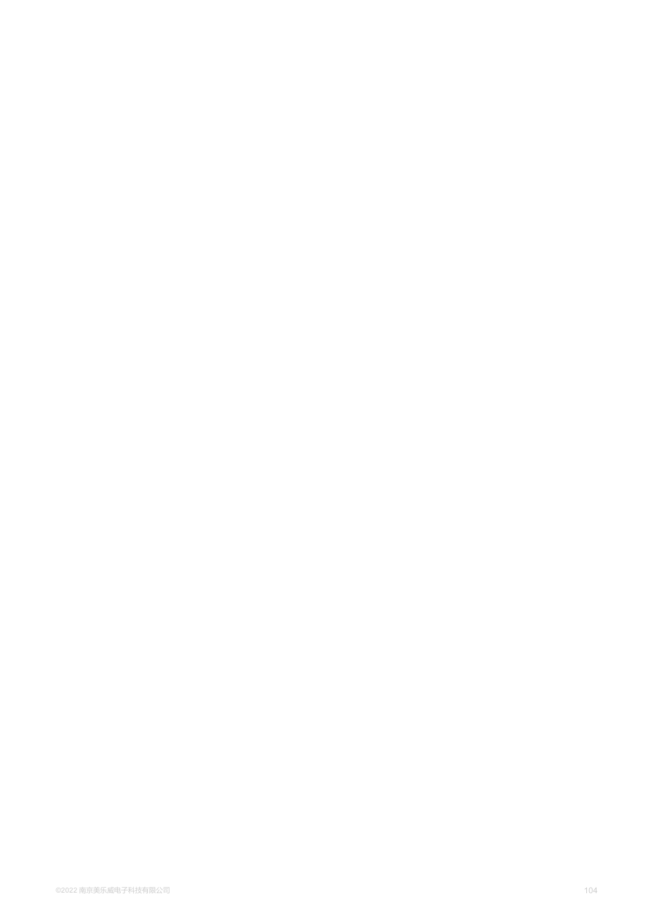©2022 南京美乐威电子科技有限公司 104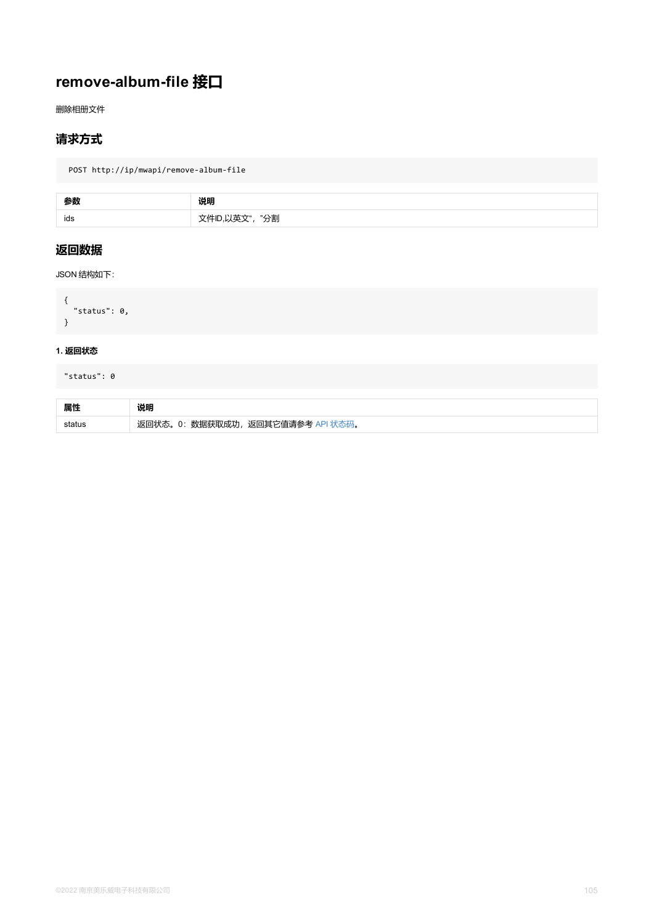```
"status": 0,
}
```
#### **1. 返回状态**

"status": 0

| 属性     | 说明                                |
|--------|-----------------------------------|
| status | 返回状态。0: 数据获取成功, 返回其它值请参考 API 状态码。 |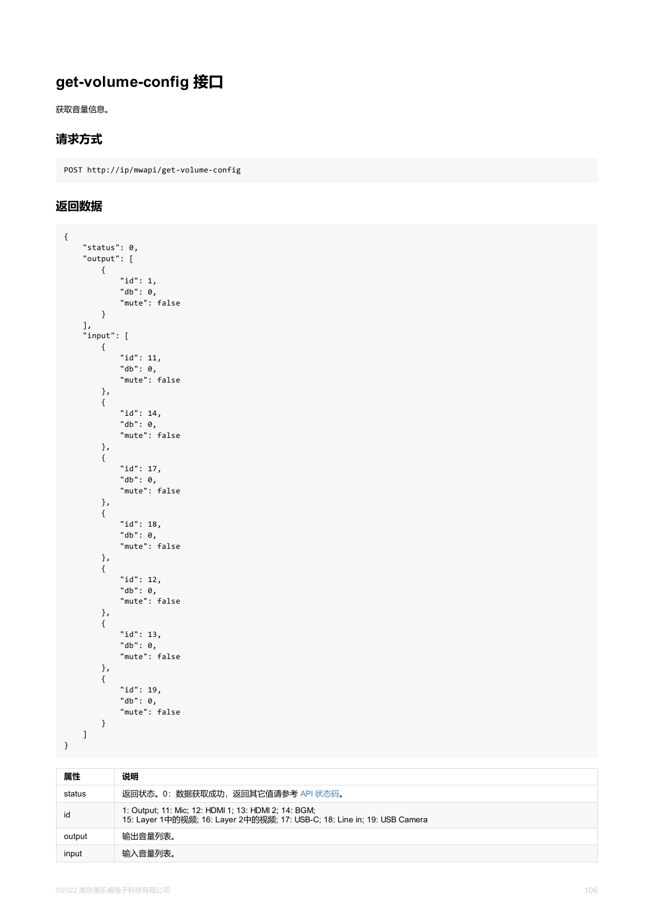```
}
    ],
    "input": [
       {
            "id": 11,
            "db": 0,
            "mute": false
        },
        {
            "id": 14,
            "db": 0,
            "mute": false
        },
        {
            "id": 17,
            "db": 0,
            "mute": false
        },
        {
            "id": 18,
            "db": 0,
            "mute": false
        },
        {
            "id": 12,
            "db": 0,
            "mute": false
        },
        {
            "id": 13,
            "db": 0,
            "mute": false
        },
        {
            "id": 19,
            "db": 0,
            "mute": false
       }
  ]
}
```

| 属性     | 说明                                                                                                                               |
|--------|----------------------------------------------------------------------------------------------------------------------------------|
| status | 返回状态。0: 数据获取成功, 返回其它值请参考 API 状态码。                                                                                                |
| id     | 1: Output; 11: Mic; 12: HDMI 1; 13: HDMI 2; 14: BGM;<br>15: Layer 1中的视频; 16: Layer 2中的视频; 17: USB-C; 18: Line in; 19: USB Camera |
| output | 输出音量列表。                                                                                                                          |
| input  | 输入音量列表。                                                                                                                          |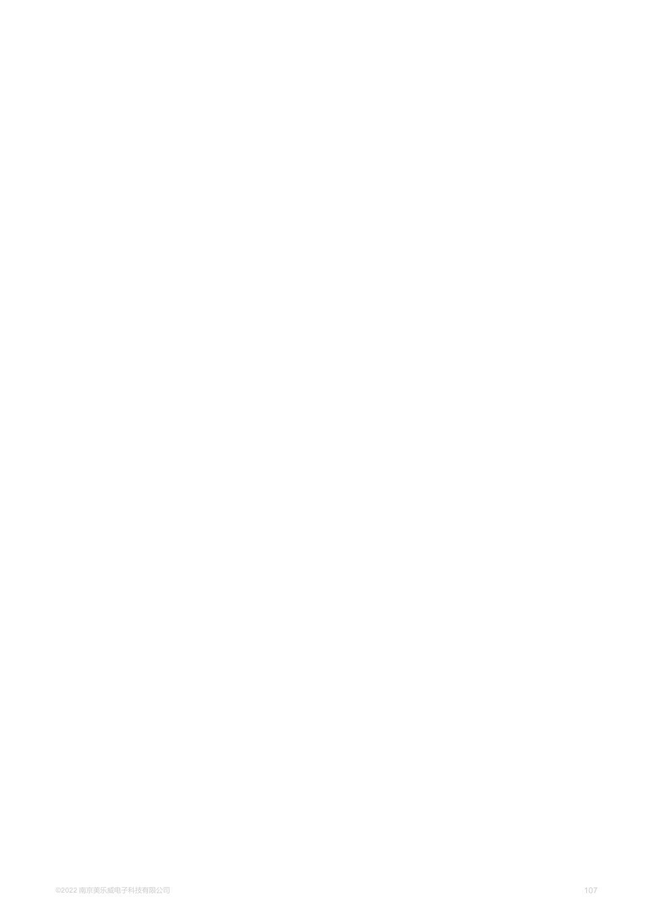©2022 南京美乐威电子科技有限公司 107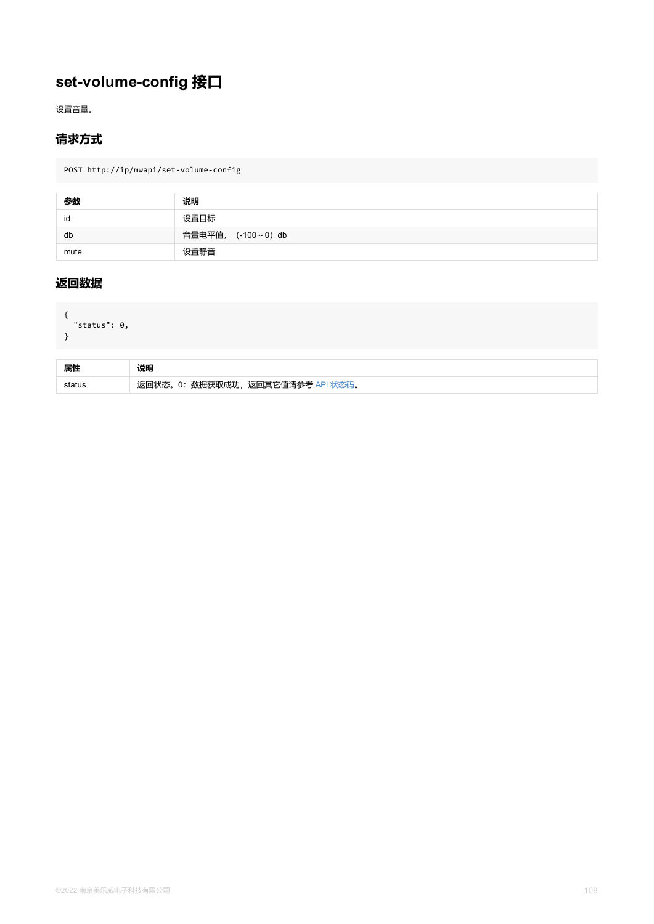```
{
"status": 0,
}
```

| 属性     | 说明                                |
|--------|-----------------------------------|
| status | 返回状态。0: 数据获取成功, 返回其它值请参考 API 状态码。 |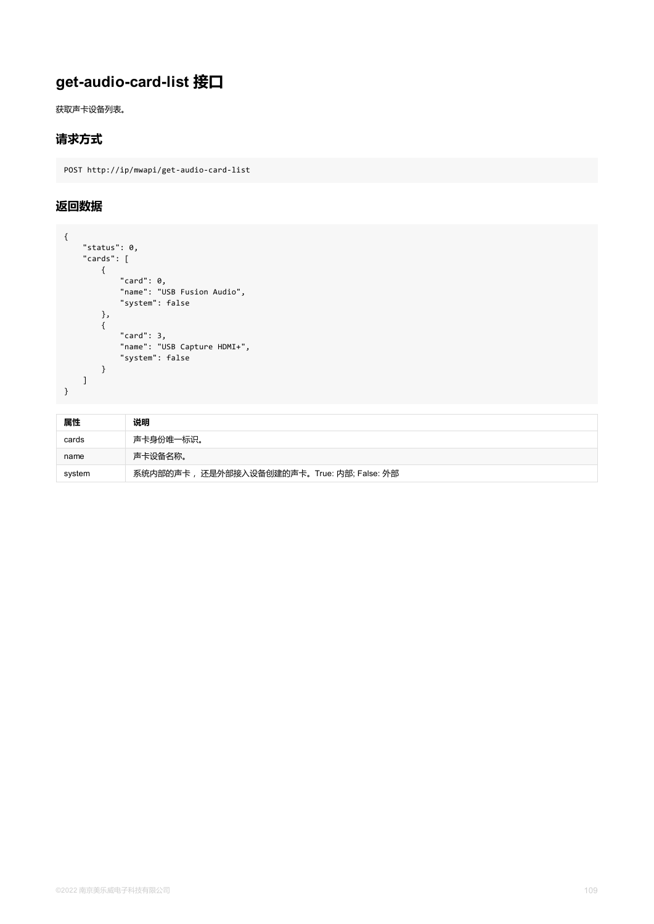## **get-audio-card-list 接口**

获取声卡设备列表。

## **请求方式**

POST http://ip/mwapi/get-audio-card-list

## **返回数据**

```
{
    "status": 0,
    "cards": [
       {
            "card": 0,"name": "USB Fusion Audio",
            "system": false
        },
        {
            "card": 3,
            "name": "USB Capture HDMI+",
            "system": false
        }
   ]
}
```

| 属性     | 说明                                         |
|--------|--------------------------------------------|
| cards  | 声卡身份唯一标识。                                  |
| name   | 声卡设备名称。                                    |
| system | 系统内部的声卡, 还是外部接入设备创建的声卡。True: 内部; False: 外部 |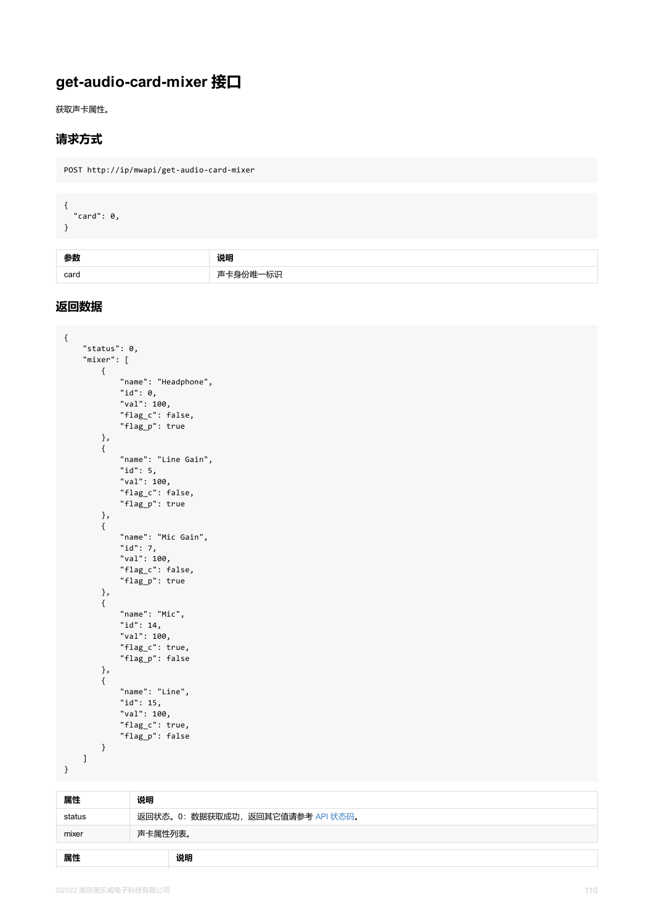## **get-audio-card-mixer 接口**

获取声卡属性。

## **请求方式**

POST http://ip/mwapi/get-audio-card-mixer

{ "card": 0, }

| 参数   | 说明                               |
|------|----------------------------------|
| card | .— <b>1</b> —<br><u>—</u><br>-怀以 |

## **返回数据**

```
{
    "status": 0,
    "mixer": [
       {
            "name": "Headphone",
            "id": 0,
            "val": 100,
            "flag_c": false,
            "flag_p": true
        },
        {
            "name": "Line Gain",
            "id": 5,
            "val": 100,
            "flag_c": false,
            "flag_p": true
        },
        {
            "name": "Mic Gain",
            "id": 7,
            "val": 100,
            "flag_c": false,
            "flag_p": true
        },
        {
            "name": "Mic",
            "id": 14,
            "val": 100,
            "flag_c": true,
            "flag_p": false
        },
        {
            "name": "Line",
```

|  | "id": 15,       |
|--|-----------------|
|  | "val": 100,     |
|  | "flag_c": true, |
|  | "flag_p": false |
|  |                 |
|  |                 |
|  |                 |

| 返回状态。0: 数据获取成功, 返回其它值请参考 API 状态码。<br>status |  |
|---------------------------------------------|--|
|                                             |  |
| 声卡属性列表。<br>mixer                            |  |

| .<br>.<br>$\mathbf{r}$ | 说明<br>. .<br>$\cdots$ |
|------------------------|-----------------------|
|                        |                       |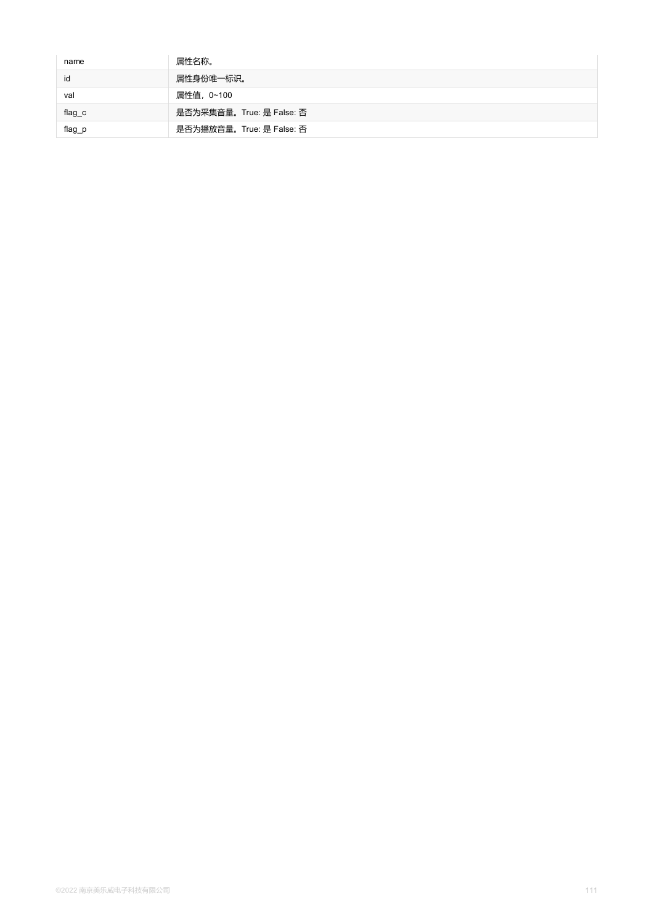| name   | 属性名称。                    |
|--------|--------------------------|
| id     | 属性身份唯一标识。                |
| val    | 属性值,0~100                |
| flag_c | 是否为采集音量。True: 是 False: 否 |
| flag_p | 是否为播放音量。True: 是 False: 否 |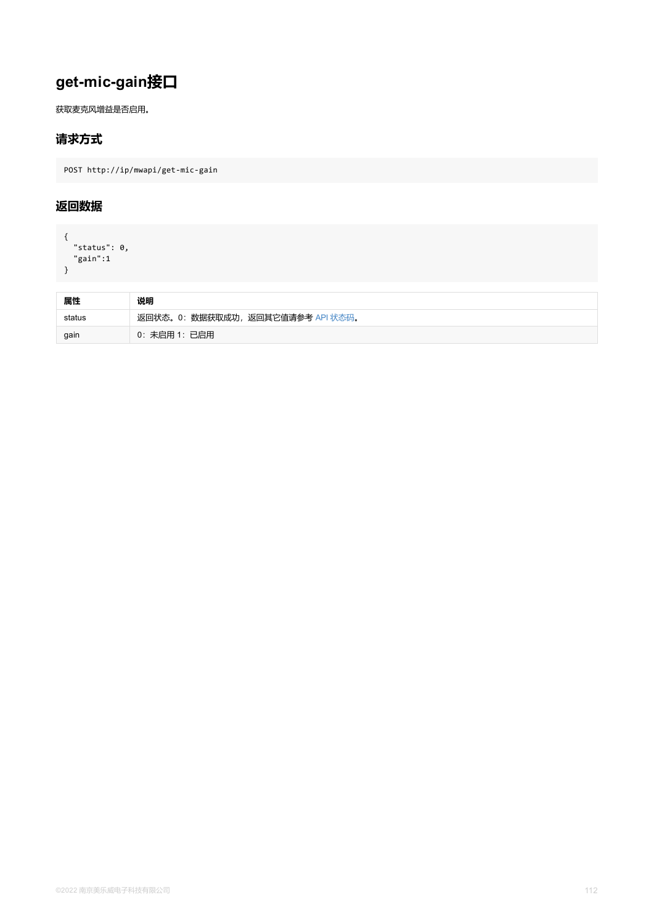# **get-mic-gain接口**

获取麦克风增益是否启用。

## **请求方式**

POST http://ip/mwapi/get-mic-gain

## **返回数据**

```
{
  "status": 0,
  "gain":1
}
```

| 属性     | 说明                                |
|--------|-----------------------------------|
| status | 返回状态。0: 数据获取成功, 返回其它值请参考 API 状态码。 |
| gain   | <b>_0: 未启用 1: 已启用</b>             |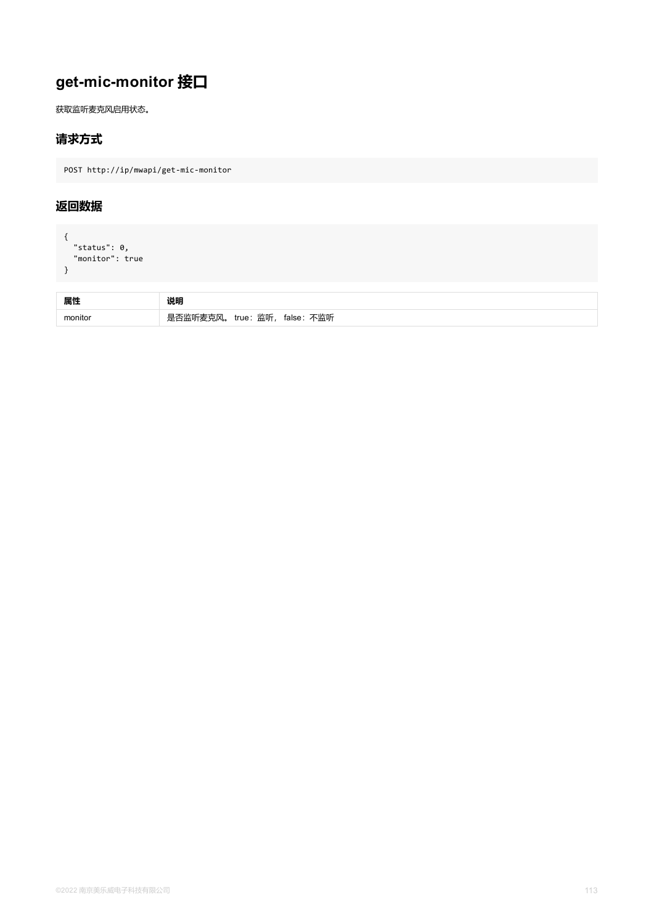# **get-mic-monitor 接口**

获取监听麦克风启用状态。

## **请求方式**

POST http://ip/mwapi/get-mic-monitor

## **返回数据**

```
{
  "status": 0,
 "monitor": true
}
```

| 属性      | 说明                                     |
|---------|----------------------------------------|
| monitor | true: 监听,<br>不监听<br>false:<br>是否监听麦克风。 |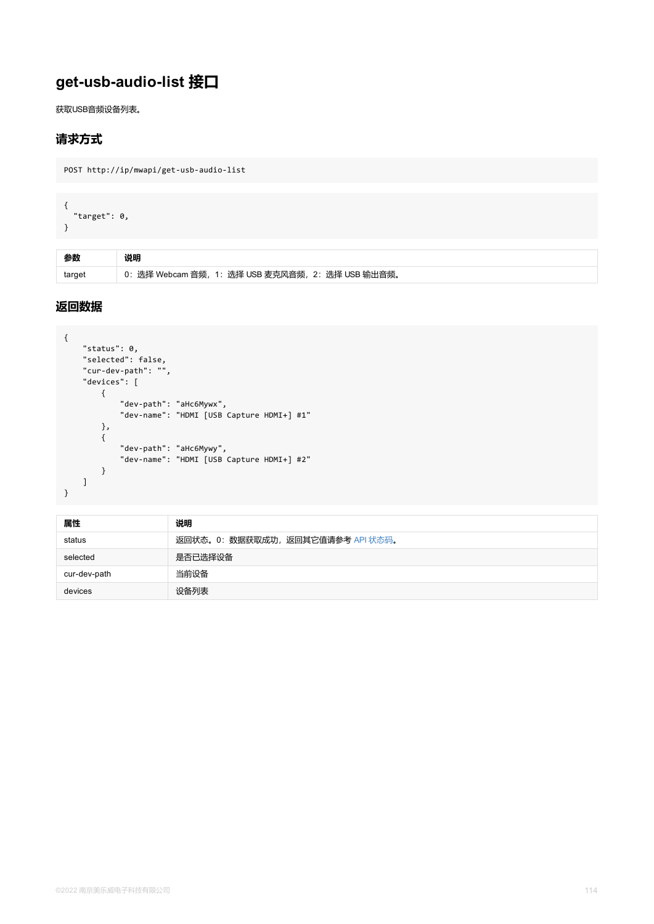## **get-usb-audio-list 接口**

获取USB音频设备列表。

## **请求方式**

POST http://ip/mwapi/get-usb-audio-list

{ "target": 0, }

| 参数     | 说明                                           |
|--------|----------------------------------------------|
| target | 0:选择 Webcam 音频,1:选择 USB 麦克风音频,2:选择 USB 输出音频。 |

## **返回数据**

```
{
    "status": 0,
   "selected": false,
    "cur-dev-path": "",
    "devices": [
       {
            "dev-path": "aHc6Mywx",
            "dev-name": "HDMI [USB Capture HDMI+] #1"
        },
        {
            "dev-path": "aHc6Mywy",
            "dev-name": "HDMI [USB Capture HDMI+] #2"
        }
   ]
}
```

| 属性           | 说明                                |
|--------------|-----------------------------------|
| status       | 返回状态。0: 数据获取成功, 返回其它值请参考 API 状态码。 |
| selected     | 是否已选择设备                           |
| cur-dev-path | 当前设备                              |
| devices      | 设备列表                              |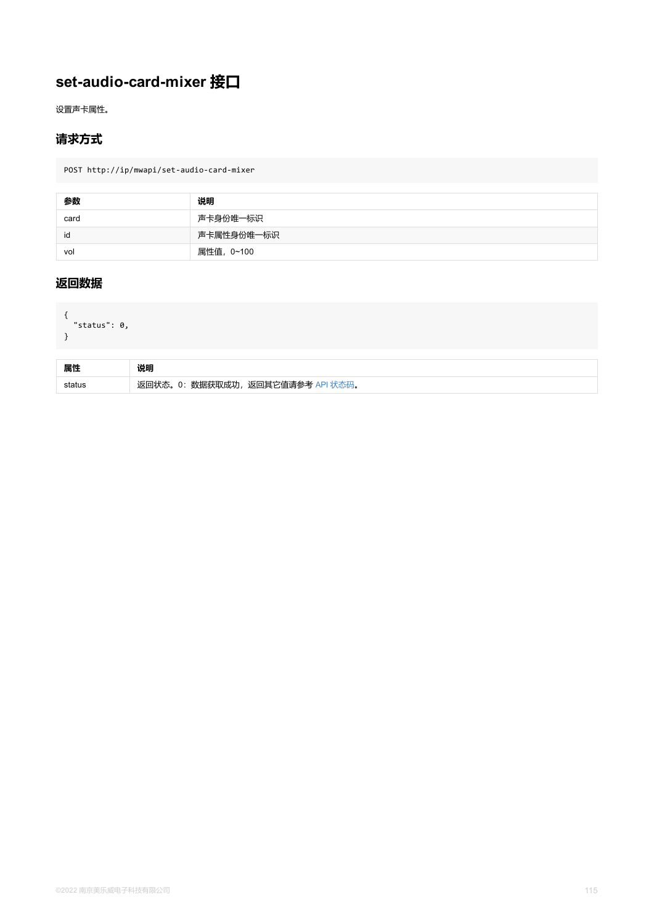# **set-audio-card-mixer 接口**

设置声卡属性。

## **请求方式**

POST http://ip/mwapi/set-audio-card-mixer

| 参数   | 说明         |
|------|------------|
| card | 声卡身份唯一标识   |
| id   | 声卡属性身份唯一标识 |
| vol  | 属性值,0~100  |

## **返回数据**

{ "status": 0, }

| 属性     | 说明                                              |
|--------|-------------------------------------------------|
| status | 数据获取成功<br>返回状态。<br>返回其它值请参考 API 状态码。<br>…<br>ັ. |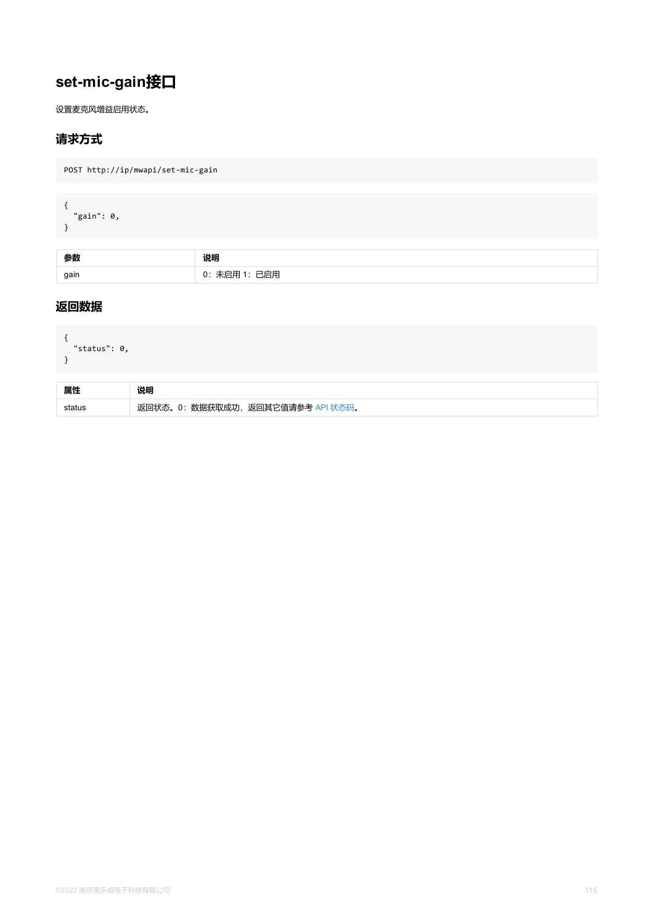# **set-mic-gain接口**

设置麦克风增益启用状态。

## **请求方式**

POST http://ip/mwapi/set-mic-gain

{ "gain": 0, }

| 参数   | 说明               |
|------|------------------|
| gain | 未启用 1: 已启用<br>0: |

## **返回数据**

| "status": 0, |  |  |  |
|--------------|--|--|--|
|              |  |  |  |

| 属性     | 说明                                |
|--------|-----------------------------------|
| status | 返回状态。0: 数据获取成功, 返回其它值请参考 API 状态码。 |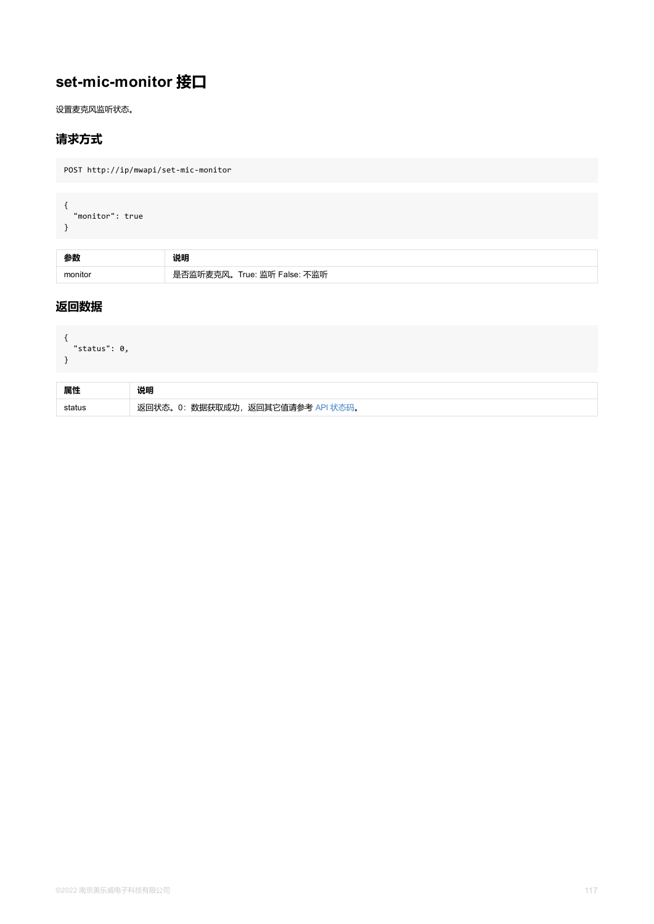## **set-mic-monitor 接口**

设置麦克风监听状态。

## **请求方式**

POST http://ip/mwapi/set-mic-monitor

```
{
 "monitor": true
}
```

| 参数      | 说明                                       |
|---------|------------------------------------------|
| monitor | 不监听<br>True: 监听 False:<br>『克风。<br>그로귀대겠스 |

## **返回数据**

```
{
 "status": 0,
}
```

| 属性     | 说明                                     |
|--------|----------------------------------------|
| status | 数据获取成功<br>,返回其它值请参考<br>il⊽Ir<br>74八五六。 |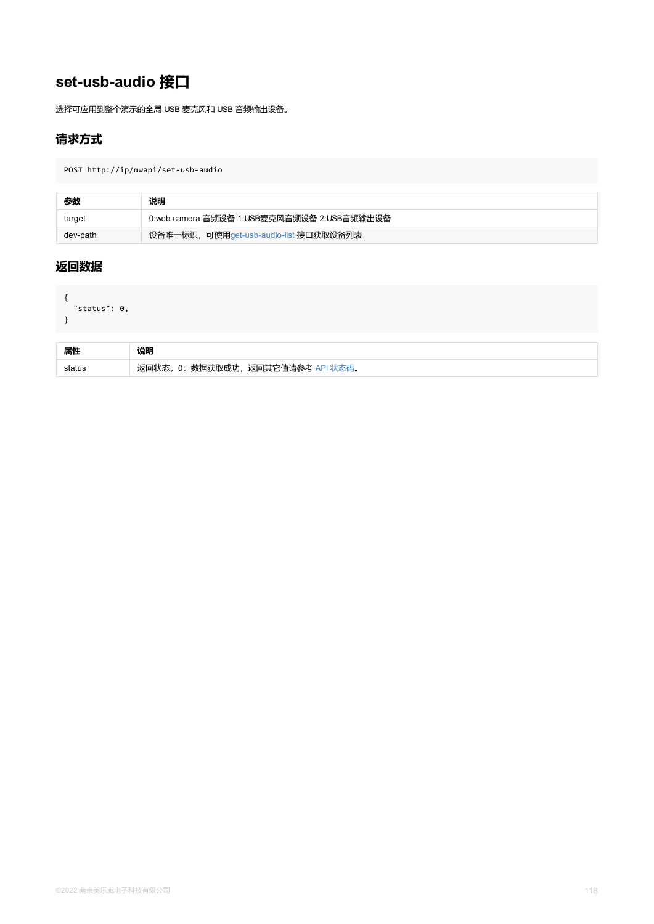```
status . v,
}
```

| 属性     | 说明                                |
|--------|-----------------------------------|
| status | 返回状态。0: 数据获取成功, 返回其它值请参考 API 状态码。 |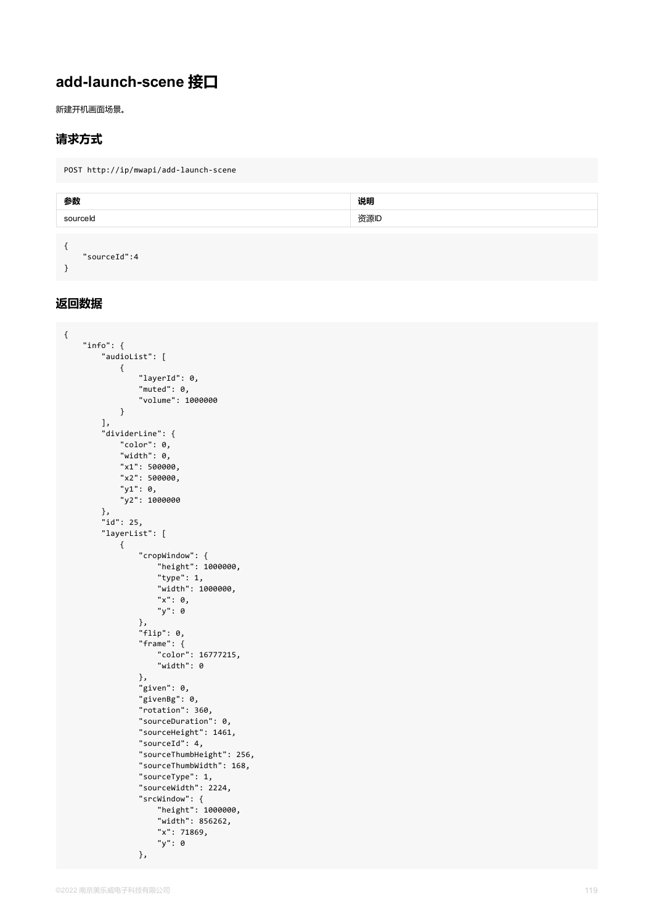## add-launch-scene 接口

新建开机画面场景。

## **请 求 方 式**

POST http://ip/mwapi/add-launch-scene

| 参数       | 说明   |
|----------|------|
| sourceld | 资源ID |

{ "sourceId":4 }

### **返 回 数 据**

```
{
    "info": {
         "audioList": [
             {
                 "layerId": 0,
                 "muted": 0,
                 "volume": 1000000
            }
         ]
,
         "dividerLine": {
             "color": 0,
             "width": 0,
             "x1": 500000,
             "x2": 500000,
             "y1": 0,
             "y2": 1000000
         }
,
         "id": 25,
         "layerList": [
            {
                 "cropWindow": {
                      "height": 1000000,
                      "type": 1,
                      "width": 1000000,
                      "x": 0,
                      "
y
"
:
0
                 }
,
                 "flip": 0,
                 "frame": {
                      "color": 16777215,
                      "width": 0
                 }
,
                 "given": 0,
                 "givenBg": 0,
                 "rotation": 360,
                 "sourceDuration": 0,
                 "sourceHeight": 1461,
                 "sourceId": 4,
                 "sourceThumbHeight": 256,
                 "sourceThumbWidth": 168,
                 "sourceType": 1,
                 "sourceWidth": 2224,
                 "srcWindow": {
                      "height": 1000000,
                      "width": 856262,
                      "x": 71869,
                      "
y
"
:
0
                 }
,
```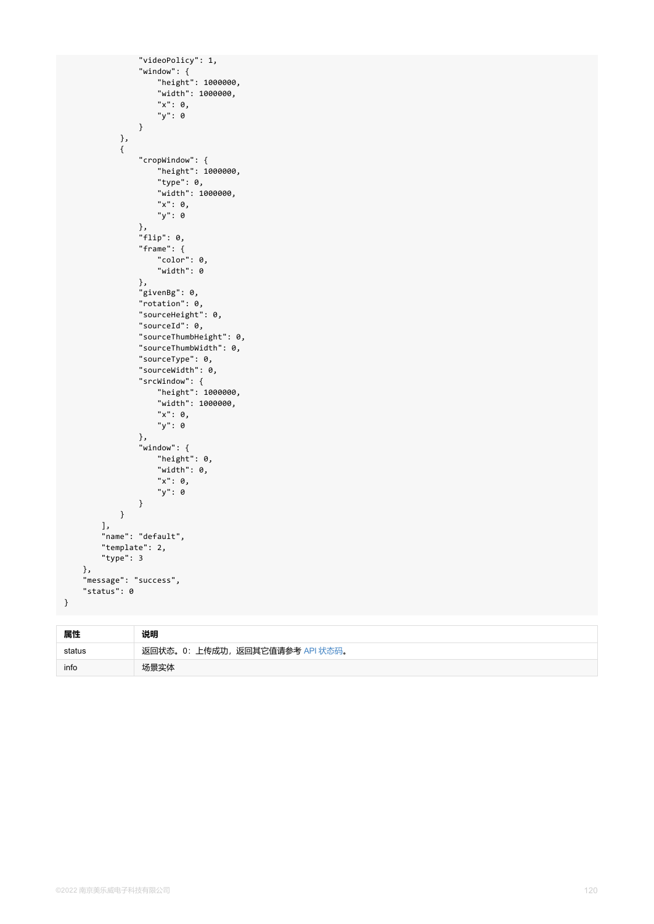```
"sourceHeight": 0,
                "sourceId": 0,
                "sourceThumbHeight": 0,
                "sourceThumbWidth": 0,
                "sourceType": 0,
                "sourceWidth": 0,
                "srcWindow": {
                    "height": 1000000,
                    "width": 1000000,
                    "x": 0,"y": 0
                },
                "window": {
                    "height": 0,
                    "width": 0,
                    "x": 0,
                    "y": 0
                }
           }
        ],
        "name": "default",
        "template": 2,
        "type": 3
    },
    "message": "success",
    "status": 0
}
```

| 属性     | 说明                              |
|--------|---------------------------------|
| status | 返回状态。0: 上传成功, 返回其它值请参考 API 状态码。 |
| info   | 场景实体                            |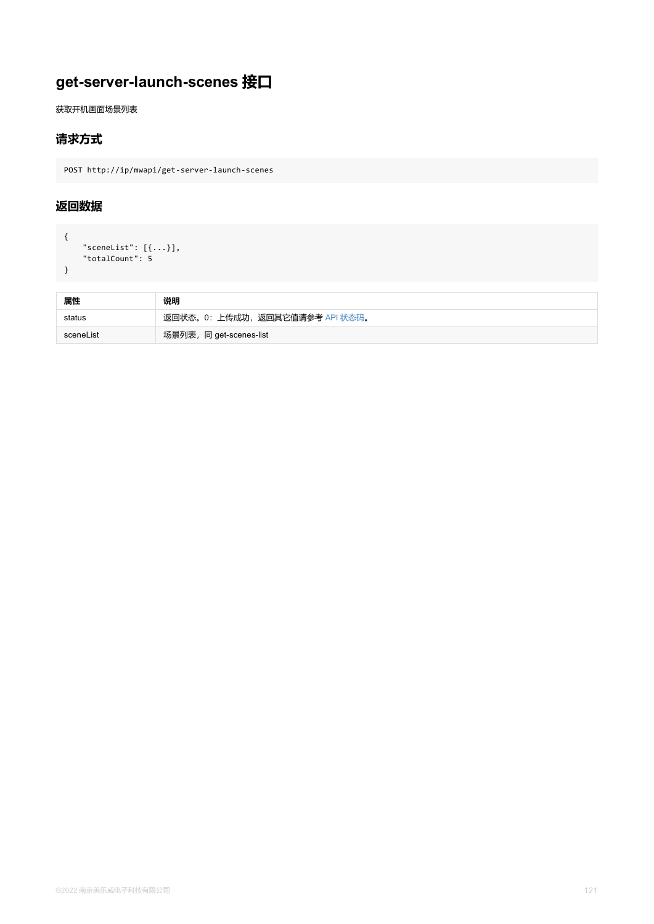| status    | 返回状态。0:上传成功,返回其它值请参考 API 状态码。 |
|-----------|-------------------------------|
| sceneList | 场景列表,同 get-scenes-list        |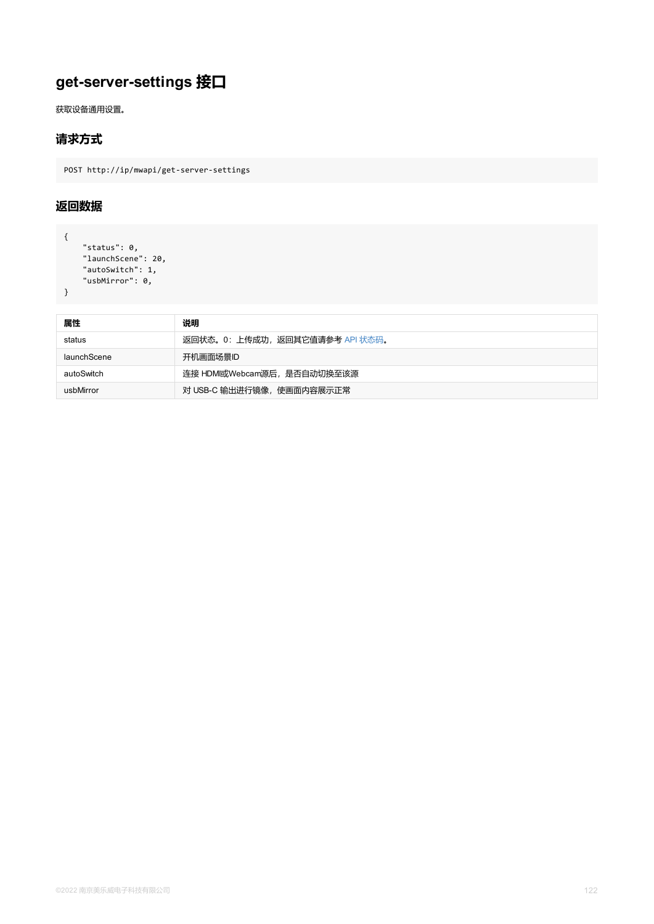| 属性          | 说明                            |
|-------------|-------------------------------|
| status      | 返回状态。0:上传成功,返回其它值请参考 API 状态码。 |
| launchScene | 开机画面场景ID                      |
| autoSwitch  | 连接 HDMI或Webcam源后, 是否自动切换至该源   |
| usbMirror   | 对 USB-C 输出进行镜像,使画面内容展示正常      |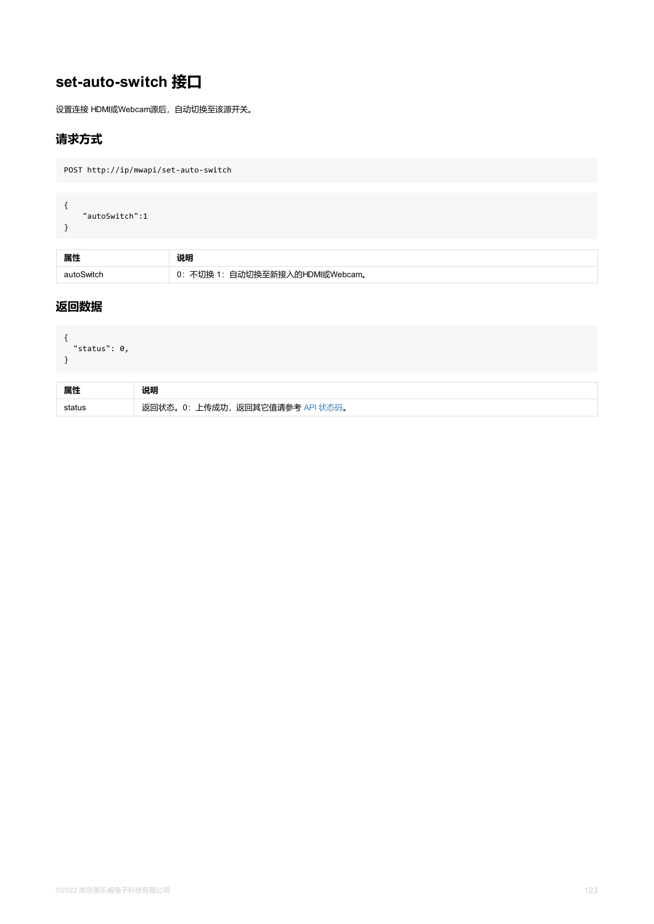```
{
  "status": 0,
}
```

| 属性 |                                               |
|----|-----------------------------------------------|
|    | 上传成功,<br>- 返回其它值请参考 API:<br>返回状态。0:<br>╝1八びふ。 |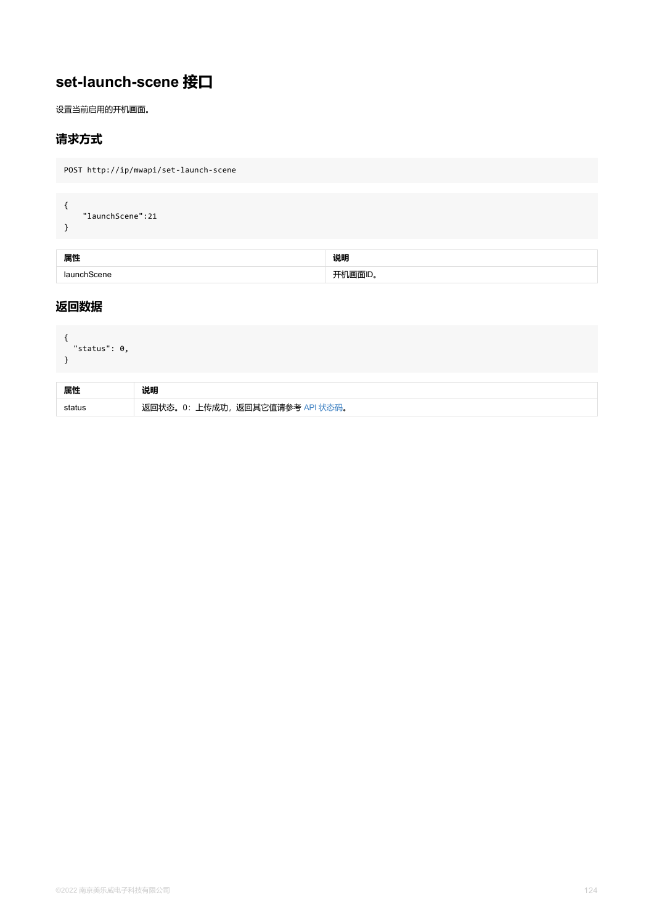```
{
  "status": 0,
}
```

| 属性 |                                               |
|----|-----------------------------------------------|
|    | 上传成功,<br>- 返回其它值请参考 API:<br>返回状态。0:<br>╝1八びふ。 |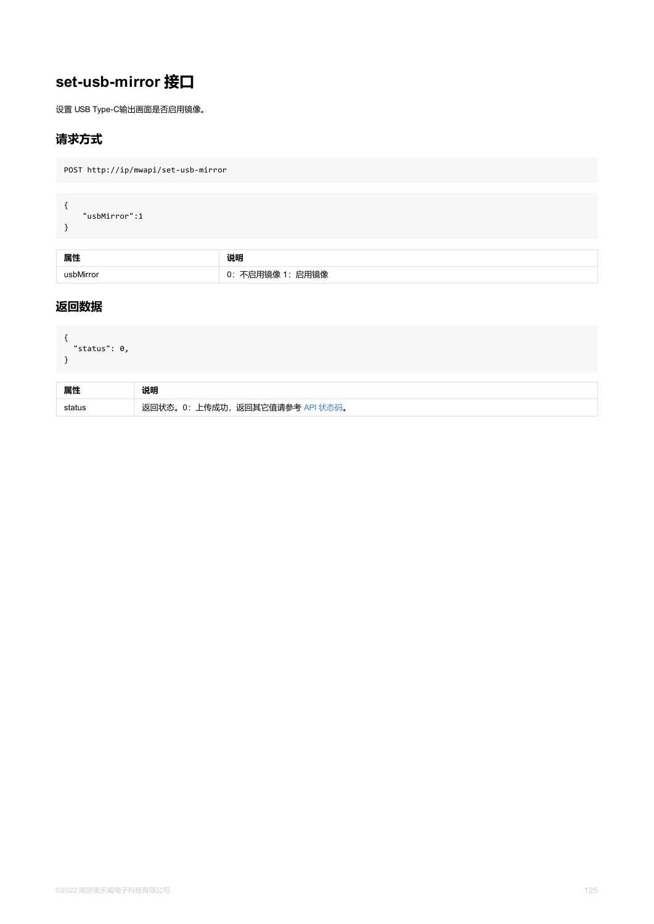```
{
  "status": 0,
}
```

| 属性 |                                               |
|----|-----------------------------------------------|
|    | 上传成功,<br>- 返回其它值请参考 API:<br>返回状态。0:<br>╝1八びふ。 |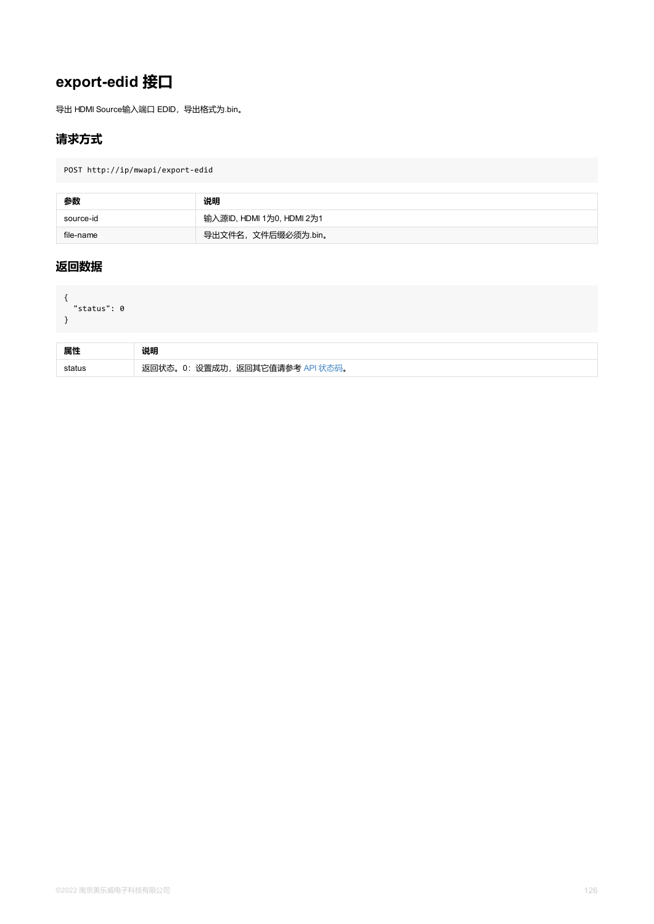```
status . U
}
```

| 属性     | 说明                              |
|--------|---------------------------------|
| status | 返回状态。0: 设置成功, 返回其它值请参考 API 状态码。 |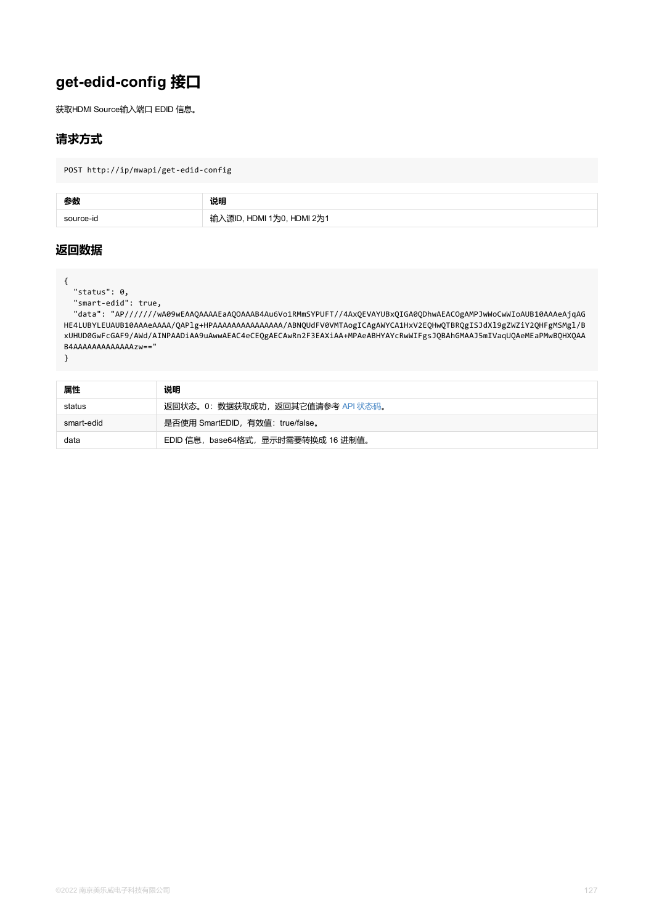"data": "AP//////wA09wEAAQAAAAEaAQOAAAB4Au6Vo1RMmSYPUFT//4AxQEVAYUBxQIGA0QDhwAEACOgAMI HE4LUBYLEUAUB10AAAeAAAA/QAPlg+HPAAAAAAAAAAAAAAAA/ABNQUdFV0VMTAogICAgAWYCA1HxV2EQHwQTBRQgI xUHUD0GwFcGAF9/AWd/AINPAADiAA9uAwwAEAC4eCEQgAECAwRn2F3EAXiAA+MPAeABHYAYcRwWIFgsJQBAhGMAA B4AAAAAAAAAAAAAzw=="

}

| 属性         | 说明                                  |
|------------|-------------------------------------|
| status     | 返回状态。0: 数据获取成功, 返回其它值请参考 API 状态码。   |
| smart-edid | 是否使用 SmartEDID, 有效值: true/false。    |
| data       | EDID 信息, base64格式, 显示时需要转换成 16 进制值。 |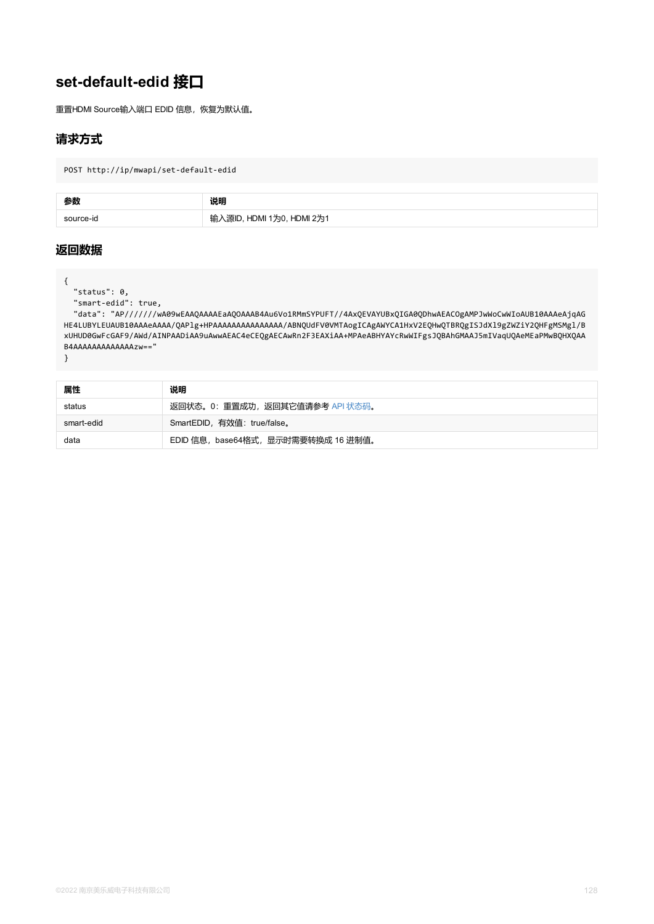"data": "AP//////wA09wEAAQAAAAEaAQOAAAB4Au6Vo1RMmSYPUFT//4AxQEVAYUBxQIGA0QDhwAEACOgAMI HE4LUBYLEUAUB10AAAeAAAA/QAPlg+HPAAAAAAAAAAAAAAAA/ABNQUdFV0VMTAogICAgAWYCA1HxV2EQHwQTBRQgI xUHUD0GwFcGAF9/AWd/AINPAADiAA9uAwwAEAC4eCEQgAECAwRn2F3EAXiAA+MPAeABHYAYcRwWIFgsJQBAhGMAA B4AAAAAAAAAAAAAzw=="

}

| 属性         | 说明                                  |
|------------|-------------------------------------|
| status     | 返回状态。0: 重置成功, 返回其它值请参考 API 状态码。     |
| smart-edid | SmartEDID, 有效值: true/false。         |
| data       | EDID 信息, base64格式, 显示时需要转换成 16 进制值。 |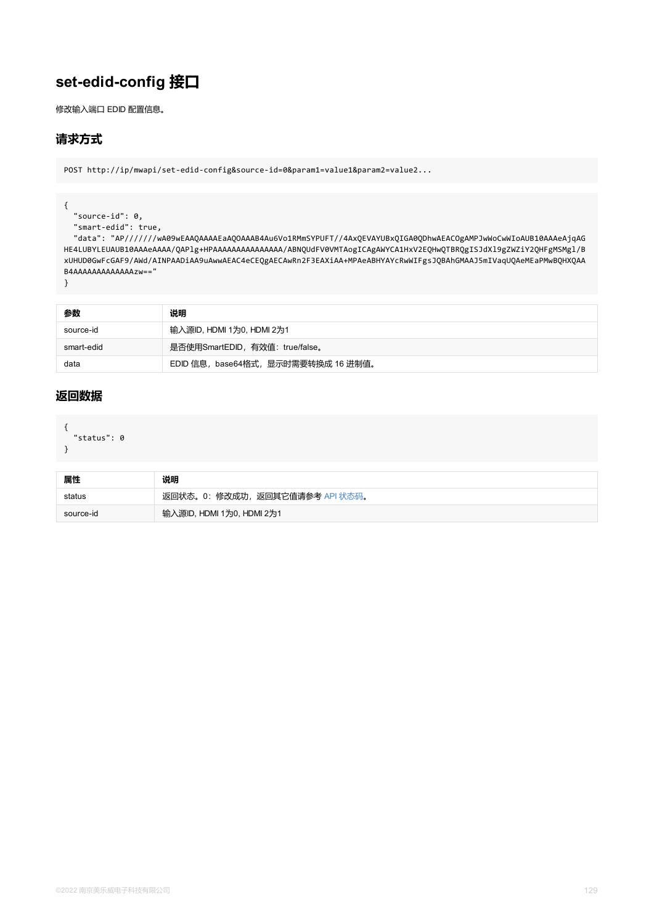| 参数         | 说明                                  |
|------------|-------------------------------------|
| source-id  | 输入源ID, HDMI 1为0, HDMI 2为1           |
| smart-edid | 是否使用SmartEDID, 有效值: true/false。     |
| data       | EDID 信息, base64格式, 显示时需要转换成 16 进制值。 |

## **返回数据**

```
{
"status": 0
}
```

| 属性        | 说明                              |
|-----------|---------------------------------|
| status    | 返回状态。0: 修改成功, 返回其它值请参考 API 状态码。 |
| source-id | 输入源ID, HDMI 1为0, HDMI 2为1       |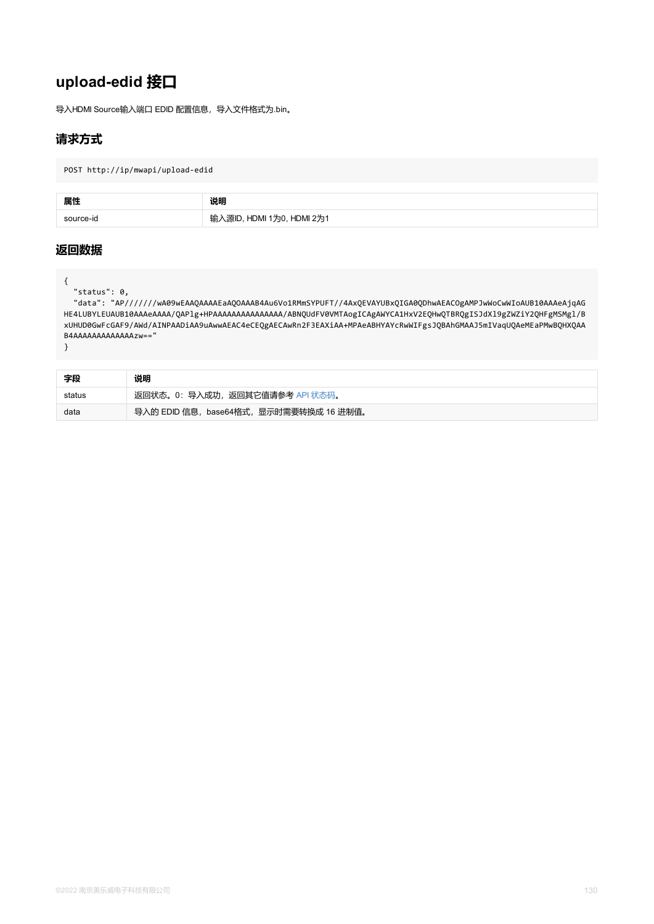```
HE4LUBYLEUAUB10AAAeAAAA/QAPlg+HPAAAAAAAAAAAAAAAA/ABNQUdFV0VMTAogICAgAWYCA1HxV2EQHwQTBRQgI
xUHUD0GwFcGAF9/AWd/AINPAADiAA9uAwwAEAC4eCEQgAECAwRn2F3EAXiAA+MPAeABHYAYcRwWIFgsJQBAhGMAA
B4AAAAAAAAAAAAAzw=="
```

```
}
```

| 字段     | 说明                                      |
|--------|-----------------------------------------|
| status | 返回状态。0: 导入成功, 返回其它值请参考 API 状态码。         |
| data   | 导入的 EDID 信息, base64格式, 显示时需要转换成 16 进制值。 |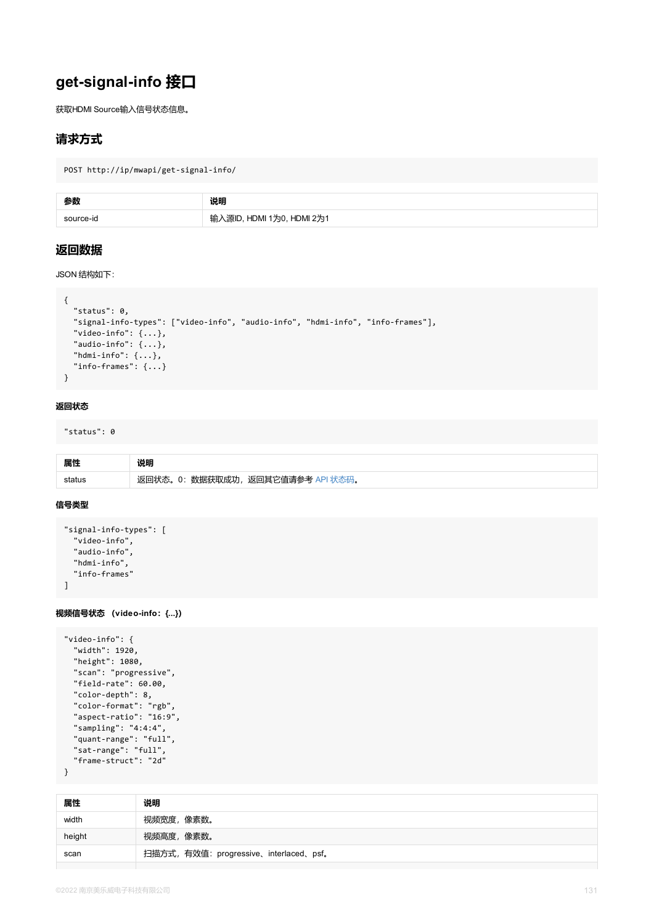```
"status": 0,
  "signal-info-types": ["video-info", "audio-info", "hdmi-info", "info-frames"],
  "video-info": \{\ldots\},
  "audio-info": \{\ldots\},
  "hdmi-info": \{\ldots\},
  "info-frames": {...}
}
```
#### **返回状态**

"status": 0

| 属性     | 说明                                |
|--------|-----------------------------------|
| status | 返回状态。0: 数据获取成功, 返回其它值请参考 API 状态码。 |

#### **信号类型**

```
"signal-info-types": [
  "video-info",
  "audio-info",
  "hdmi-info",
  "info-frames"
\mathbf{I}
```
**视频信号状态 (video-info:{...})**

```
"video-info": {
  "width": 1920,
  "height": 1080,
  "scan": "progressive",
  "field-rate": 60.00,
  "color-depth": 8,
  "color-format": "rgb",
  "aspect-ratio": "16:9",
  "sampling": "4:4:4",
  "quant-range": "full",
  "sat-range": "full",
  "frame-struct": "2d"
}
```

| 属性     | 说明                                     |
|--------|----------------------------------------|
| width  | 视频宽度,像素数。                              |
| height | 视频高度,像素数。                              |
| scan   | 扫描方式, 有效值: progressive、interlaced、psf。 |
|        |                                        |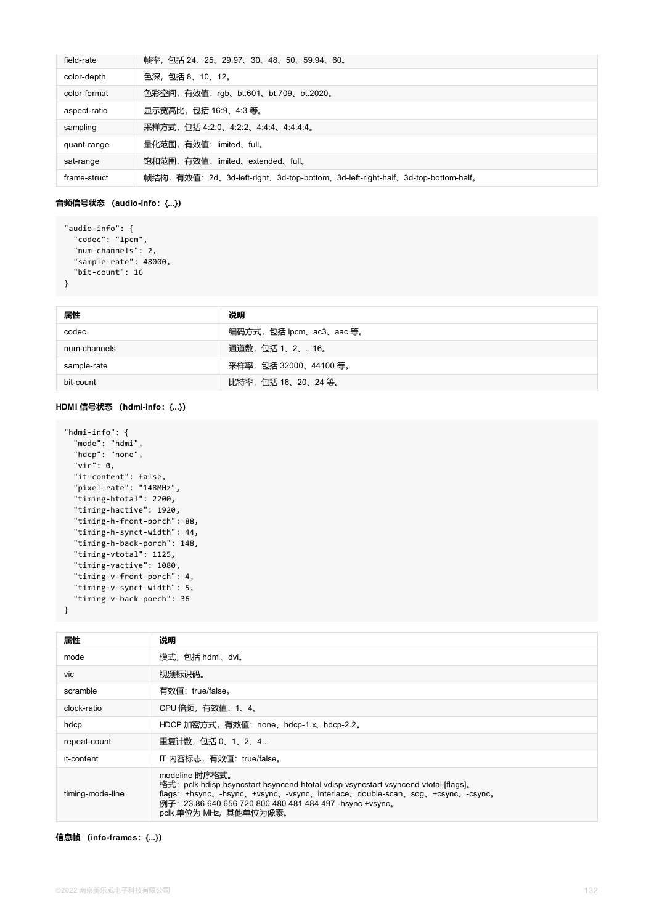| field-rate   | 帧率,包括 24、25、29.97、30、48、50、59.94、60。                                          |
|--------------|-------------------------------------------------------------------------------|
| color-depth  | 色深,包括 8、10、12。                                                                |
| color-format | 色彩空间,有效值: rgb、bt.601、bt.709、bt.2020。                                          |
| aspect-ratio | 显示宽高比, 包括 16:9、4:3 等。                                                         |
| sampling     | 采样方式,包括 4:2:0、4:2:2、4:4:4、4:4:4:4。                                            |
| quant-range  | 量化范围,有效值: limited、full。                                                       |
| sat-range    | 饱和范围,有效值: limited、extended、full。                                              |
| frame-struct | 帧结构,有效值:2d、3d-left-right、3d-top-bottom、3d-left-right-half、3d-top-bottom-half。 |

### **音频信号状态 (audio-info:{...})**

```
"audio-info": {
  "codec": "lpcm",
  "num-channels": 2,
  "sample-rate": 48000,
  "bit-count": 16
}
```

| 属性           | 说明                      |
|--------------|-------------------------|
| codec        | 编码方式,包括 lpcm、ac3、aac 等。 |
| num-channels | 通道数,包括 1、2、 16。         |
| sample-rate  | 采样率, 包括 32000、44100 等。  |
| bit-count    | 比特率,包括16、20、24 等。       |

### **HDMI 信号状态 (hdmi-info:{...})**

```
"hdmi-info": {
  "mode": "hdmi",
  "hdcp": "none",
  "vic": 0,
  "it-content": false,
  "pixel-rate": "148MHz",
  "timing-htotal": 2200,
  "timing-hactive": 1920,
  "timing-h-front-porch": 88,
  "timing-h-synct-width": 44,
  "timing-h-back-porch": 148,
  "timing-vtotal": 1125,
  "timing-vactive": 1080,
  "timing-v-front-porch": 4,
  "timing-v-synct-width": 5,
  "timing-v-back-porch": 36
}
```

| 属性               | 说明                                                                                                                                                                                                                                                                                 |
|------------------|------------------------------------------------------------------------------------------------------------------------------------------------------------------------------------------------------------------------------------------------------------------------------------|
| mode             | 模式,包括 hdmi、dvi。                                                                                                                                                                                                                                                                    |
| vic              | 视频标识码。                                                                                                                                                                                                                                                                             |
| scramble         | 有效值: true/false。                                                                                                                                                                                                                                                                   |
| clock-ratio      | CPU 倍频, 有效值: 1、4。                                                                                                                                                                                                                                                                  |
| hdcp             | HDCP 加密方式, 有效值: none、hdcp-1.x、hdcp-2.2。                                                                                                                                                                                                                                            |
| repeat-count     | 重复计数, 包括 0、1、2、4                                                                                                                                                                                                                                                                   |
| it-content       | IT 内容标志, 有效值: true/false。                                                                                                                                                                                                                                                          |
| timing-mode-line | modeline 时序格式。<br>格式: pclk hdisp hsyncstart hsyncend htotal vdisp vsyncstart vsyncend vtotal [flags],<br>flags: +hsync, -hsync, +vsync, -vsync, interlace, double-scan, sog, +csync, -csync,<br>例子: 23.86 640 656 720 800 480 481 484 497 -hsync +vsync。<br>pclk 单位为 MHz, 其他单位为像素。 |

**信息帧 (info-frames:{...})**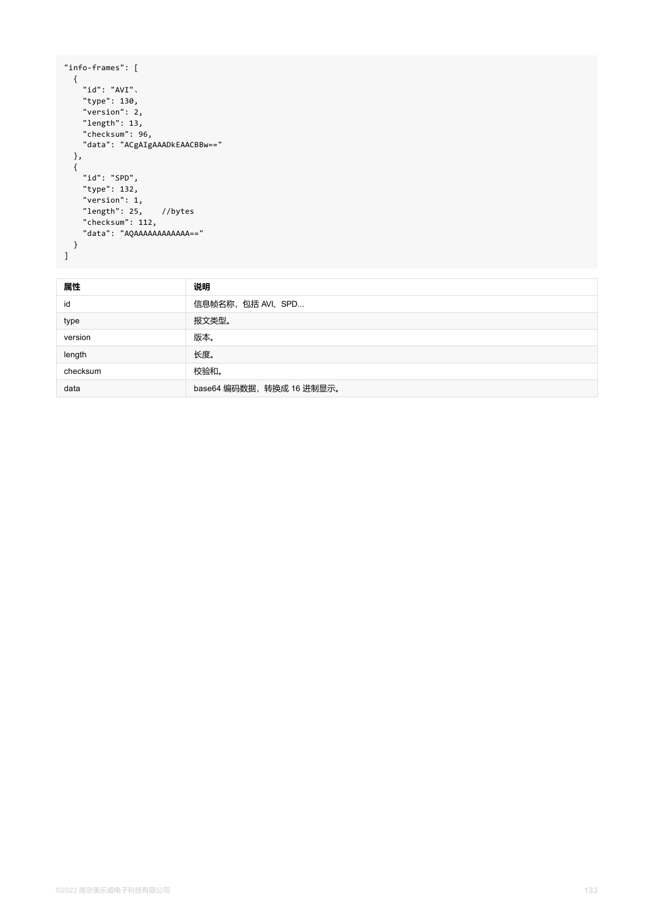```
"info-frames": [
 {
   "id": "AVI"、
   "type": 130,
    "version": 2,
   "length": 13,
    "checksum": 96,
    "data": "ACgAIgAAADkEAACBBw=="
 },
 {
   "id": "SPD",
   "type": 132,
    "version": 1,
   "length": 25, //bytes
   "checksum": 112,
   "data": "AQAAAAAAAAAAAA=="
 }
]
```

| 属性       | 说明                        |
|----------|---------------------------|
| id       | 信息帧名称,包括 AVI、SPD          |
| type     | 报文类型。                     |
| version  | 版本。                       |
| length   | 长度。                       |
| checksum | 校验和。                      |
| data     | base64 编码数据, 转换成 16 进制显示。 |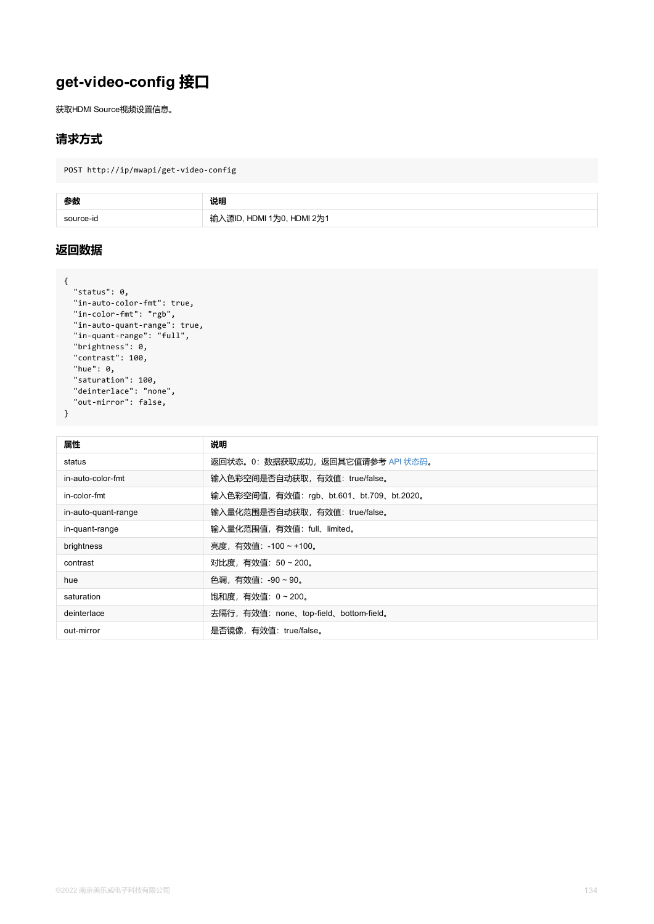```
"in-color-fmt": "rgb",
"in-auto-quant-range": true,
"in-quant-range": "full",
"brightness": 0,
"contrast": 100,
"hue": 0,
"saturation": 100,
"deinterlace": "none",
"out-mirror": false,
```
}

| 属性                  | 说明                                      |
|---------------------|-----------------------------------------|
| status              | 返回状态。0:数据获取成功,返回其它值请参考 API 状态码。         |
| in-auto-color-fmt   | 输入色彩空间是否自动获取, 有效值: true/false。          |
| in-color-fmt        | 输入色彩空间值,有效值: rgb、bt.601、bt.709、bt.2020。 |
| in-auto-quant-range | 输入量化范围是否自动获取, 有效值: true/false。          |
| in-quant-range      | 输入量化范围值,有效值: full、limited。              |
| brightness          | 亮度,有效值:-100~+100。                       |
| contrast            | 对比度,有效值:50~200。                         |
| hue                 | 色调,有效值: -90 ~ 90。                       |
| saturation          | 饱和度, 有效值: 0~200。                        |
| deinterlace         | 去隔行,有效值: none、top-field、bottom-field。   |
| out-mirror          | 是否镜像,有效值: true/false。                   |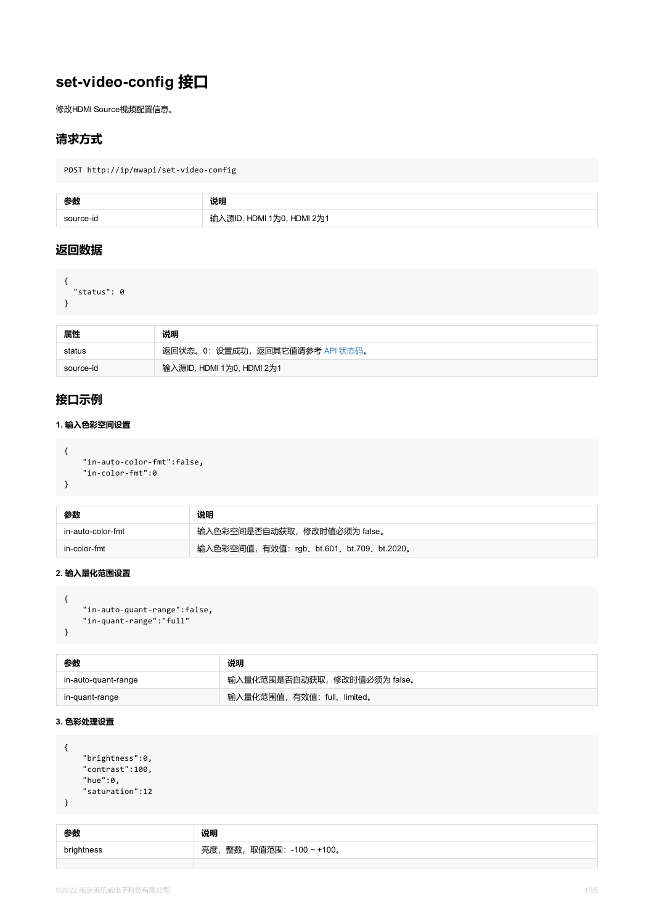| 属性        | 说明                              |
|-----------|---------------------------------|
| status    | 返回状态。0: 设置成功, 返回其它值请参考 API 状态码。 |
| source-id | 输入源ID, HDMI 1为0, HDMI 2为1       |

## **接口示例**

#### **1. 输入色彩空间设置**

```
{
    "in-auto-color-fmt":false,
    "in-color-fmt":0
}
```

| 参数                | 说明                                      |
|-------------------|-----------------------------------------|
| in-auto-color-fmt | 输入色彩空间是否自动获取, 修改时值必须为 false。            |
| in-color-fmt      | 输入色彩空间值,有效值: rgb、bt.601、bt.709、bt.2020。 |

### **2. 输入量化范围设置**

```
{
    "in-auto-quant-range":false,
    "in-quant-range":"full"
}
```

| 参数                  | 说明                           |
|---------------------|------------------------------|
| in-auto-quant-range | 输入量化范围是否自动获取, 修改时值必须为 false。 |
| in-quant-range      | 输入量化范围值,有效值: full、limited。   |

#### **3. 色彩处理设置**

```
{
    "brightness":0,
    "contrast":100,
    "hue":0,
    "saturation":12
}
```

| 参数         | 说明                          |
|------------|-----------------------------|
| brightness | 整数,取值范围:-100 ~ +100。<br>亮度, |
|            |                             |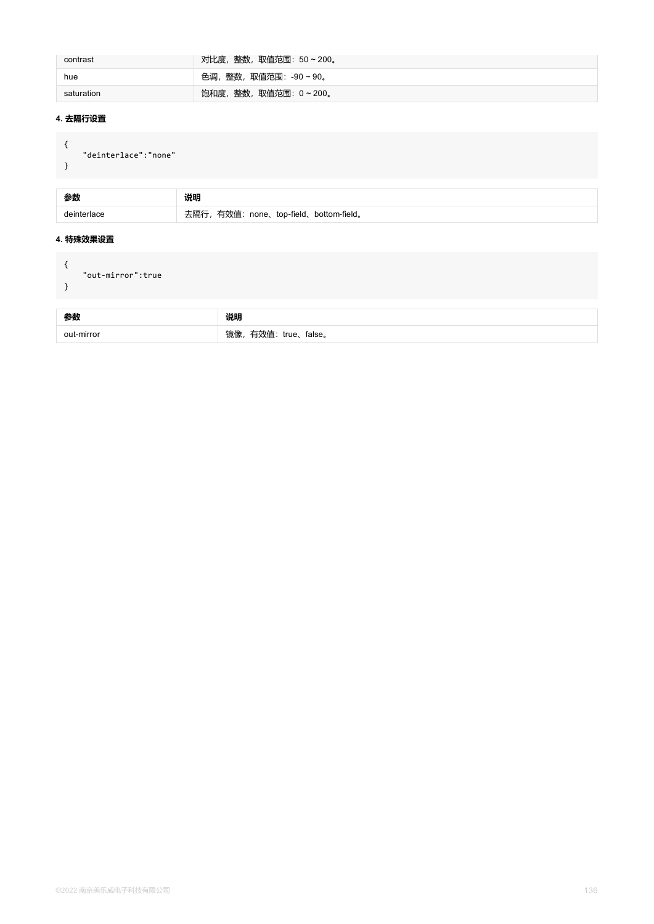| contrast   | 对比度,整数,取值范围: 50 ~ 200。 |
|------------|------------------------|
| hue        | 色调,整数,取值范围:-90 ~ 90。   |
| saturation | 饱和度,整数,取值范围:0~200。     |

### **4. 去隔行设置**

{ "deinterlace":"none" }

| 参数          | 说明                                    |
|-------------|---------------------------------------|
| deinterlace | 去隔行,有效值: none、top-field、bottom-field。 |

### **4. 特殊效果设置**

{ "out-mirror":true }

| 参数         | 说明                     |
|------------|------------------------|
| out-mirror | 镜像,<br>有效值:true、false。 |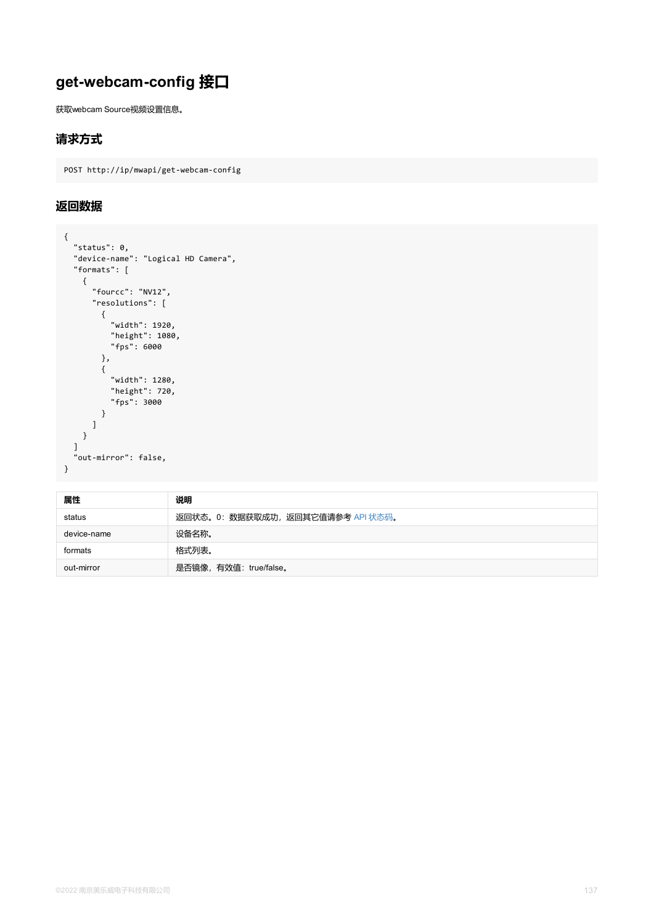```
{
         "width": 1920,
        "height": 1080,
        "fps": 6000
       },
       {
         "width": 1280,
        "height": 720,
        "fps": 3000
       }
     ]
   }
  ]
 "out-mirror": false,
}
```

| 属性          | 说明                                |
|-------------|-----------------------------------|
| status      | 返回状态。0: 数据获取成功, 返回其它值请参考 API 状态码。 |
| device-name | 设备名称。                             |
| formats     | 格式列表。                             |
| out-mirror  | 是否镜像, 有效值: true/false。            |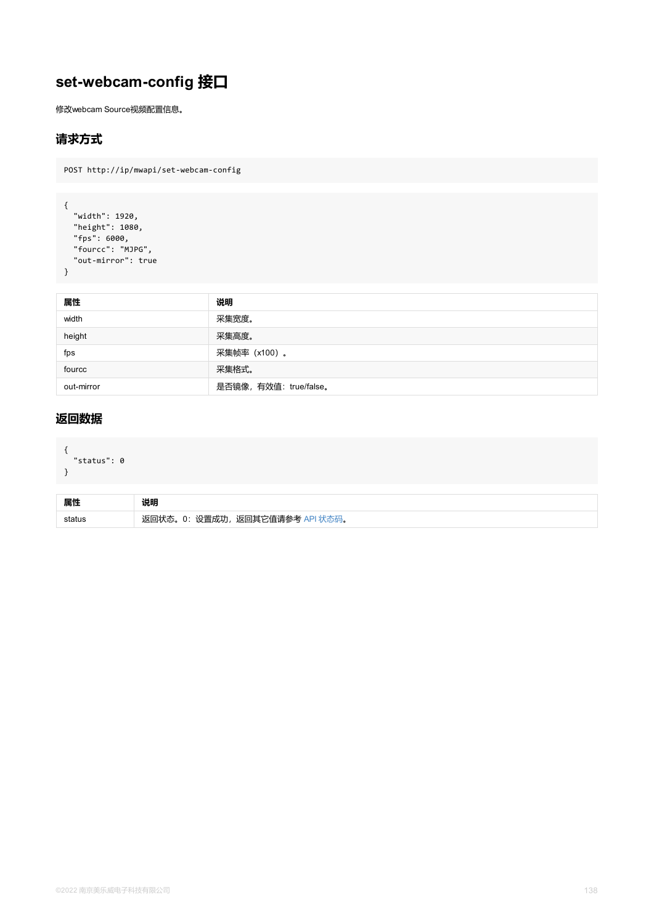| width      | 采集宽度。                  |
|------------|------------------------|
| height     | 采集高度。                  |
| fps        | 采集帧率 (x100) 。          |
| fourcc     | 采集格式。                  |
| out-mirror | 是否镜像, 有效值: true/false。 |

## **返回数据**

{ "status": 0 }

| 属性 | 说明                              |
|----|---------------------------------|
|    | 返回状态。0: 设置成功, 返回其它值请参考 API 状态码。 |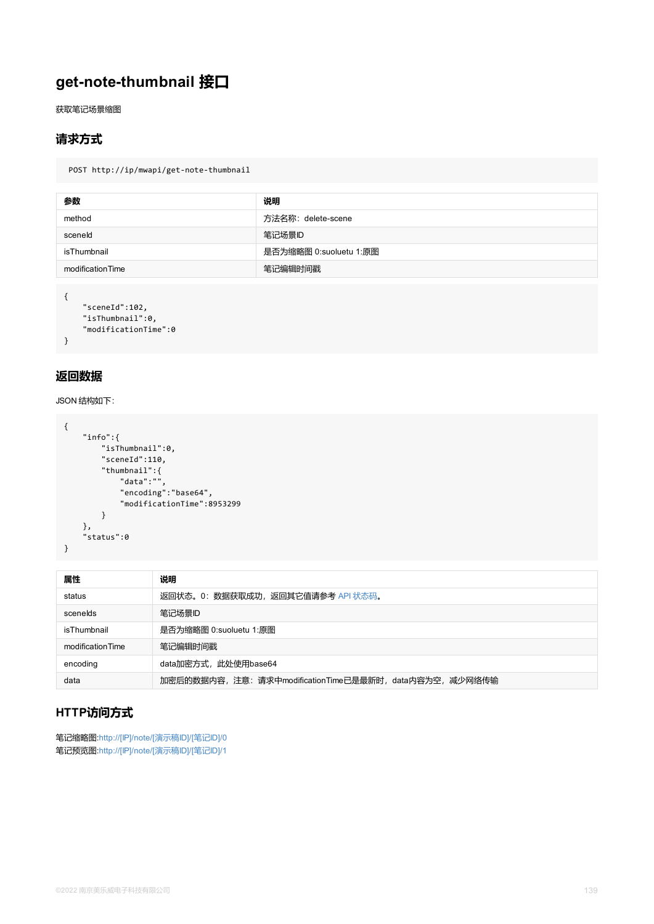```
scencia : 102,
    "isThumbnail":0,
    "modificationTime":0
}
```
### **返回数据**

JSON 结构如下:

```
{
    "info":{
        "isThumbnail":0,
        "sceneId":110,
        "thumbnail":{
            "data":"",
            "encoding":"base64",
            "modificationTime":8953299
        }
    },
    "status":0
}
```

| 属性               | 说明                                                    |
|------------------|-------------------------------------------------------|
| status           | 返回状态。0: 数据获取成功, 返回其它值请参考 API 状态码。                     |
| scenelds         | 笔记场景ID                                                |
| isThumbnail      | 是否为缩略图 0:suoluetu 1:原图                                |
| modificationTime | 笔记编辑时间戳                                               |
| encoding         | data加密方式, 此处使用base64                                  |
| data             | 加密后的数据内容, 注意: 请求中modificationTime已是最新时, data内容为空, 减少网 |

## **HTTP访问方式**

笔记缩略图:http://[IP]/note/[演示稿ID]/[笔记ID]/0 笔记预览图:http://[IP]/note/[演示稿ID]/[笔记ID]/1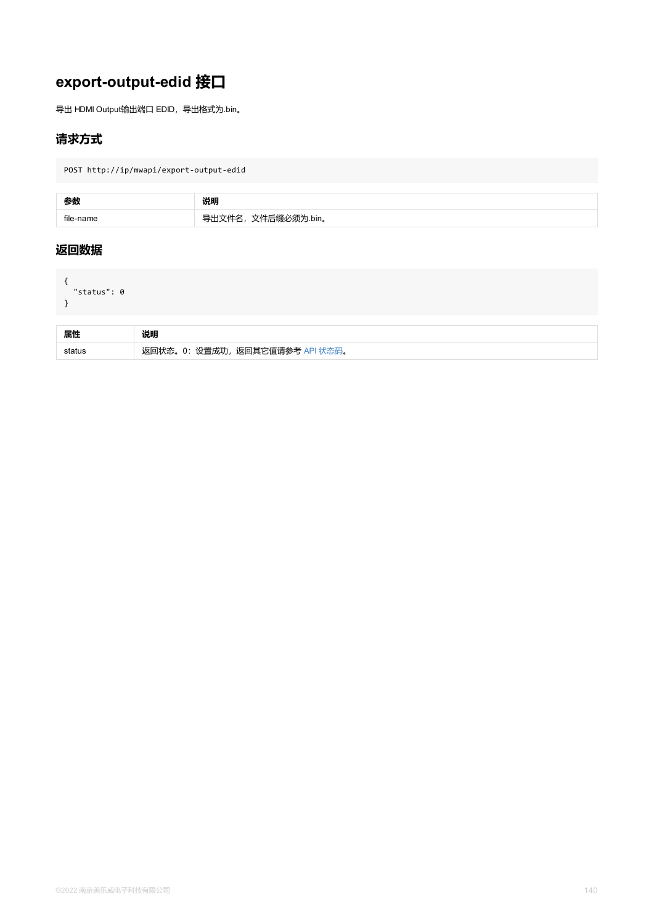| 属性     | 说明                              |
|--------|---------------------------------|
| status | 返回状态。0: 设置成功, 返回其它值请参考 API 状态码。 |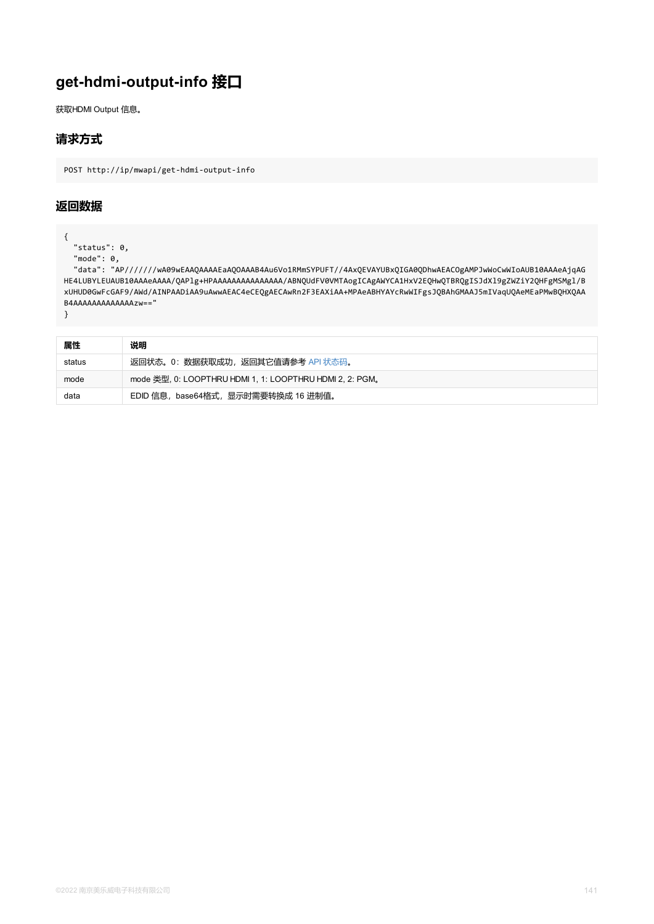}

| 属性     | 说明                                                       |
|--------|----------------------------------------------------------|
| status | 返回状态。0: 数据获取成功, 返回其它值请参考 API 状态码。                        |
| mode   | mode 类型, 0: LOOPTHRU HDMI 1, 1: LOOPTHRU HDMI 2, 2: PGM. |
| data   | EDID 信息, base64格式, 显示时需要转换成 16 进制值。                      |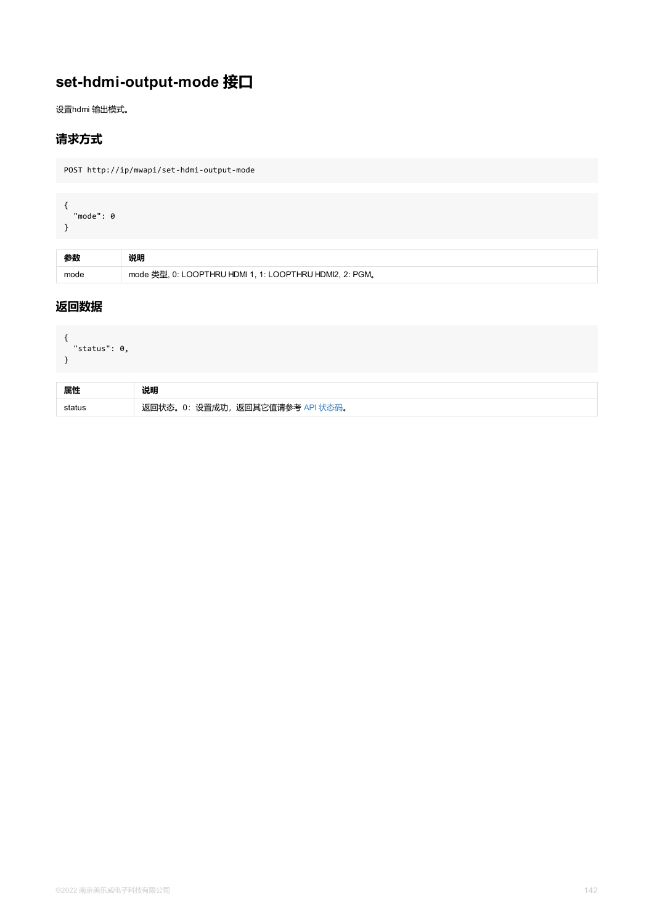```
{
  "status": 0,
}
```

| 属性 |                               |
|----|-------------------------------|
|    | 返回状态。0:设置成功,<br>返回其它值请参考 API: |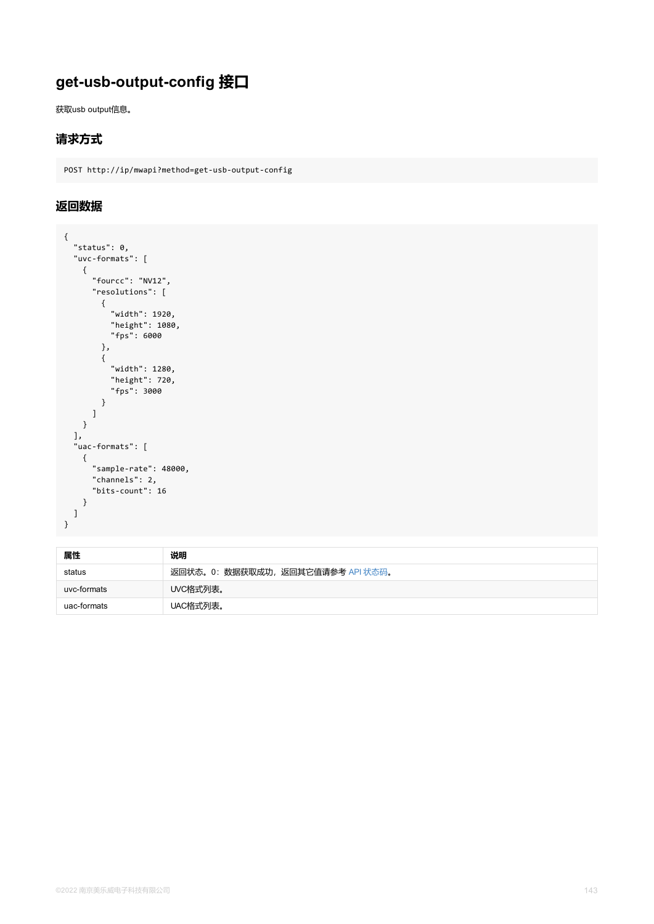```
"width": 1920,
         "height": 1080,
         "fps": 6000
       },
       {
         "width": 1280,
         "height": 720,
         "fps": 3000
       }
     ]
   }
  ],
  "uac-formats": [
   {
      "sample-rate": 48000,
     "channels": 2,
     "bits-count": 16
   }
 ]
}
```

| 属性          | 说明                                |
|-------------|-----------------------------------|
| status      | 返回状态。0: 数据获取成功, 返回其它值请参考 API 状态码。 |
| uvc-formats | UVC格式列表。                          |
| uac-formats | UAC格式列表。                          |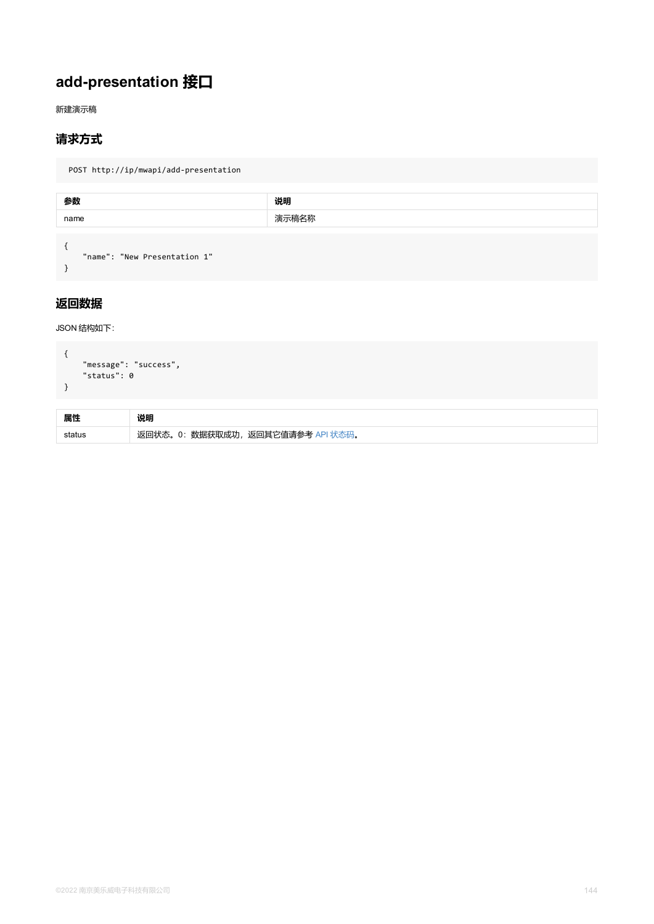JSON 结构如下:

```
{
   "message": "success",
   "status": 0
}
```

| 属性 | 说明                                |
|----|-----------------------------------|
|    | 返回状态。0: 数据获取成功, 返回其它值请参考 API 状态码。 |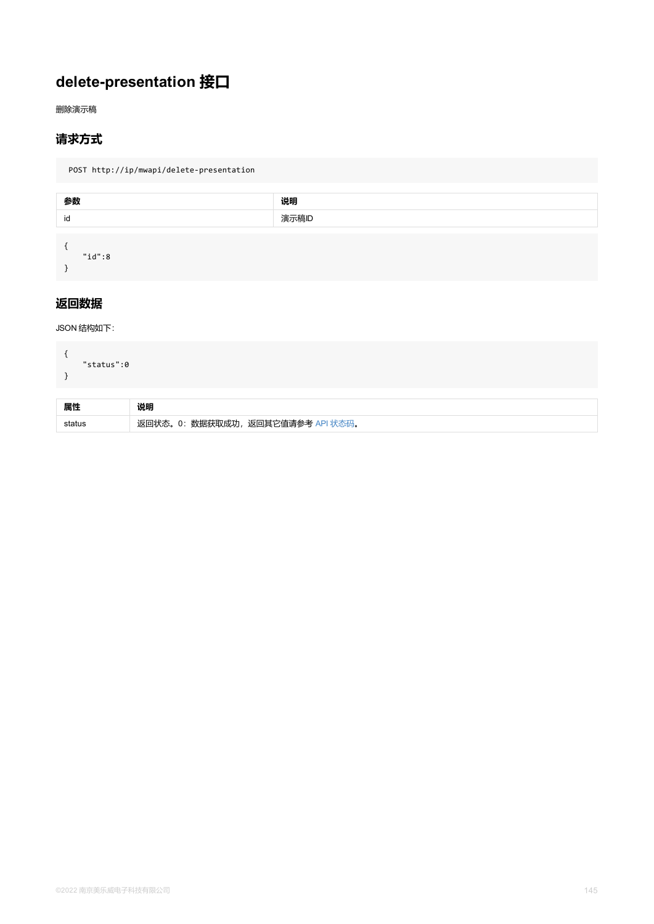```
JSON 结构如下:
```

```
{
    "status":0
}
```

| 属性     | 说明                                |
|--------|-----------------------------------|
| status | 返回状态。0: 数据获取成功, 返回其它值请参考 API 状态码。 |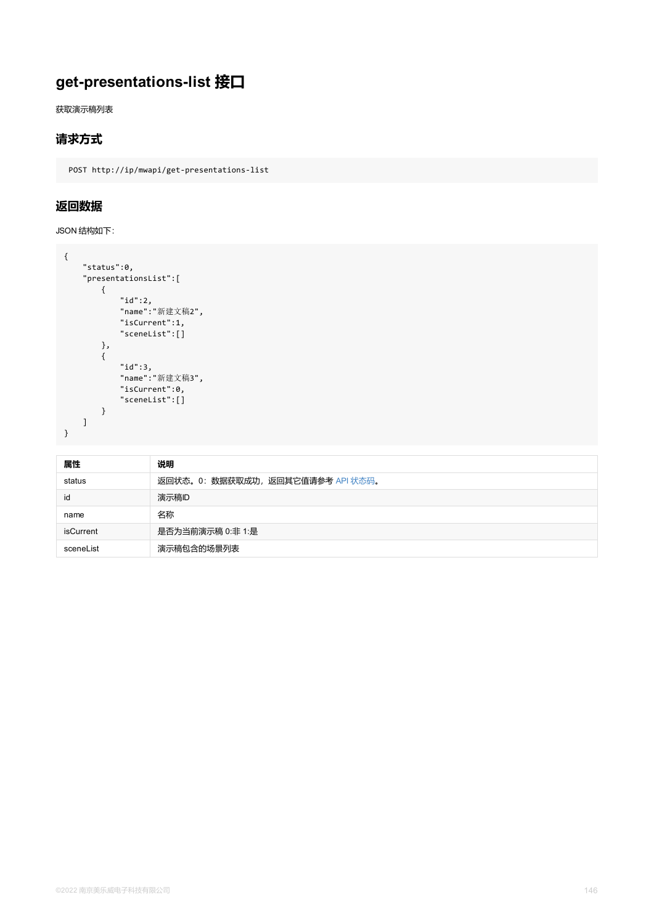```
"name":"新建文稿2",
           "isCurrent":1,
           "sceneList":[]
       },
       {
           "id":3,
           "name":"新建文稿3",
           "isCurrent":0,
           "sceneList":[]
       }
  ]
}
```

| 属性               | 说明                                |
|------------------|-----------------------------------|
| status           | 返回状态。0: 数据获取成功, 返回其它值请参考 API 状态码。 |
| id               | 演示稿ID                             |
| name             | 名称                                |
| <b>isCurrent</b> | 是否为当前演示稿 0:非 1:是                  |
| sceneList        | 演示稿包含的场景列表                        |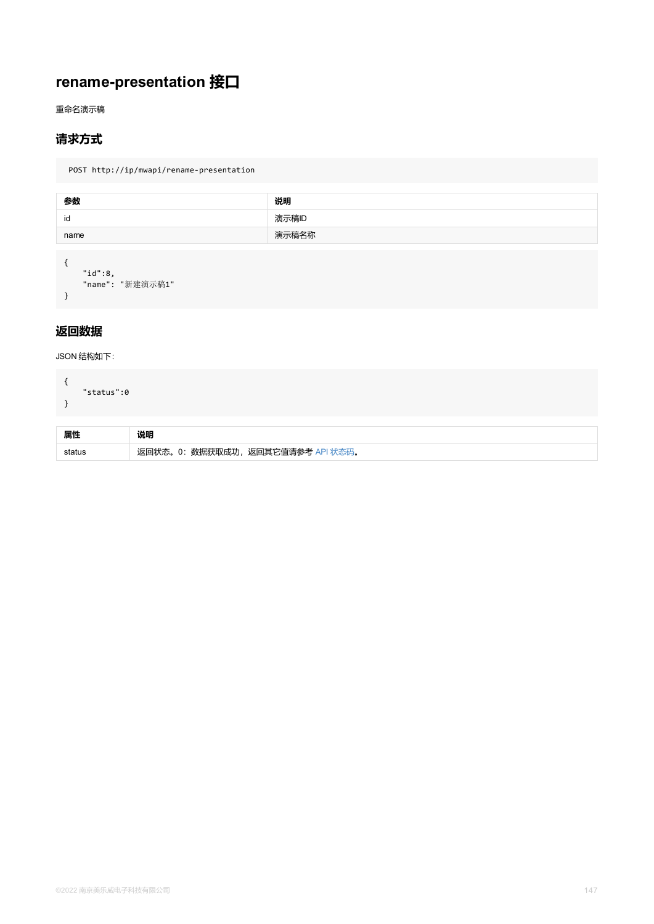# **返回数据**

JSON 结构如下:

```
{
   "status":0
}
```

| 属性     | 说明                                |
|--------|-----------------------------------|
| status | 返回状态。0: 数据获取成功, 返回其它值请参考 API 状态码。 |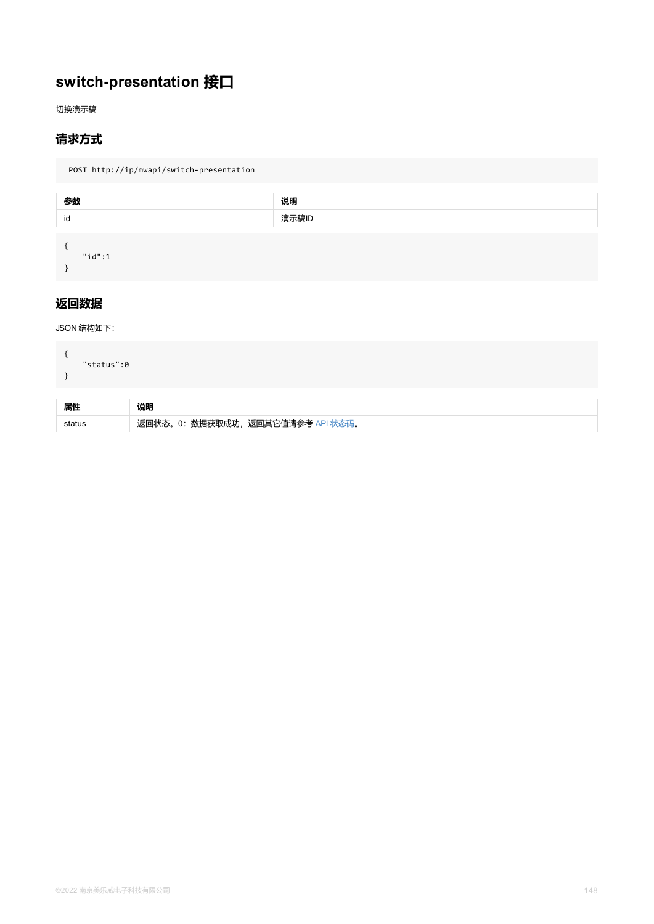```
JSON 结构如下:
```

```
{
    "status":0
}
```

| 属性     | 说明                                |
|--------|-----------------------------------|
| status | 返回状态。0: 数据获取成功, 返回其它值请参考 API 状态码。 |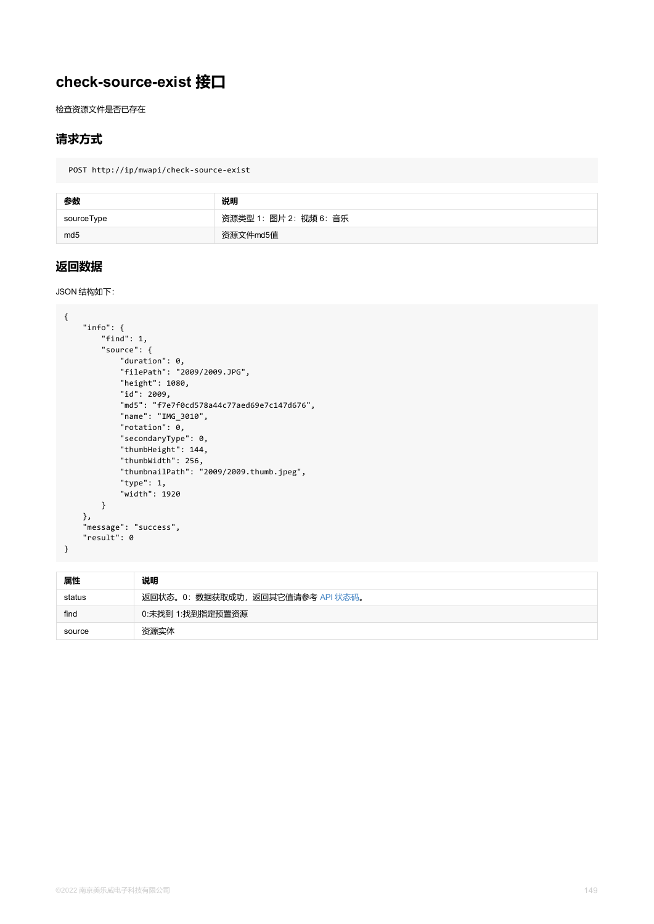```
{
   "info": {
        "find": 1,
        "source": {
            "duration": 0,
            "filePath": "2009/2009.JPG",
            "height": 1080,
            "id": 2009,
            "md5": "f7e7f0cd578a44c77aed69e7c147d676",
            "name": "IMG_3010",
            "rotation": 0,
            "secondaryType": 0,
            "thumbHeight": 144,
            "thumbWidth": 256,
            "thumbnailPath": "2009/2009.thumb.jpeg",
            "type": 1,
            "width": 1920
        }
    },
    "message": "success",
    "result": 0
}
```

| 属性     | 说明                                |
|--------|-----------------------------------|
| status | 返回状态。0: 数据获取成功, 返回其它值请参考 API 状态码。 |
| find   | 0.未找到 1:找到指定预置资源                  |
| source | 资源实体                              |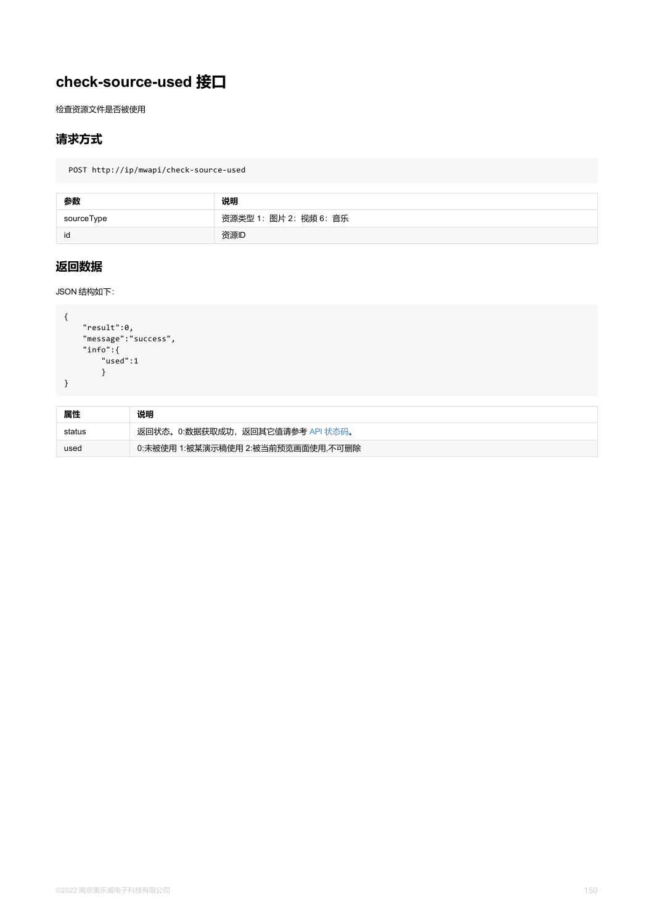```
{
   "result":0,
   "message":"success",
   "info":{
       "used":1
       }
}
```

| 属性     | 说明                                |
|--------|-----------------------------------|
| status | 返回状态。0:数据获取成功,返回其它值请参考 API 状态码。   |
| used   | 0:未被使用 1:被某演示稿使用 2:被当前预览画面使用,不可删除 |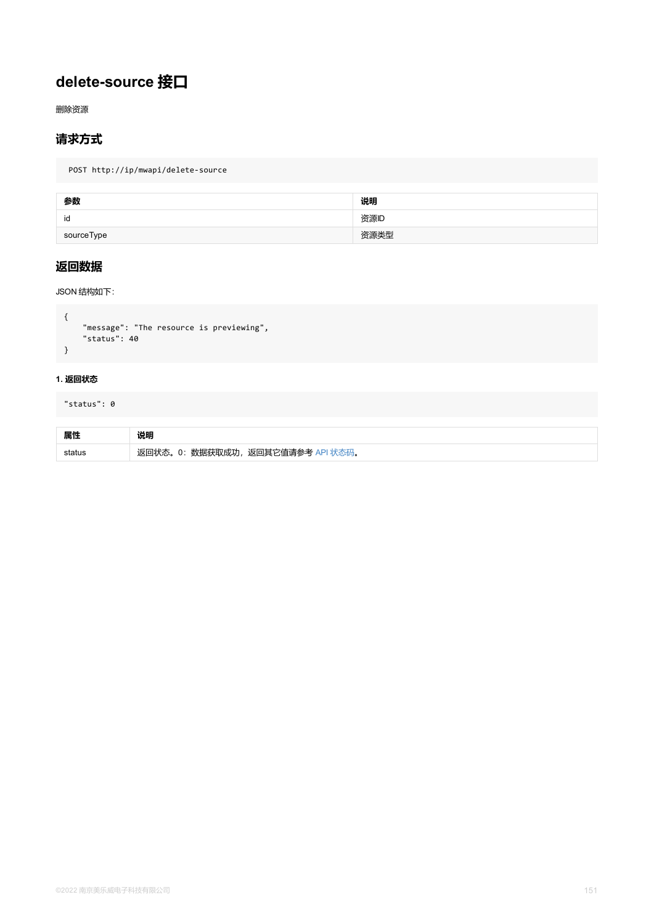```
{
   "message": "The resource is previewing",
   "status": 40
}
```
### **1. 返回状态**

| 属性     | 说明                                |
|--------|-----------------------------------|
| status | 返回状态。0: 数据获取成功, 返回其它值请参考 API 状态码。 |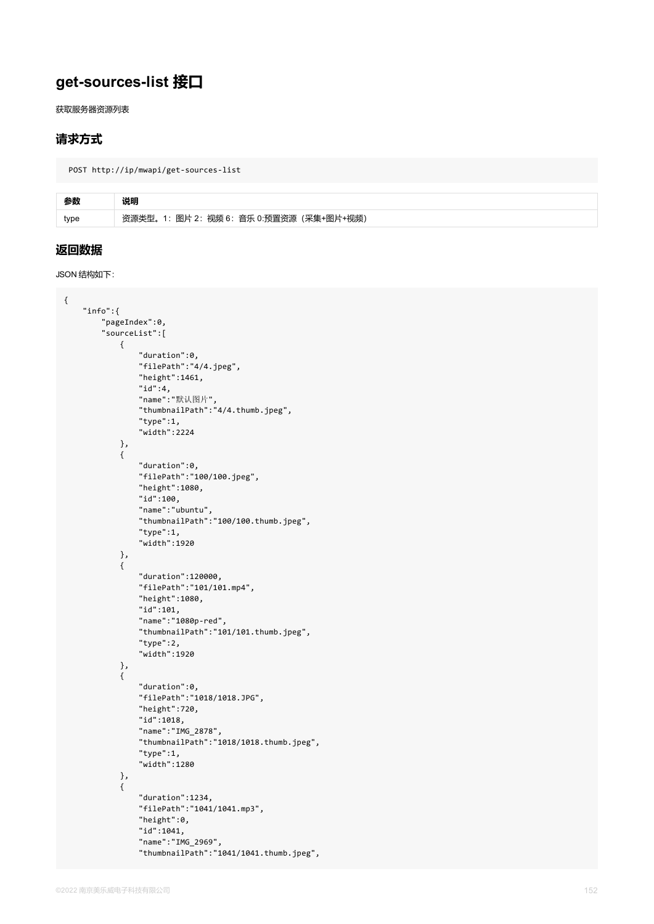# **get-sources-list 接口**

获取服务器资源列表

## **请求方式**

POST http://ip/mwapi/get-sources-list

| 参数   | 说明                                   |
|------|--------------------------------------|
| type | 资源类型。1:图片 2:视频 6:音乐 0:预置资源(采集+图片+视频) |

### **返回数据**

JSON 结构如下:

```
{
    "info":{
        "pageIndex":0,
        "sourceList":[
            {
                "duration":0,
                "filePath":"4/4.jpeg",
                "height":1461,
                "id":4,
                "name":"默认图片",
                "thumbnailPath":"4/4.thumb.jpeg",
                "type":1,
                "width":2224
            },
            {
                "duration":0,
                "filePath":"100/100.jpeg",
                "height":1080,
                "id":100,
                "name":"ubuntu",
                "thumbnailPath":"100/100.thumb.jpeg",
                "type":1,
                "width":1920
            },
            {
                "duration":120000,
                "filePath":"101/101.mp4",
                "height":1080,
                "id":101,
                "name":"1080p-red",
                "thumbnailPath":"101/101.thumb.jpeg",
                "type":2,
                "width":1920
            },
            {
                "duration":0,
                 "filePath":"1018/1018.JPG",
                "height":720,
                "id":1018,
                "name":"IMG_2878",
                "thumbnailPath":"1018/1018.thumb.jpeg",
                "type":1,
                "width":1280
            },
            {
                "duration":1234,
                "filePath":"1041/1041.mp3",
                "height":0,
                "id":1041,
                "name":"IMG_2969",
                "thumbnailPath":"1041/1041.thumb.jpeg",
```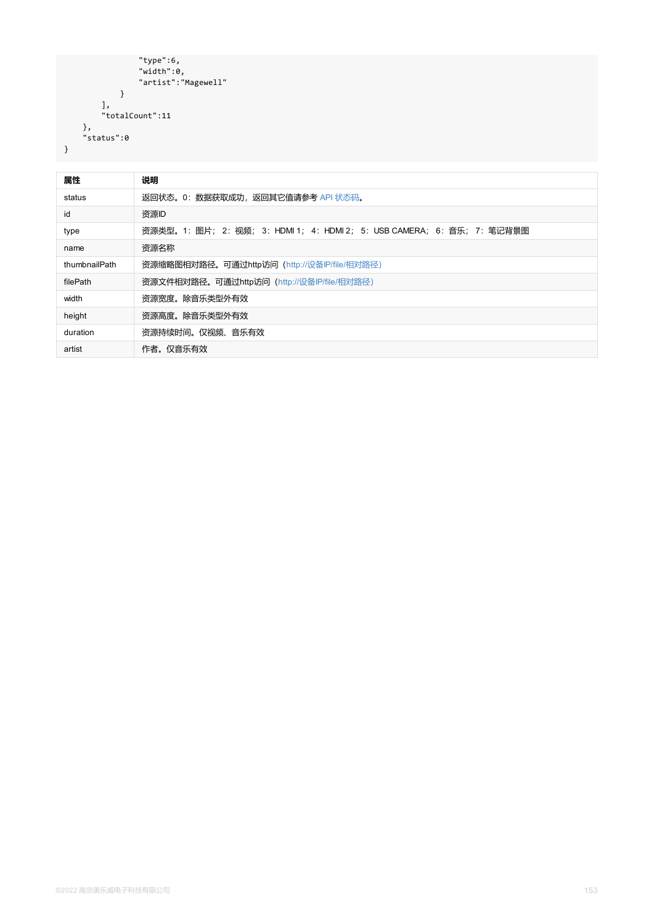| height   | 资源高度。除音乐类型外有效   |
|----------|-----------------|
| duration | 资源持续时间。仅视频、音乐有效 |
| artist   | 作者。仅音乐有效        |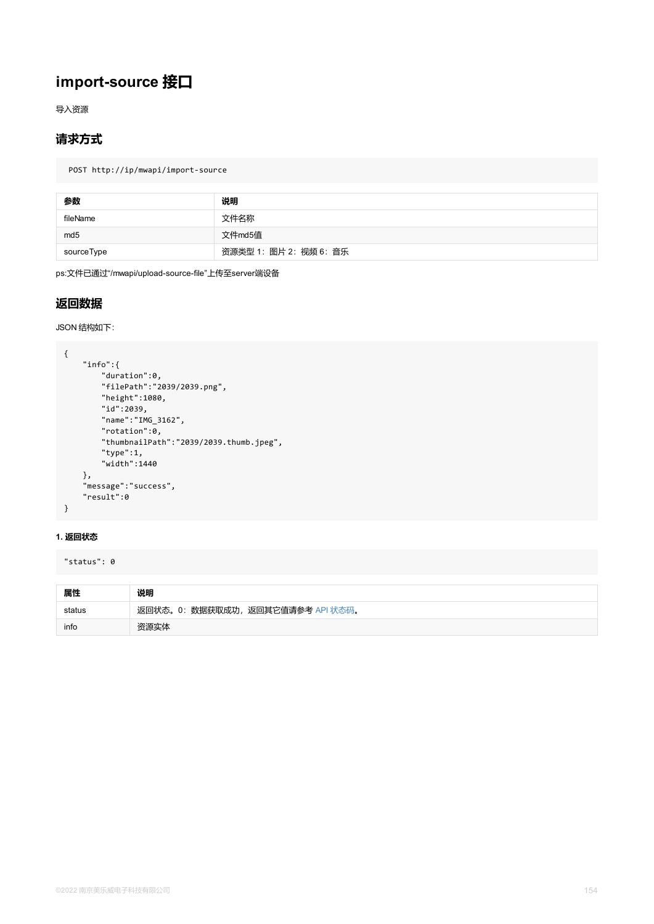JSON 结构如下:

```
{
    "info":{
        "duration":0,
        "filePath":"2039/2039.png",
        "height":1080,
        "id":2039,
        "name":"IMG_3162",
        "rotation":0,
        "thumbnailPath":"2039/2039.thumb.jpeg",
        "type":1,
        "width":1440
    },
    "message":"success",
    "result":0
}
```
#### **1. 返回状态**

| 属性     | 说明                                |
|--------|-----------------------------------|
| status | 返回状态。0: 数据获取成功, 返回其它值请参考 API 状态码。 |
| info   | 资源实体                              |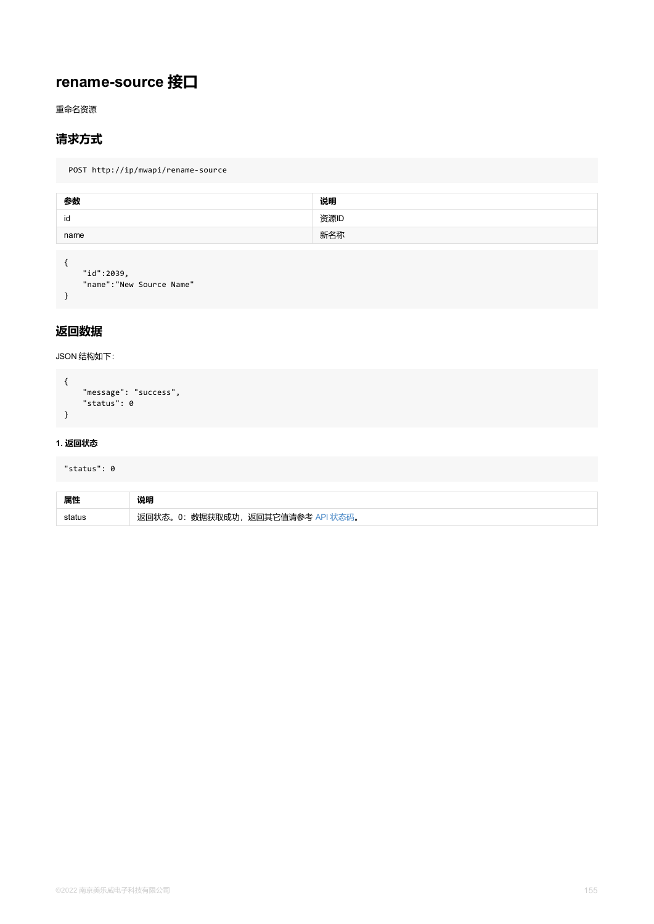# **返回数据**

JSON 结构如下:

```
{
   "message": "success",
   "status": 0
}
```
### **1. 返回状态**

| 属性 | 说明                                |
|----|-----------------------------------|
|    | 返回状态。0: 数据获取成功, 返回其它值请参考 API 状态码。 |